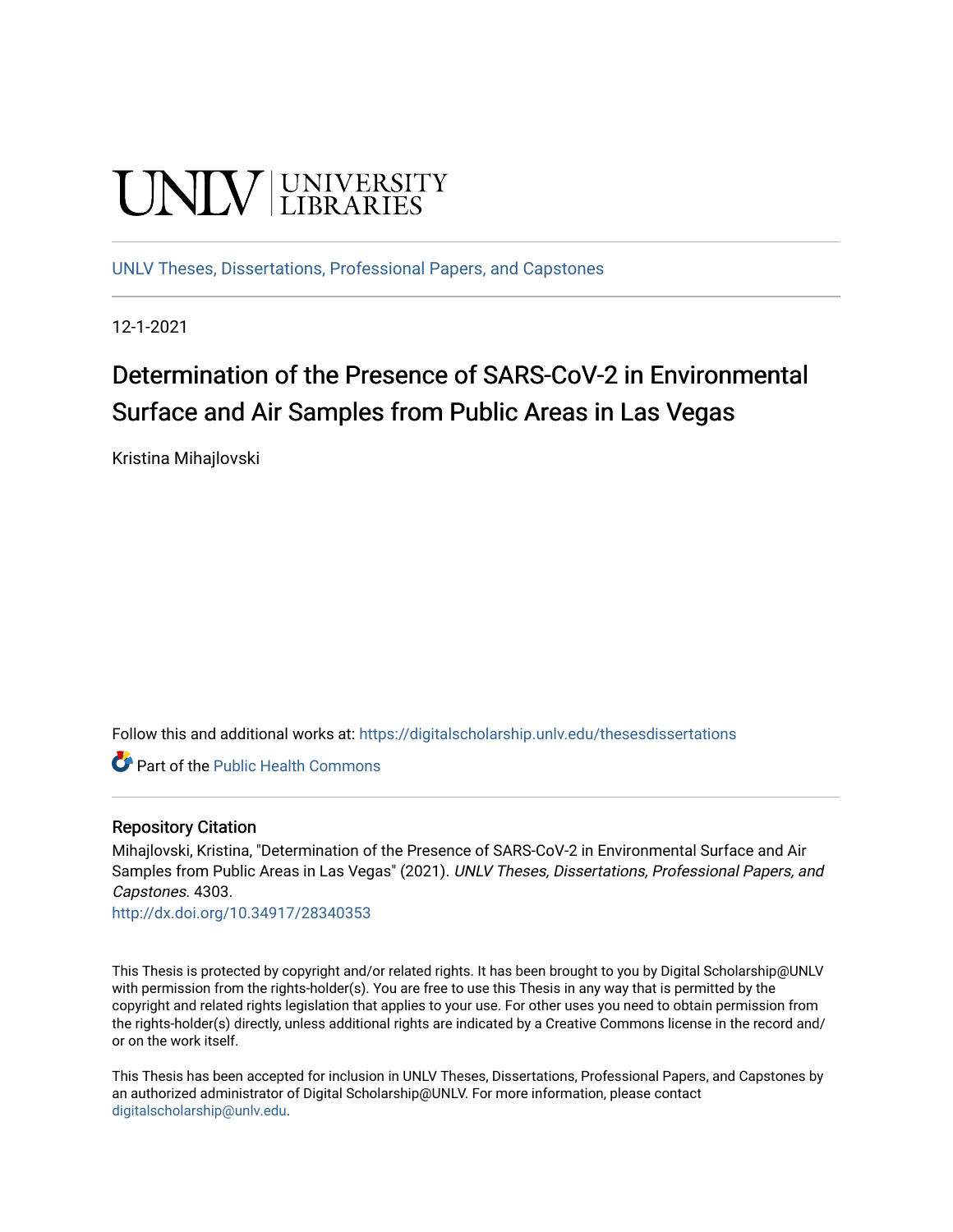# **UNIVERSITY**

[UNLV Theses, Dissertations, Professional Papers, and Capstones](https://digitalscholarship.unlv.edu/thesesdissertations)

12-1-2021

# Determination of the Presence of SARS-CoV-2 in Environmental Surface and Air Samples from Public Areas in Las Vegas

Kristina Mihajlovski

Follow this and additional works at: [https://digitalscholarship.unlv.edu/thesesdissertations](https://digitalscholarship.unlv.edu/thesesdissertations?utm_source=digitalscholarship.unlv.edu%2Fthesesdissertations%2F4303&utm_medium=PDF&utm_campaign=PDFCoverPages)

**Part of the Public Health Commons** 

#### Repository Citation

Mihajlovski, Kristina, "Determination of the Presence of SARS-CoV-2 in Environmental Surface and Air Samples from Public Areas in Las Vegas" (2021). UNLV Theses, Dissertations, Professional Papers, and Capstones. 4303.

<http://dx.doi.org/10.34917/28340353>

This Thesis is protected by copyright and/or related rights. It has been brought to you by Digital Scholarship@UNLV with permission from the rights-holder(s). You are free to use this Thesis in any way that is permitted by the copyright and related rights legislation that applies to your use. For other uses you need to obtain permission from the rights-holder(s) directly, unless additional rights are indicated by a Creative Commons license in the record and/ or on the work itself.

This Thesis has been accepted for inclusion in UNLV Theses, Dissertations, Professional Papers, and Capstones by an authorized administrator of Digital Scholarship@UNLV. For more information, please contact [digitalscholarship@unlv.edu](mailto:digitalscholarship@unlv.edu).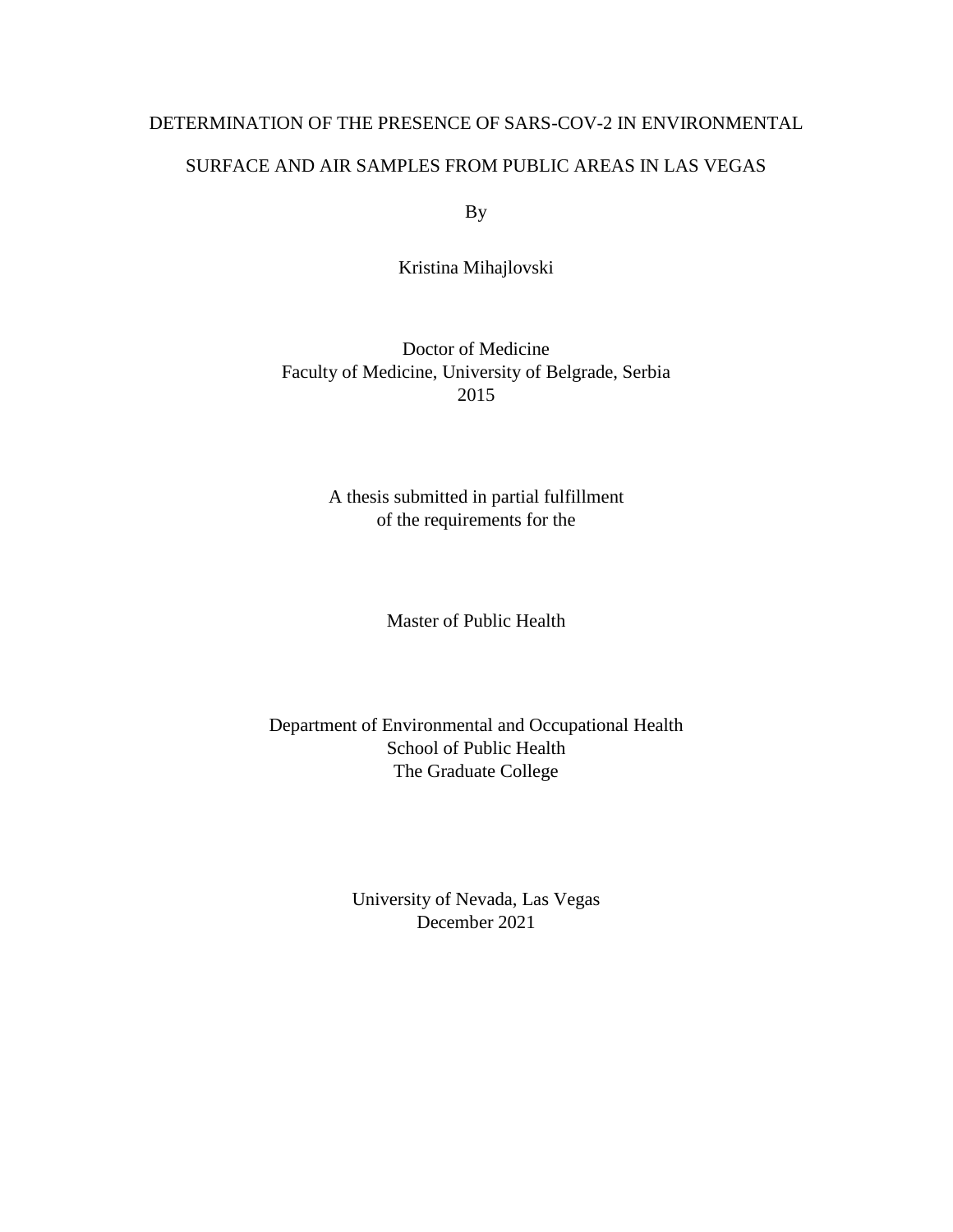#### DETERMINATION OF THE PRESENCE OF SARS-COV-2 IN ENVIRONMENTAL

#### SURFACE AND AIR SAMPLES FROM PUBLIC AREAS IN LAS VEGAS

By

Kristina Mihajlovski

Doctor of Medicine Faculty of Medicine, University of Belgrade, Serbia 2015

> A thesis submitted in partial fulfillment of the requirements for the

> > Master of Public Health

Department of Environmental and Occupational Health School of Public Health The Graduate College

> University of Nevada, Las Vegas December 2021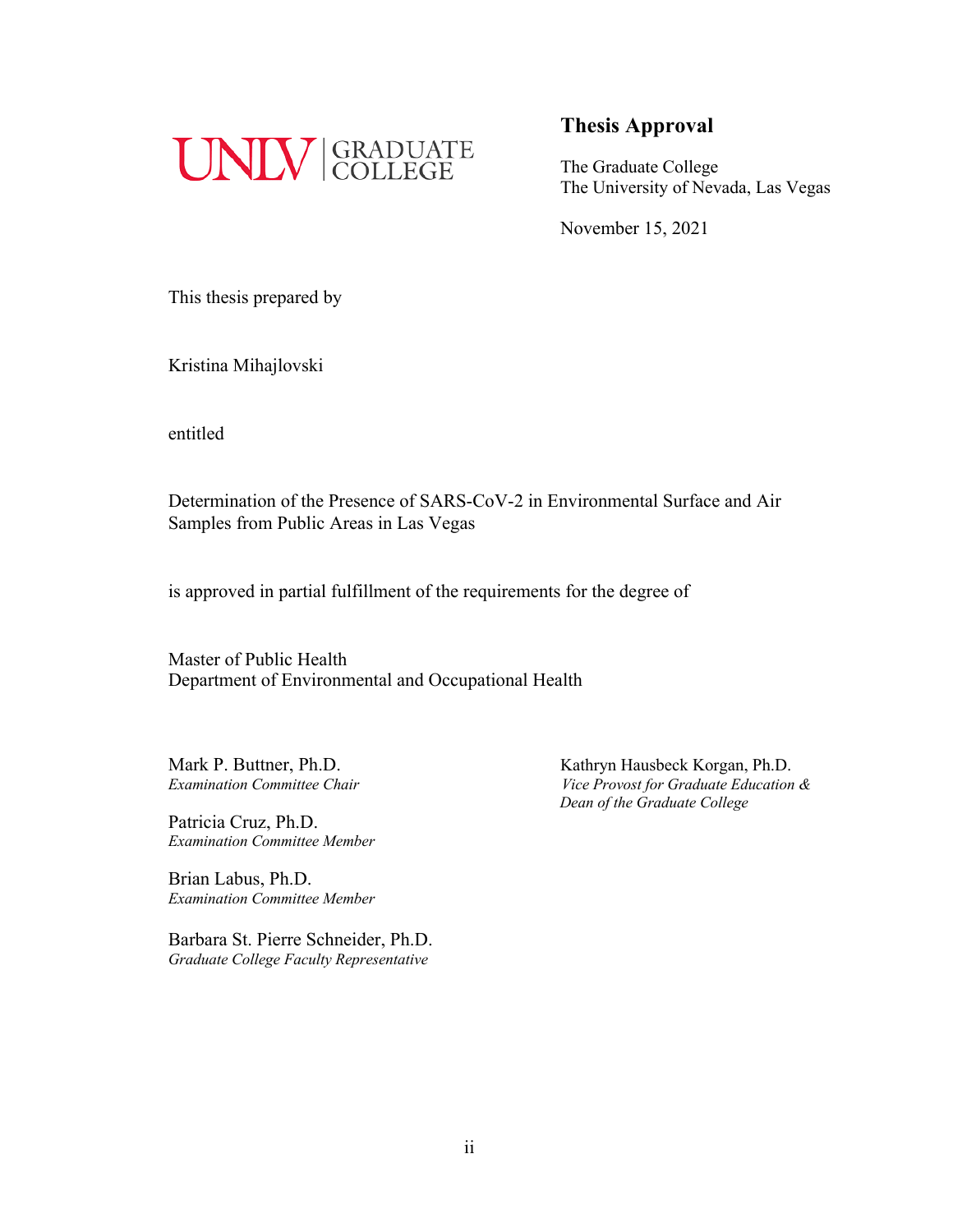

The Graduate College The University of Nevada, Las Vegas

November 15, 2021

This thesis prepared by

Kristina Mihajlovski

entitled

Determination of the Presence of SARS-CoV-2 in Environmental Surface and Air Samples from Public Areas in Las Vegas

is approved in partial fulfillment of the requirements for the degree of

Master of Public Health Department of Environmental and Occupational Health

Patricia Cruz, Ph.D. *Examination Committee Member*

Brian Labus, Ph.D. *Examination Committee Member*

Barbara St. Pierre Schneider, Ph.D. *Graduate College Faculty Representative*

Mark P. Buttner, Ph.D. *Kathryn Hausbeck Korgan, Ph.D. Examination Committee Chair Vice Provost for Graduate Education & Dean of the Graduate College*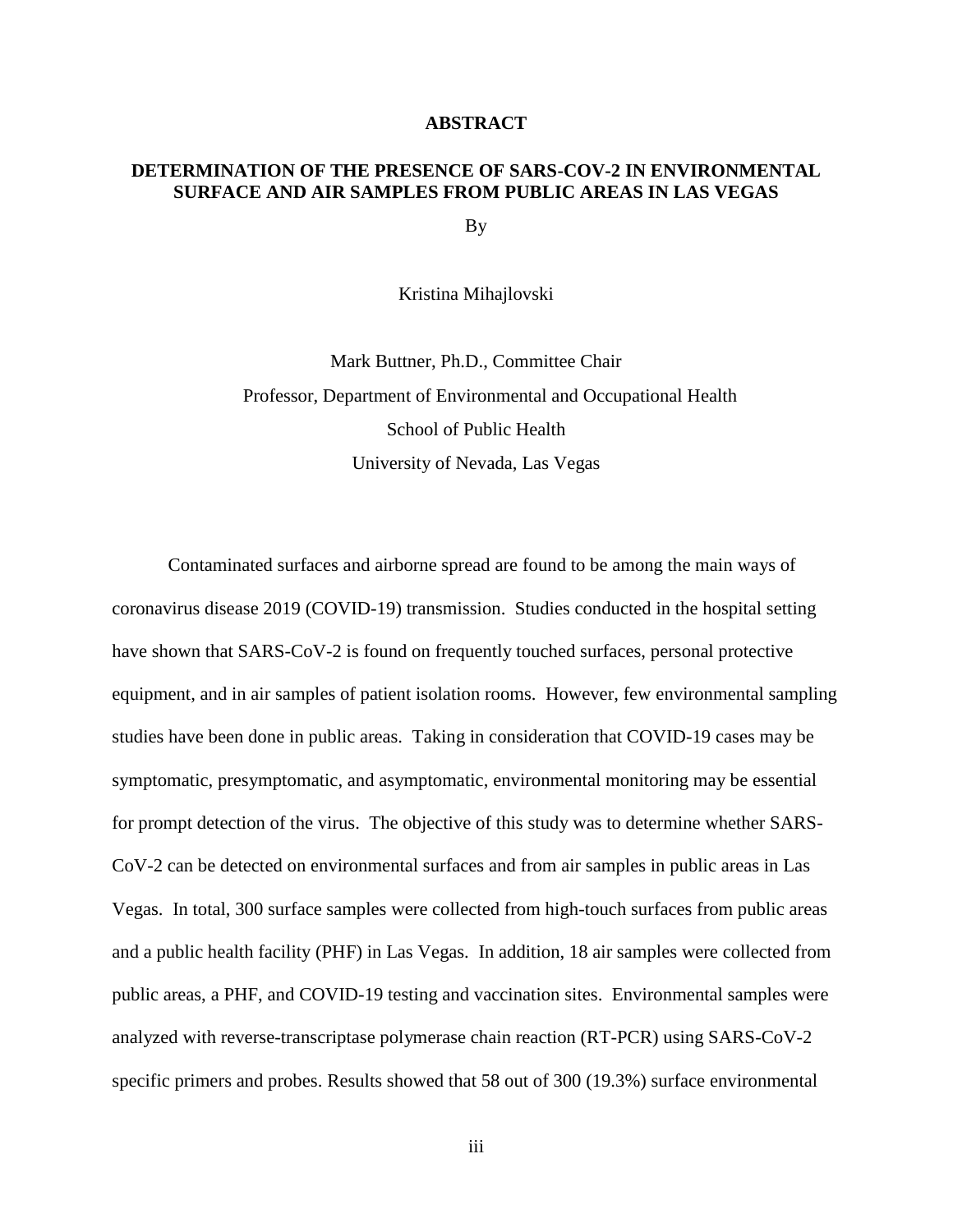#### **ABSTRACT**

#### **DETERMINATION OF THE PRESENCE OF SARS-COV-2 IN ENVIRONMENTAL SURFACE AND AIR SAMPLES FROM PUBLIC AREAS IN LAS VEGAS**

By

Kristina Mihajlovski

Mark Buttner, Ph.D., Committee Chair Professor, Department of Environmental and Occupational Health School of Public Health University of Nevada, Las Vegas

Contaminated surfaces and airborne spread are found to be among the main ways of coronavirus disease 2019 (COVID-19) transmission. Studies conducted in the hospital setting have shown that SARS-CoV-2 is found on frequently touched surfaces, personal protective equipment, and in air samples of patient isolation rooms. However, few environmental sampling studies have been done in public areas. Taking in consideration that COVID-19 cases may be symptomatic, presymptomatic, and asymptomatic, environmental monitoring may be essential for prompt detection of the virus. The objective of this study was to determine whether SARS-CoV-2 can be detected on environmental surfaces and from air samples in public areas in Las Vegas. In total, 300 surface samples were collected from high-touch surfaces from public areas and a public health facility (PHF) in Las Vegas. In addition, 18 air samples were collected from public areas, a PHF, and COVID-19 testing and vaccination sites. Environmental samples were analyzed with reverse-transcriptase polymerase chain reaction (RT-PCR) using SARS-CoV-2 specific primers and probes. Results showed that 58 out of 300 (19.3%) surface environmental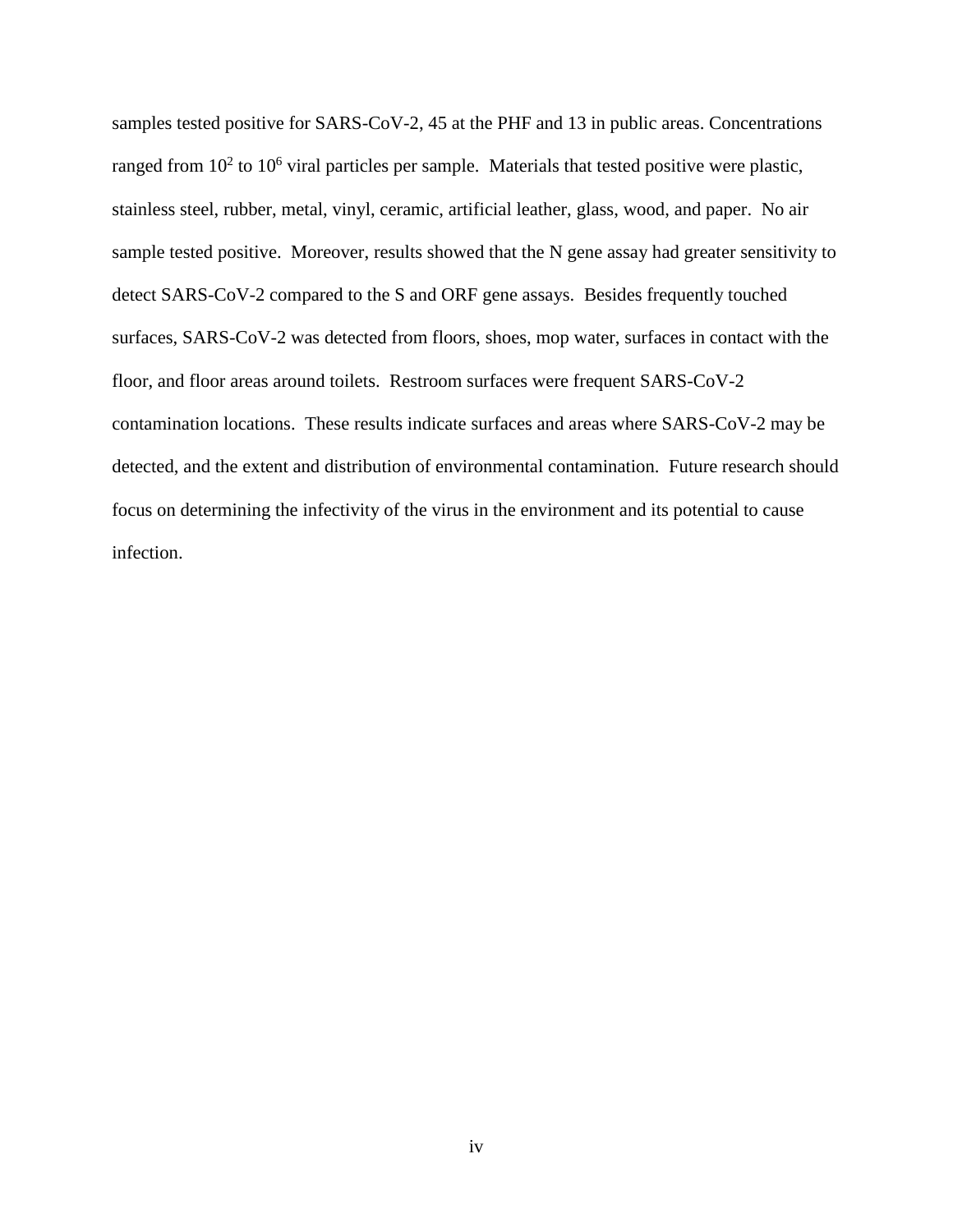samples tested positive for SARS-CoV-2, 45 at the PHF and 13 in public areas. Concentrations ranged from  $10^2$  to  $10^6$  viral particles per sample. Materials that tested positive were plastic, stainless steel, rubber, metal, vinyl, ceramic, artificial leather, glass, wood, and paper. No air sample tested positive. Moreover, results showed that the N gene assay had greater sensitivity to detect SARS-CoV-2 compared to the S and ORF gene assays. Besides frequently touched surfaces, SARS-CoV-2 was detected from floors, shoes, mop water, surfaces in contact with the floor, and floor areas around toilets. Restroom surfaces were frequent SARS-CoV-2 contamination locations. These results indicate surfaces and areas where SARS-CoV-2 may be detected, and the extent and distribution of environmental contamination. Future research should focus on determining the infectivity of the virus in the environment and its potential to cause infection.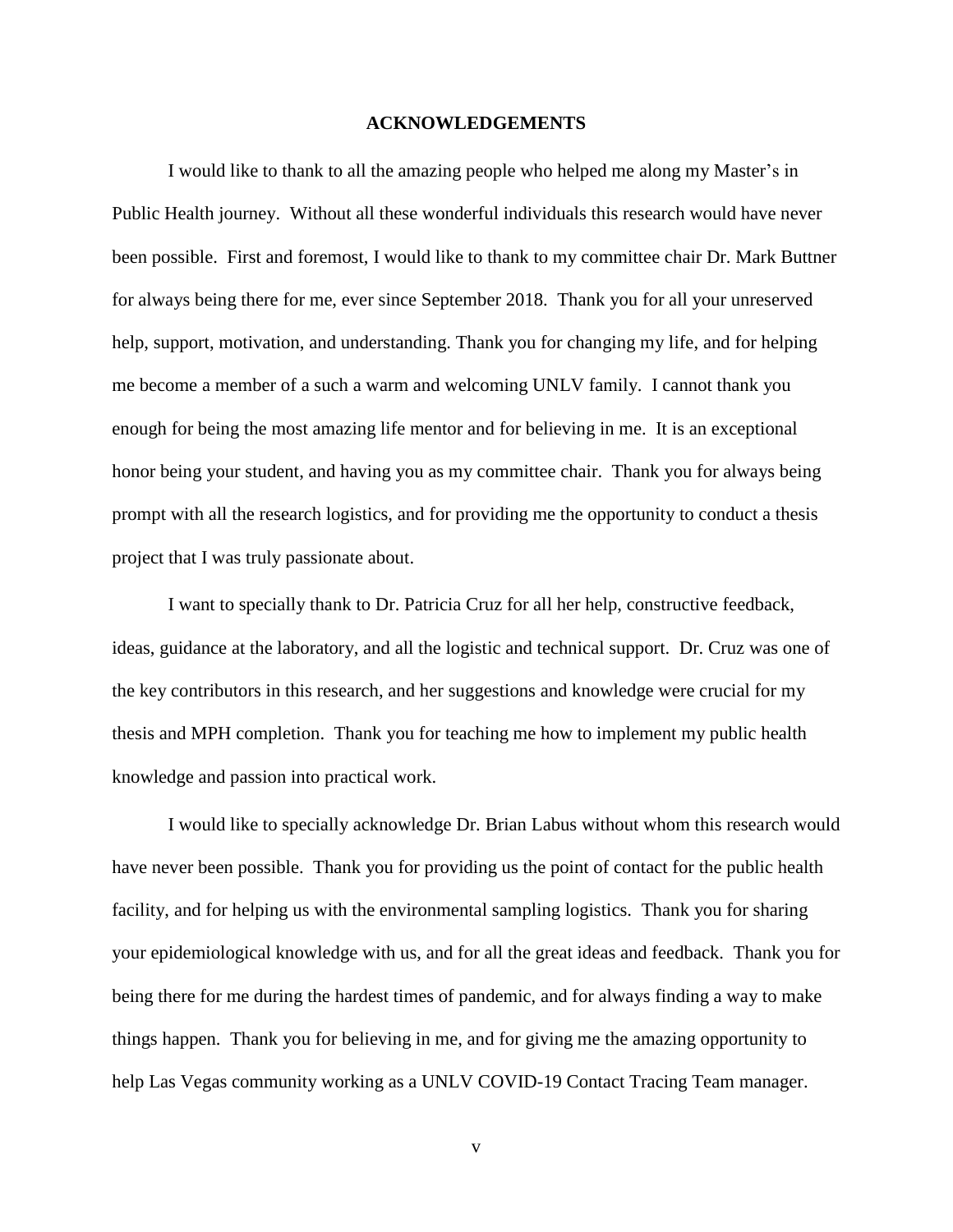#### **ACKNOWLEDGEMENTS**

I would like to thank to all the amazing people who helped me along my Master's in Public Health journey. Without all these wonderful individuals this research would have never been possible. First and foremost, I would like to thank to my committee chair Dr. Mark Buttner for always being there for me, ever since September 2018. Thank you for all your unreserved help, support, motivation, and understanding. Thank you for changing my life, and for helping me become a member of a such a warm and welcoming UNLV family. I cannot thank you enough for being the most amazing life mentor and for believing in me. It is an exceptional honor being your student, and having you as my committee chair. Thank you for always being prompt with all the research logistics, and for providing me the opportunity to conduct a thesis project that I was truly passionate about.

I want to specially thank to Dr. Patricia Cruz for all her help, constructive feedback, ideas, guidance at the laboratory, and all the logistic and technical support. Dr. Cruz was one of the key contributors in this research, and her suggestions and knowledge were crucial for my thesis and MPH completion. Thank you for teaching me how to implement my public health knowledge and passion into practical work.

I would like to specially acknowledge Dr. Brian Labus without whom this research would have never been possible. Thank you for providing us the point of contact for the public health facility, and for helping us with the environmental sampling logistics. Thank you for sharing your epidemiological knowledge with us, and for all the great ideas and feedback. Thank you for being there for me during the hardest times of pandemic, and for always finding a way to make things happen. Thank you for believing in me, and for giving me the amazing opportunity to help Las Vegas community working as a UNLV COVID-19 Contact Tracing Team manager.

v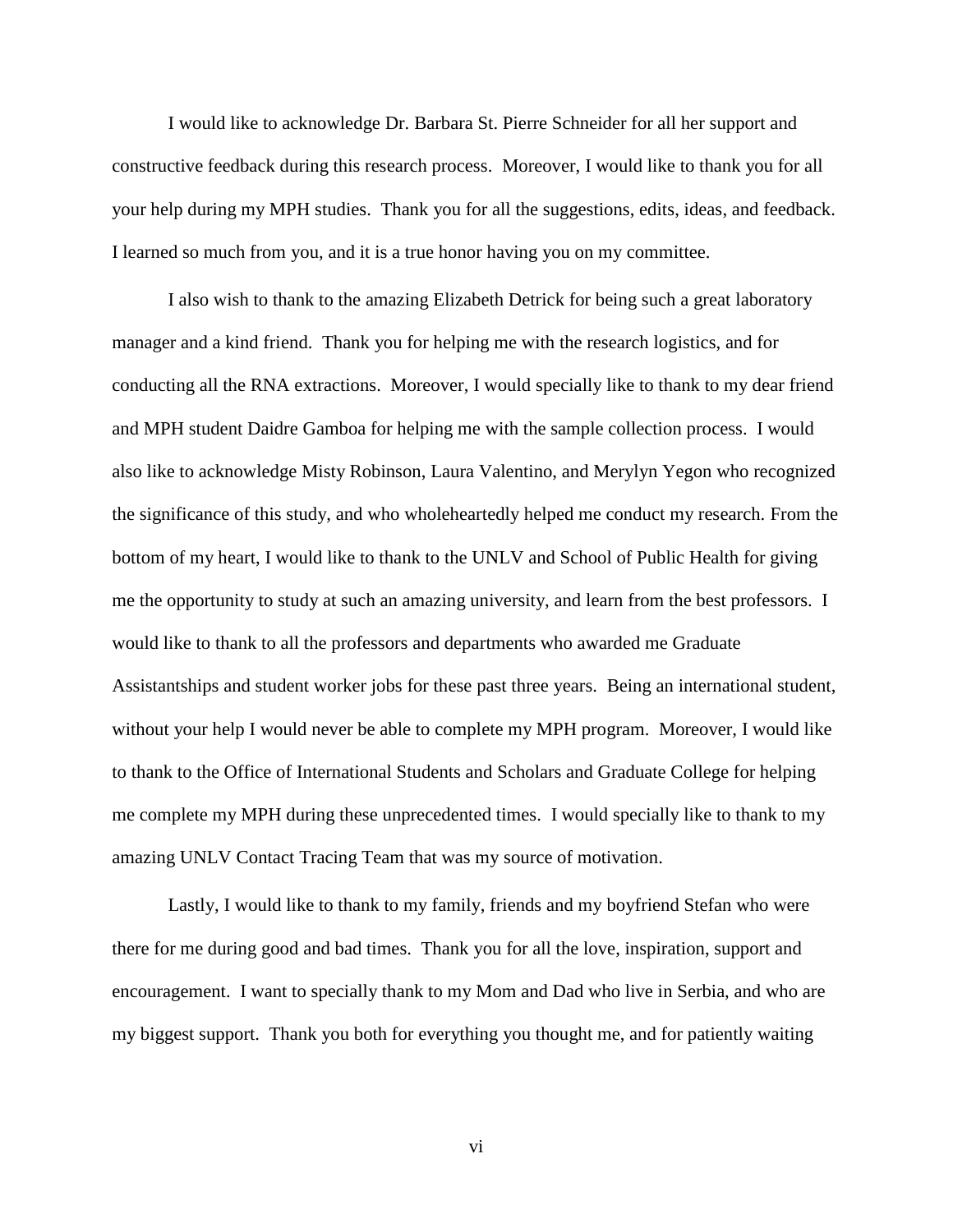I would like to acknowledge Dr. Barbara St. Pierre Schneider for all her support and constructive feedback during this research process. Moreover, I would like to thank you for all your help during my MPH studies. Thank you for all the suggestions, edits, ideas, and feedback. I learned so much from you, and it is a true honor having you on my committee.

I also wish to thank to the amazing Elizabeth Detrick for being such a great laboratory manager and a kind friend. Thank you for helping me with the research logistics, and for conducting all the RNA extractions. Moreover, I would specially like to thank to my dear friend and MPH student Daidre Gamboa for helping me with the sample collection process. I would also like to acknowledge Misty Robinson, Laura Valentino, and Merylyn Yegon who recognized the significance of this study, and who wholeheartedly helped me conduct my research. From the bottom of my heart, I would like to thank to the UNLV and School of Public Health for giving me the opportunity to study at such an amazing university, and learn from the best professors. I would like to thank to all the professors and departments who awarded me Graduate Assistantships and student worker jobs for these past three years. Being an international student, without your help I would never be able to complete my MPH program. Moreover, I would like to thank to the Office of International Students and Scholars and Graduate College for helping me complete my MPH during these unprecedented times. I would specially like to thank to my amazing UNLV Contact Tracing Team that was my source of motivation.

Lastly, I would like to thank to my family, friends and my boyfriend Stefan who were there for me during good and bad times. Thank you for all the love, inspiration, support and encouragement. I want to specially thank to my Mom and Dad who live in Serbia, and who are my biggest support. Thank you both for everything you thought me, and for patiently waiting

vi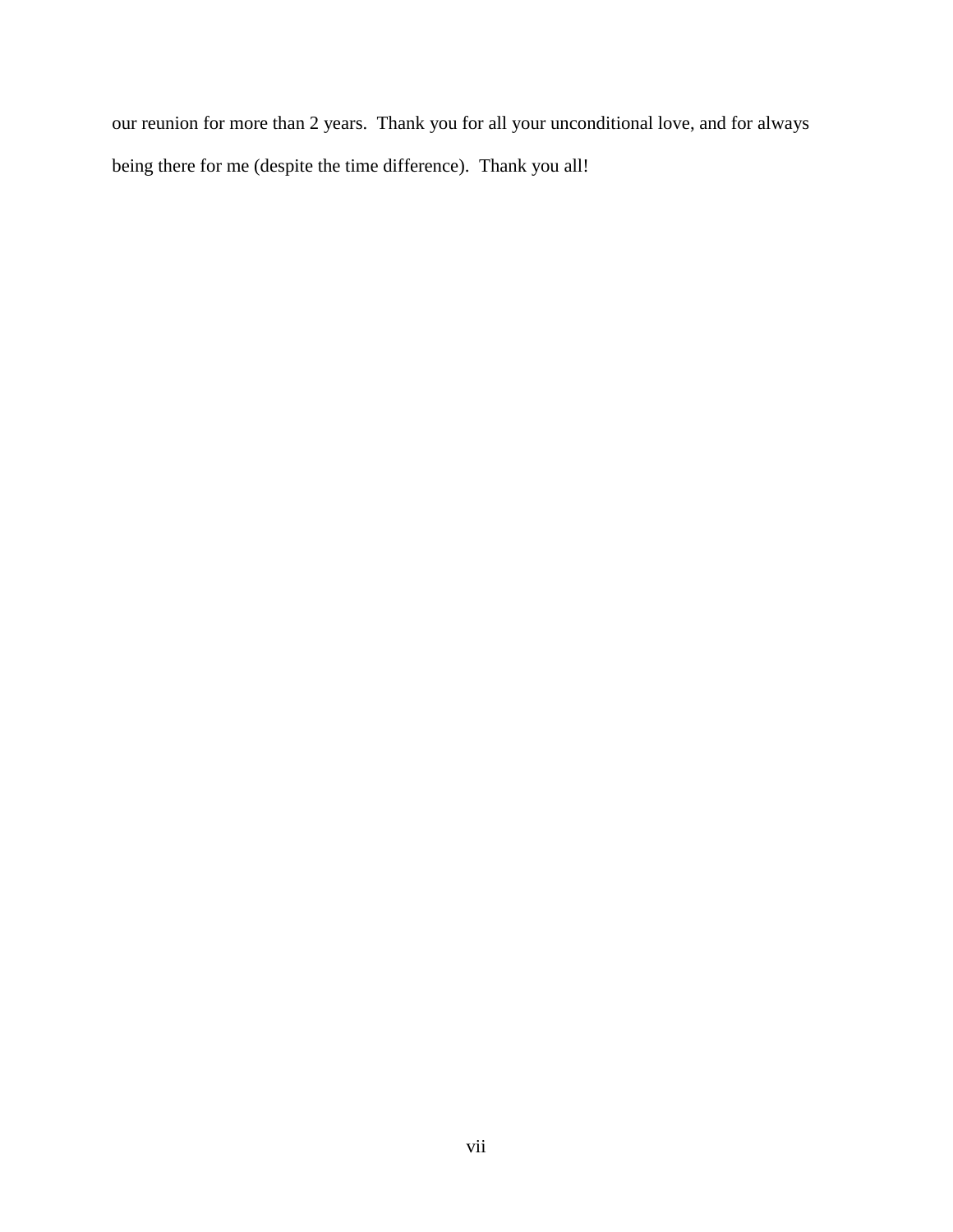our reunion for more than 2 years. Thank you for all your unconditional love, and for always being there for me (despite the time difference). Thank you all!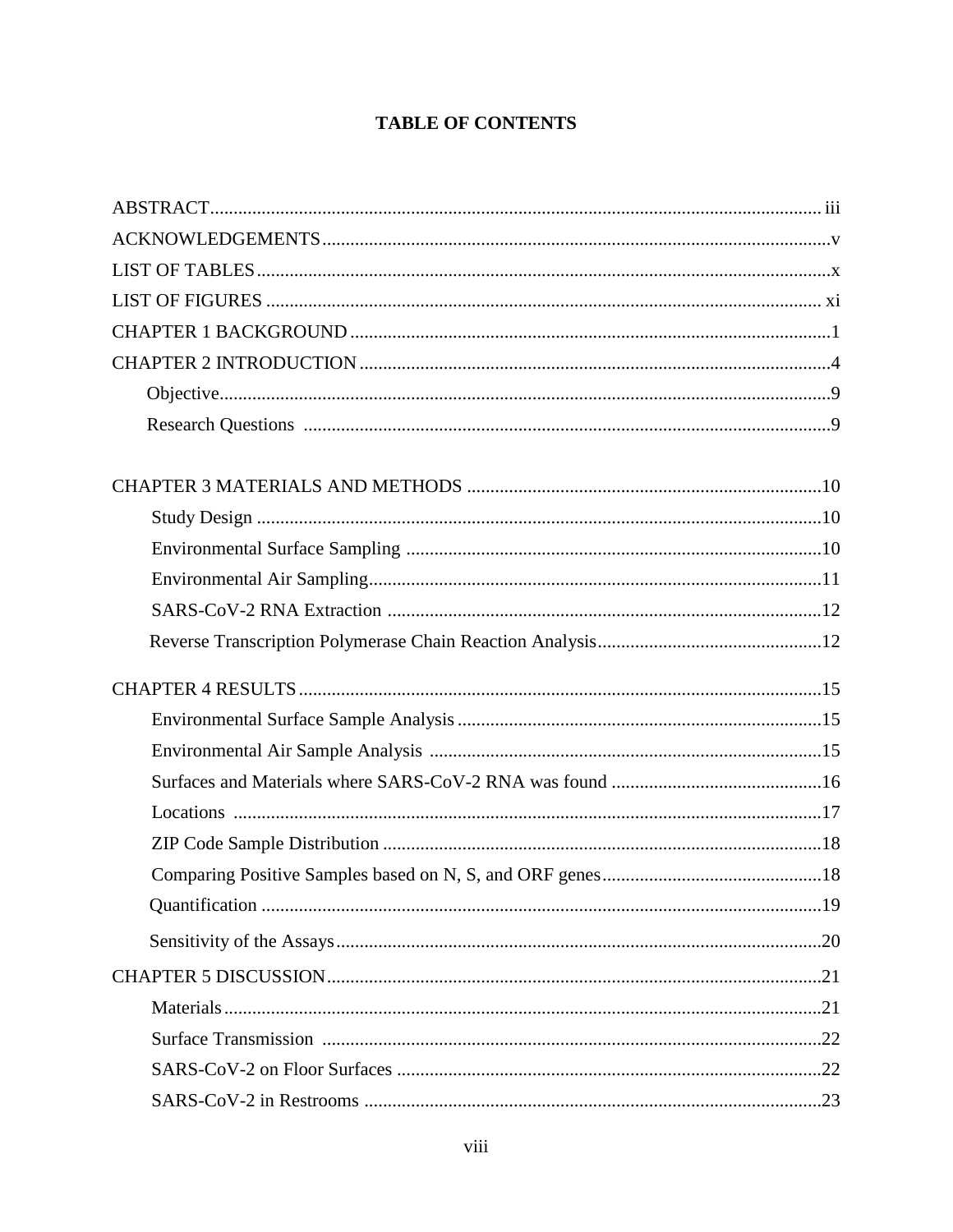# **TABLE OF CONTENTS**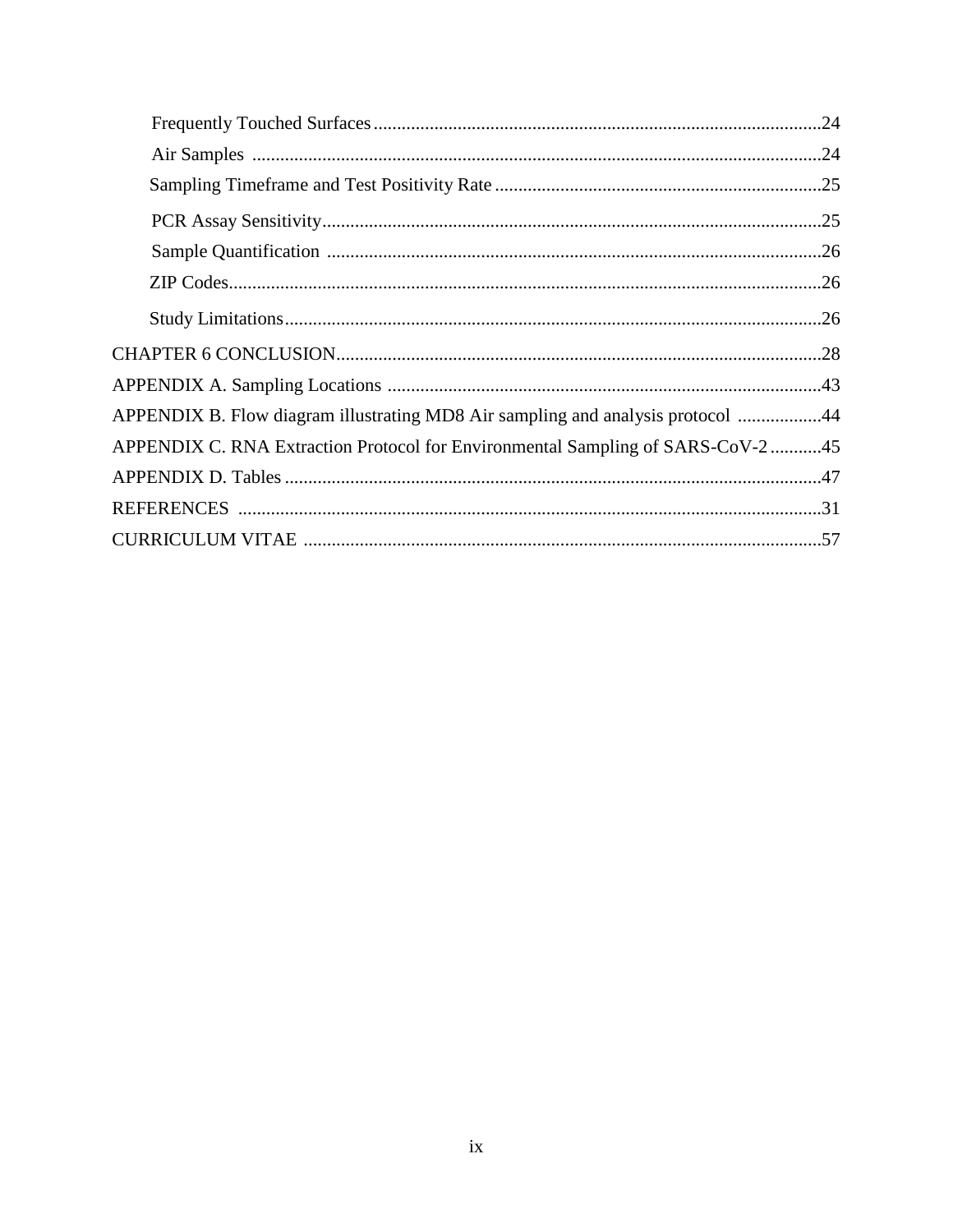| APPENDIX B. Flow diagram illustrating MD8 Air sampling and analysis protocol 44 |  |
|---------------------------------------------------------------------------------|--|
| APPENDIX C. RNA Extraction Protocol for Environmental Sampling of SARS-CoV-2 45 |  |
|                                                                                 |  |
|                                                                                 |  |
|                                                                                 |  |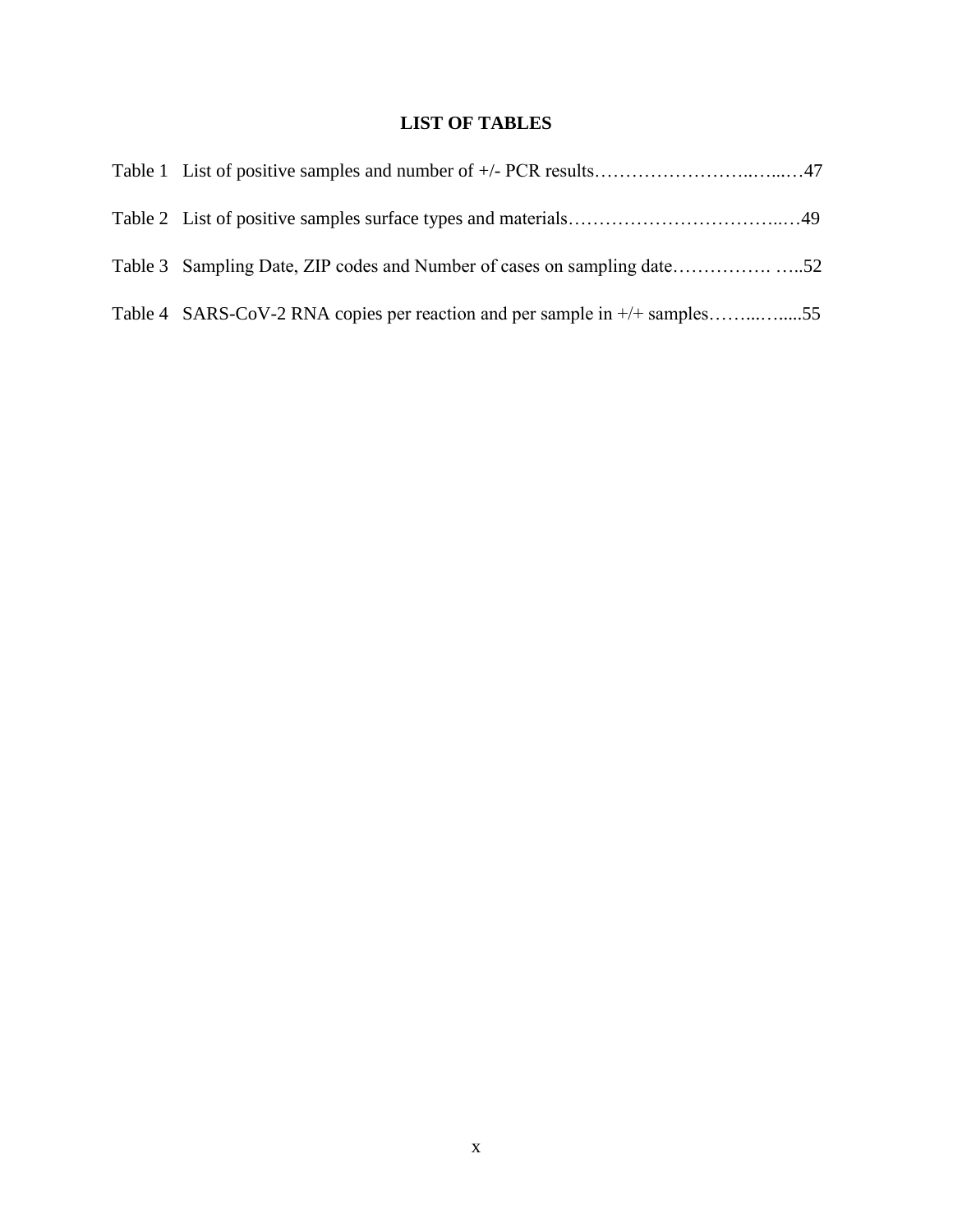# **LIST OF TABLES**

| Table 4 SARS-CoV-2 RNA copies per reaction and per sample in +/+ samples55 |  |
|----------------------------------------------------------------------------|--|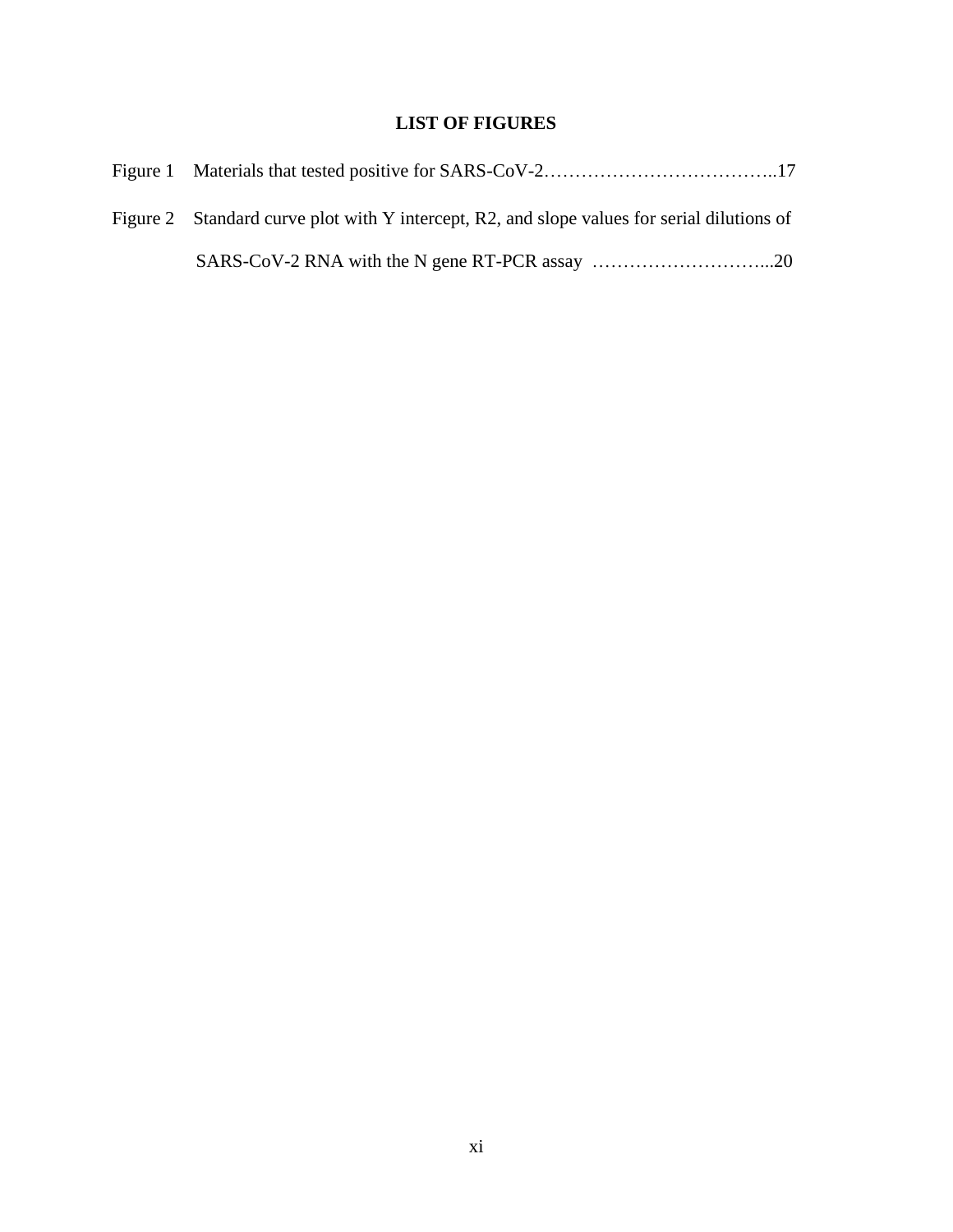# **LIST OF FIGURES**

| Figure 2 Standard curve plot with Y intercept, R2, and slope values for serial dilutions of |
|---------------------------------------------------------------------------------------------|
|                                                                                             |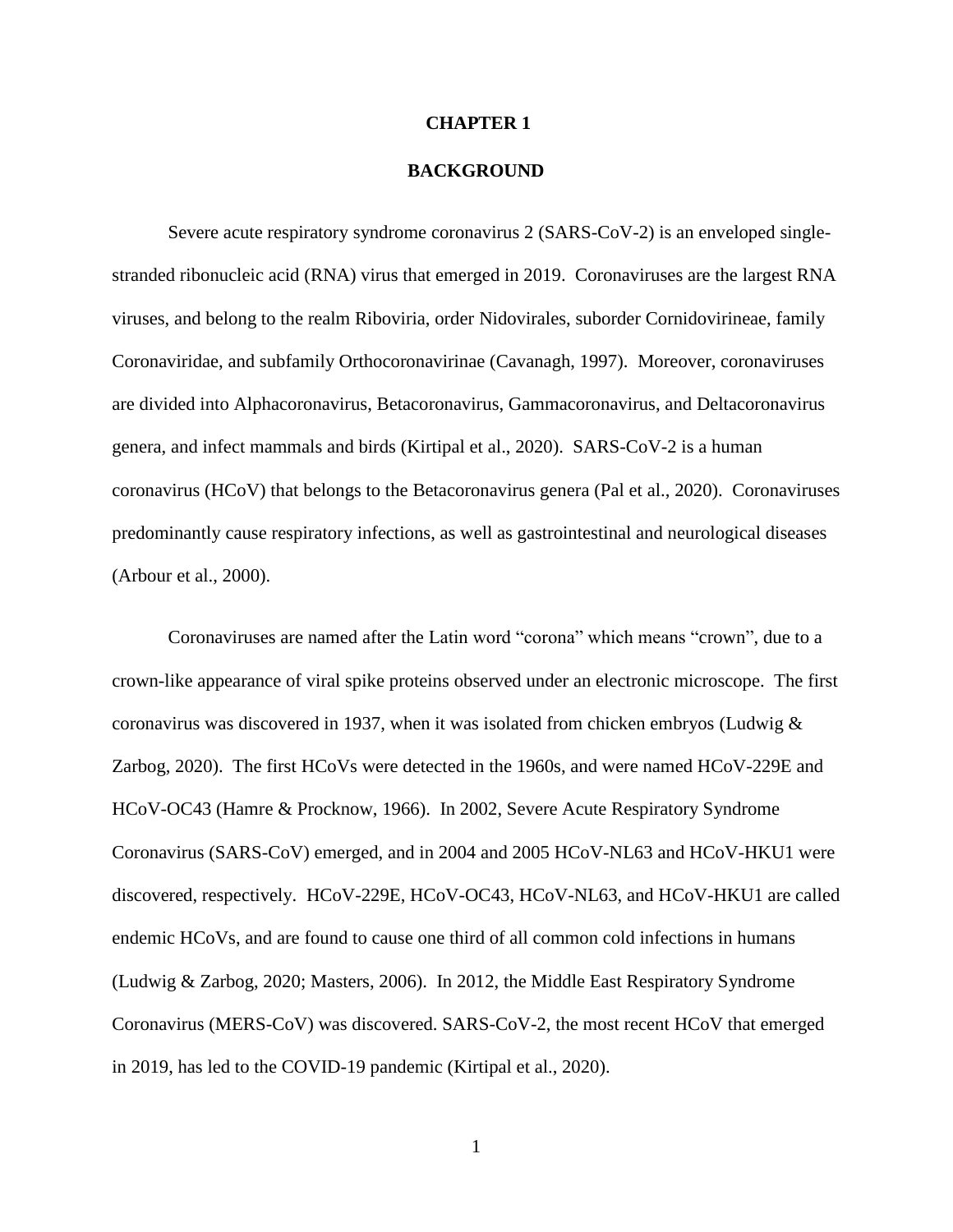#### **CHAPTER 1**

#### **BACKGROUND**

Severe acute respiratory syndrome coronavirus 2 (SARS-CoV-2) is an enveloped singlestranded ribonucleic acid (RNA) virus that emerged in 2019. Coronaviruses are the largest RNA viruses, and belong to the realm Riboviria, order Nidovirales, suborder Cornidovirineae, family Coronaviridae, and subfamily Orthocoronavirinae (Cavanagh, 1997). Moreover, coronaviruses are divided into Alphacoronavirus, Betacoronavirus, Gammacoronavirus, and Deltacoronavirus genera, and infect mammals and birds (Kirtipal et al., 2020). SARS-CoV-2 is a human coronavirus (HCoV) that belongs to the Betacoronavirus genera (Pal et al., 2020). Coronaviruses predominantly cause respiratory infections, as well as gastrointestinal and neurological diseases (Arbour et al., 2000).

Coronaviruses are named after the Latin word "corona" which means "crown", due to a crown-like appearance of viral spike proteins observed under an electronic microscope. The first coronavirus was discovered in 1937, when it was isolated from chicken embryos (Ludwig  $\&$ Zarbog, 2020). The first HCoVs were detected in the 1960s, and were named HCoV-229E and HCoV-OC43 (Hamre & Procknow, 1966). In 2002, Severe Acute Respiratory Syndrome Coronavirus (SARS-CoV) emerged, and in 2004 and 2005 HCoV-NL63 and HCoV-HKU1 were discovered, respectively. HCoV-229E, HCoV-OC43, HCoV-NL63, and HCoV-HKU1 are called endemic HCoVs, and are found to cause one third of all common cold infections in humans (Ludwig & Zarbog, 2020; Masters, 2006). In 2012, the Middle East Respiratory Syndrome Coronavirus (MERS-CoV) was discovered. SARS-CoV-2, the most recent HCoV that emerged in 2019, has led to the COVID-19 pandemic (Kirtipal et al., 2020).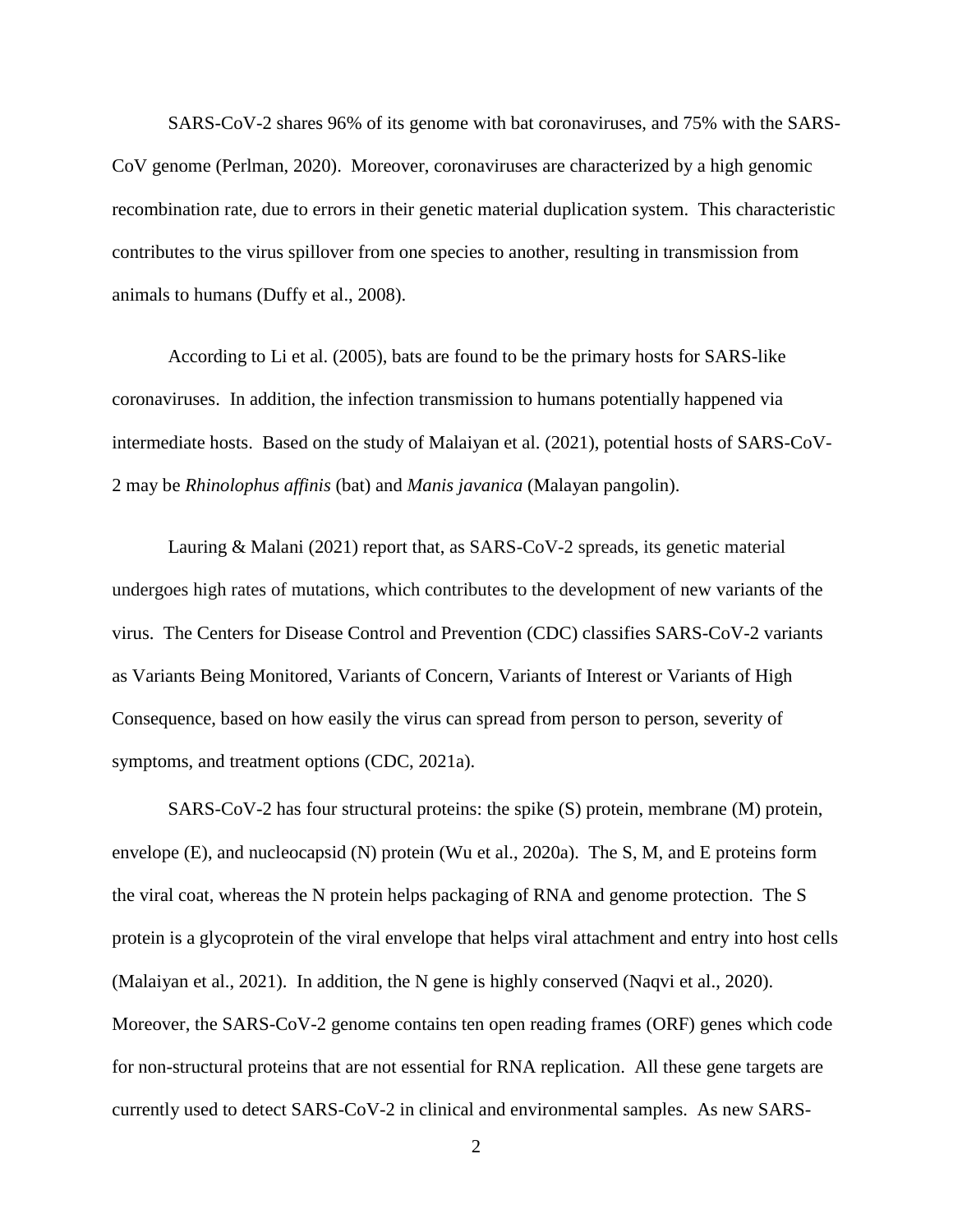SARS-CoV-2 shares 96% of its genome with bat coronaviruses, and 75% with the SARS-CoV genome (Perlman, 2020). Moreover, coronaviruses are characterized by a high genomic recombination rate, due to errors in their genetic material duplication system. This characteristic contributes to the virus spillover from one species to another, resulting in transmission from animals to humans (Duffy et al., 2008).

According to Li et al. (2005), bats are found to be the primary hosts for SARS-like coronaviruses. In addition, the infection transmission to humans potentially happened via intermediate hosts. Based on the study of Malaiyan et al. (2021), potential hosts of SARS-CoV-2 may be *Rhinolophus affinis* (bat) and *Manis javanica* (Malayan pangolin).

Lauring & Malani (2021) report that, as SARS-CoV-2 spreads, its genetic material undergoes high rates of mutations, which contributes to the development of new variants of the virus. The Centers for Disease Control and Prevention (CDC) classifies SARS-CoV-2 variants as Variants Being Monitored, Variants of Concern, Variants of Interest or Variants of High Consequence, based on how easily the virus can spread from person to person, severity of symptoms, and treatment options (CDC, 2021a).

SARS-CoV-2 has four structural proteins: the spike (S) protein, membrane (M) protein, envelope (E), and nucleocapsid (N) protein (Wu et al., 2020a). The S, M, and E proteins form the viral coat, whereas the N protein helps packaging of RNA and genome protection. The S protein is a glycoprotein of the viral envelope that helps viral attachment and entry into host cells (Malaiyan et al., 2021). In addition, the N gene is highly conserved (Naqvi et al., 2020). Moreover, the SARS-CoV-2 genome contains ten open reading frames (ORF) genes which code for non-structural proteins that are not essential for RNA replication. All these gene targets are currently used to detect SARS-CoV-2 in clinical and environmental samples. As new SARS-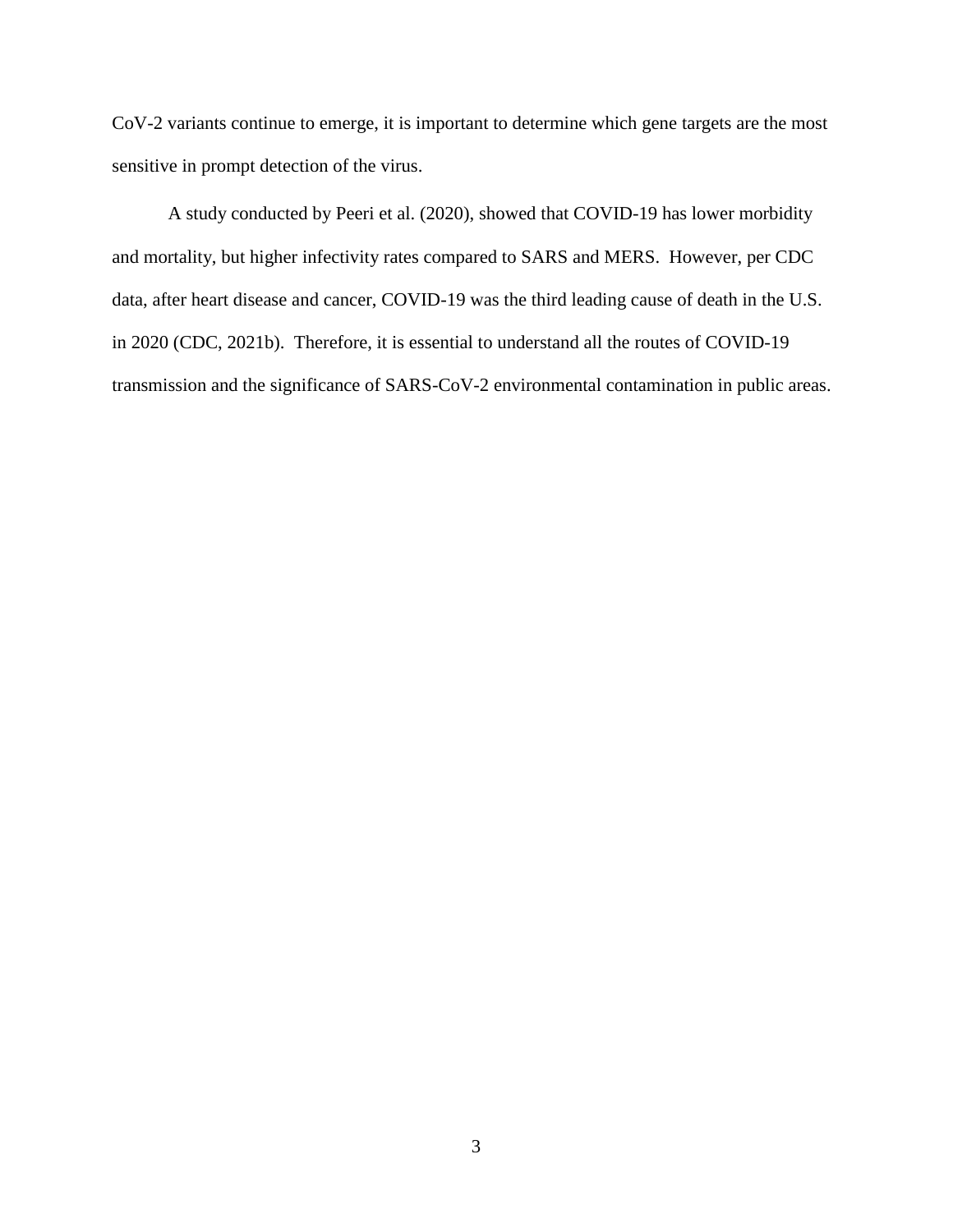CoV-2 variants continue to emerge, it is important to determine which gene targets are the most sensitive in prompt detection of the virus.

A study conducted by Peeri et al. (2020), showed that COVID-19 has lower morbidity and mortality, but higher infectivity rates compared to SARS and MERS. However, per CDC data, after heart disease and cancer, COVID-19 was the third leading cause of death in the U.S. in 2020 (CDC, 2021b). Therefore, it is essential to understand all the routes of COVID-19 transmission and the significance of SARS-CoV-2 environmental contamination in public areas.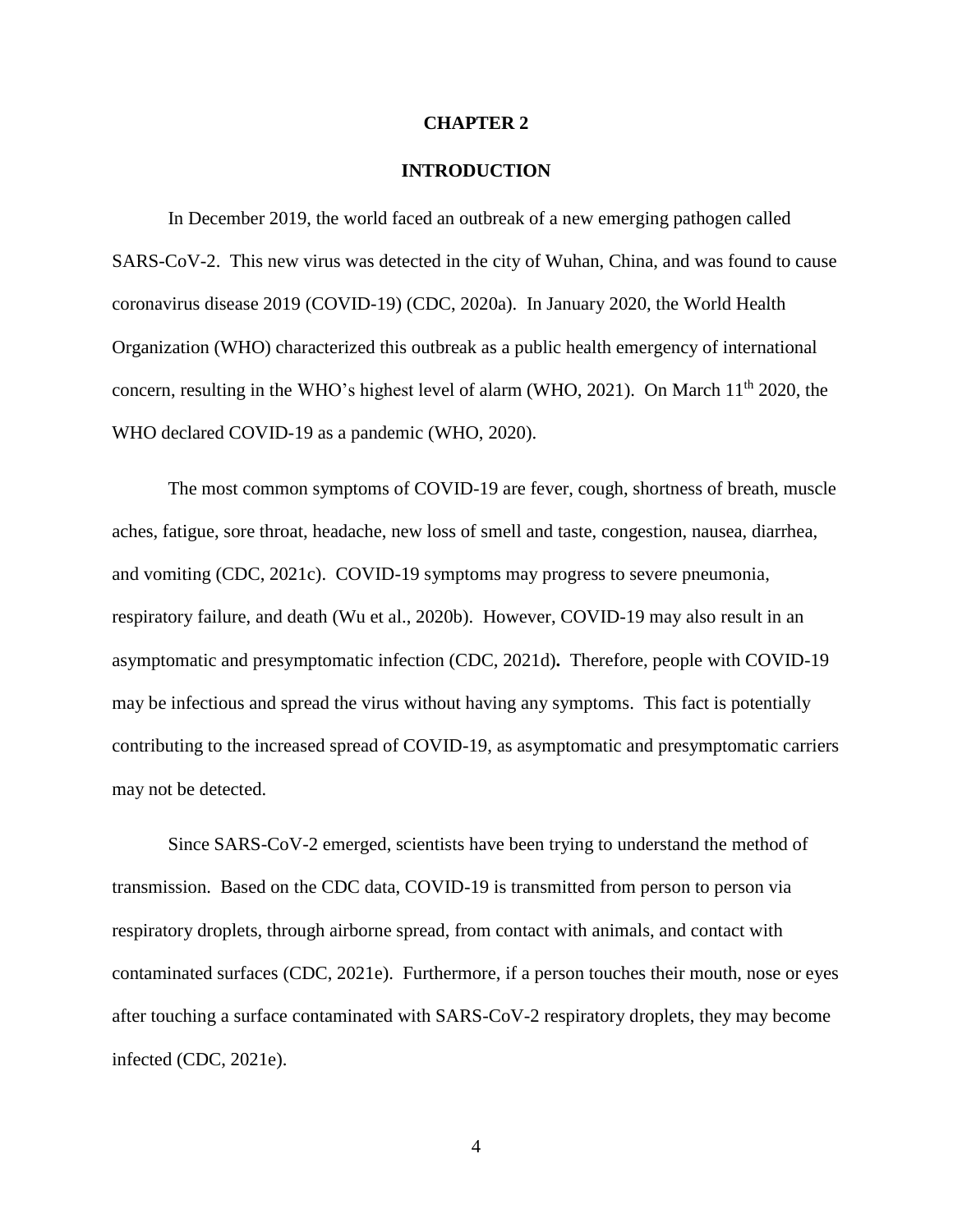#### **CHAPTER 2**

#### **INTRODUCTION**

In December 2019, the world faced an outbreak of a new emerging pathogen called SARS-CoV-2. This new virus was detected in the city of Wuhan, China, and was found to cause coronavirus disease 2019 (COVID-19) (CDC, 2020a). In January 2020, the World Health Organization (WHO) characterized this outbreak as a public health emergency of international concern, resulting in the WHO's highest level of alarm (WHO, 2021). On March 11<sup>th</sup> 2020, the WHO declared COVID-19 as a pandemic (WHO, 2020).

The most common symptoms of COVID-19 are fever, cough, shortness of breath, muscle aches, fatigue, sore throat, headache, new loss of smell and taste, congestion, nausea, diarrhea, and vomiting (CDC, 2021c). COVID-19 symptoms may progress to severe pneumonia, respiratory failure, and death (Wu et al., 2020b). However, COVID-19 may also result in an asymptomatic and presymptomatic infection (CDC, 2021d)**.** Therefore, people with COVID-19 may be infectious and spread the virus without having any symptoms. This fact is potentially contributing to the increased spread of COVID-19, as asymptomatic and presymptomatic carriers may not be detected.

Since SARS-CoV-2 emerged, scientists have been trying to understand the method of transmission. Based on the CDC data, COVID-19 is transmitted from person to person via respiratory droplets, through airborne spread, from contact with animals, and contact with contaminated surfaces (CDC, 2021e). Furthermore, if a person touches their mouth, nose or eyes after touching a surface contaminated with SARS-CoV-2 respiratory droplets, they may become infected (CDC, 2021e).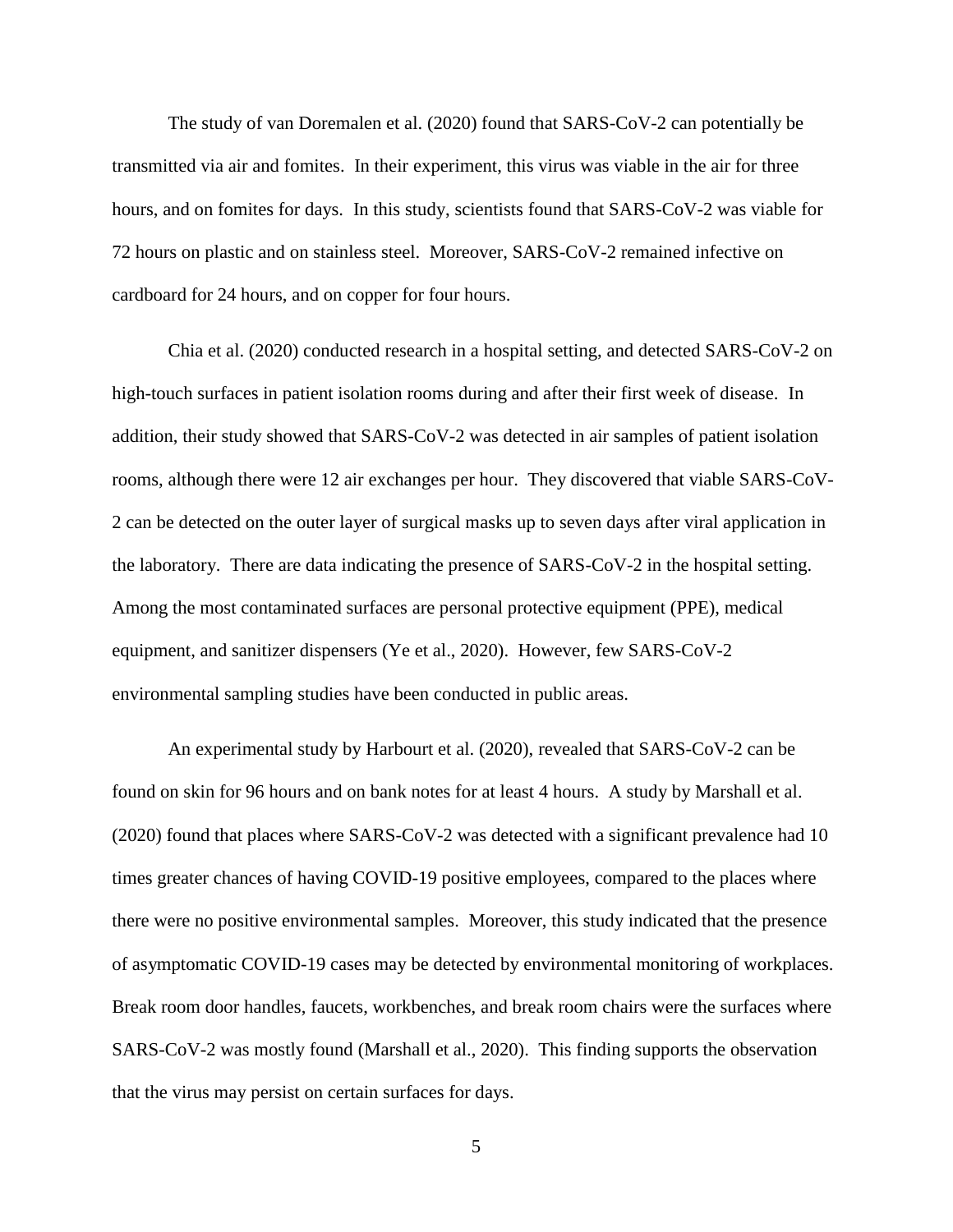The study of van Doremalen et al. (2020) found that SARS-CoV-2 can potentially be transmitted via air and fomites. In their experiment, this virus was viable in the air for three hours, and on fomites for days. In this study, scientists found that SARS-CoV-2 was viable for 72 hours on plastic and on stainless steel. Moreover, SARS-CoV-2 remained infective on cardboard for 24 hours, and on copper for four hours.

Chia et al. (2020) conducted research in a hospital setting, and detected SARS-CoV-2 on high-touch surfaces in patient isolation rooms during and after their first week of disease. In addition, their study showed that SARS-CoV-2 was detected in air samples of patient isolation rooms, although there were 12 air exchanges per hour. They discovered that viable SARS-CoV-2 can be detected on the outer layer of surgical masks up to seven days after viral application in the laboratory. There are data indicating the presence of SARS-CoV-2 in the hospital setting. Among the most contaminated surfaces are personal protective equipment (PPE), medical equipment, and sanitizer dispensers (Ye et al., 2020). However, few SARS-CoV-2 environmental sampling studies have been conducted in public areas.

An experimental study by Harbourt et al. (2020), revealed that SARS-CoV-2 can be found on skin for 96 hours and on bank notes for at least 4 hours. A study by Marshall et al. (2020) found that places where SARS-CoV-2 was detected with a significant prevalence had 10 times greater chances of having COVID-19 positive employees, compared to the places where there were no positive environmental samples. Moreover, this study indicated that the presence of asymptomatic COVID-19 cases may be detected by environmental monitoring of workplaces. Break room door handles, faucets, workbenches, and break room chairs were the surfaces where SARS-CoV-2 was mostly found (Marshall et al., 2020). This finding supports the observation that the virus may persist on certain surfaces for days.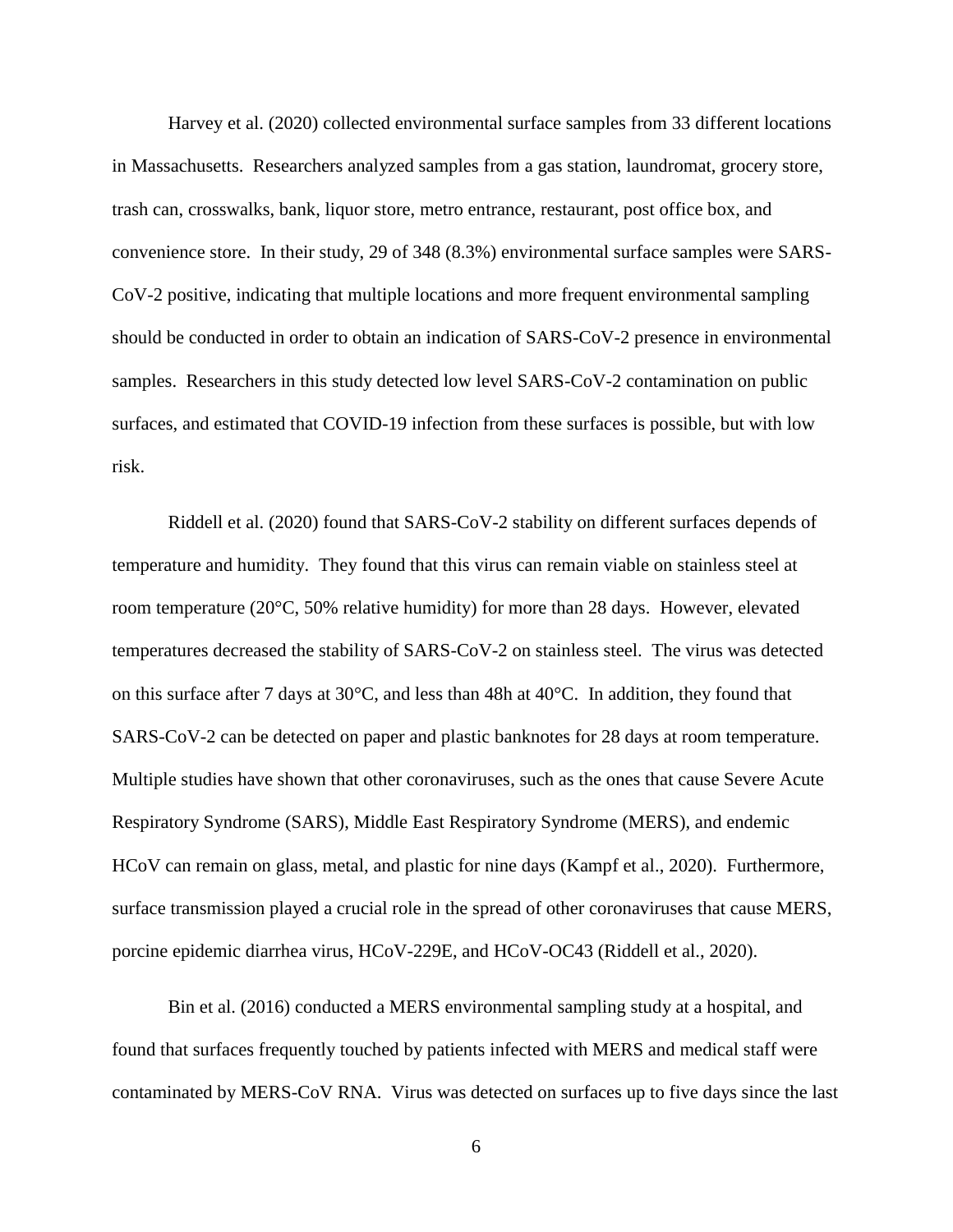Harvey et al. (2020) collected environmental surface samples from 33 different locations in Massachusetts. Researchers analyzed samples from a gas station, laundromat, grocery store, trash can, crosswalks, bank, liquor store, metro entrance, restaurant, post office box, and convenience store. In their study, 29 of 348 (8.3%) environmental surface samples were SARS-CoV-2 positive, indicating that multiple locations and more frequent environmental sampling should be conducted in order to obtain an indication of SARS-CoV-2 presence in environmental samples. Researchers in this study detected low level SARS-CoV-2 contamination on public surfaces, and estimated that COVID-19 infection from these surfaces is possible, but with low risk.

Riddell et al. (2020) found that SARS-CoV-2 stability on different surfaces depends of temperature and humidity. They found that this virus can remain viable on stainless steel at room temperature (20°C, 50% relative humidity) for more than 28 days. However, elevated temperatures decreased the stability of SARS-CoV-2 on stainless steel. The virus was detected on this surface after 7 days at  $30^{\circ}$ C, and less than 48h at  $40^{\circ}$ C. In addition, they found that SARS-CoV-2 can be detected on paper and plastic banknotes for 28 days at room temperature. Multiple studies have shown that other coronaviruses, such as the ones that cause Severe Acute Respiratory Syndrome (SARS), Middle East Respiratory Syndrome (MERS), and endemic HCoV can remain on glass, metal, and plastic for nine days (Kampf et al., 2020). Furthermore, surface transmission played a crucial role in the spread of other coronaviruses that cause MERS, porcine epidemic diarrhea virus, HCoV-229E, and HCoV-OC43 (Riddell et al., 2020).

Bin et al. (2016) conducted a MERS environmental sampling study at a hospital, and found that surfaces frequently touched by patients infected with MERS and medical staff were contaminated by MERS-CoV RNA. Virus was detected on surfaces up to five days since the last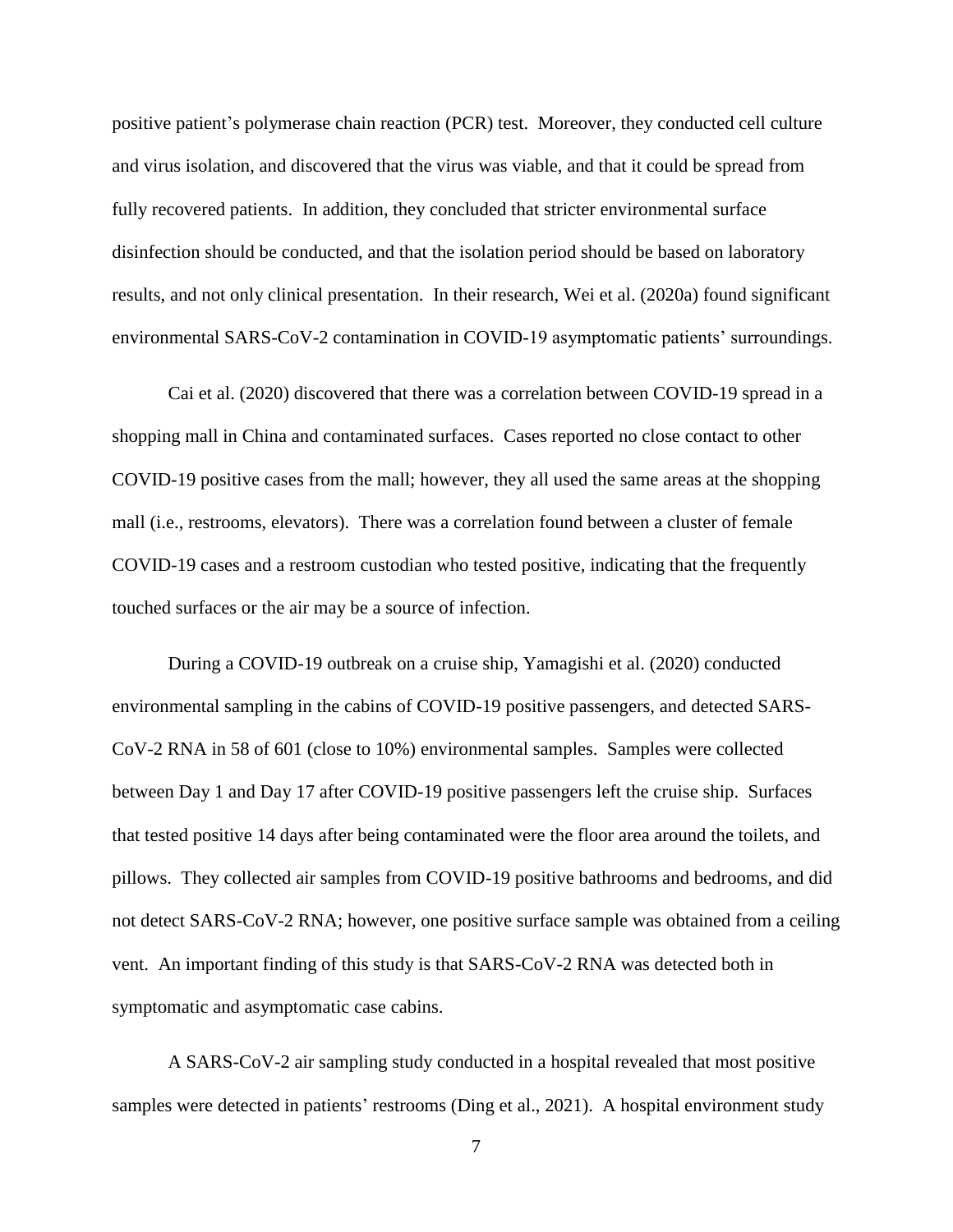positive patient's polymerase chain reaction (PCR) test. Moreover, they conducted cell culture and virus isolation, and discovered that the virus was viable, and that it could be spread from fully recovered patients. In addition, they concluded that stricter environmental surface disinfection should be conducted, and that the isolation period should be based on laboratory results, and not only clinical presentation. In their research, Wei et al. (2020a) found significant environmental SARS-CoV-2 contamination in COVID-19 asymptomatic patients' surroundings.

Cai et al. (2020) discovered that there was a correlation between COVID-19 spread in a shopping mall in China and contaminated surfaces. Cases reported no close contact to other COVID-19 positive cases from the mall; however, they all used the same areas at the shopping mall (i.e., restrooms, elevators). There was a correlation found between a cluster of female COVID-19 cases and a restroom custodian who tested positive, indicating that the frequently touched surfaces or the air may be a source of infection.

During a COVID-19 outbreak on a cruise ship, Yamagishi et al. (2020) conducted environmental sampling in the cabins of COVID-19 positive passengers, and detected SARS-CoV-2 RNA in 58 of 601 (close to 10%) environmental samples. Samples were collected between Day 1 and Day 17 after COVID-19 positive passengers left the cruise ship. Surfaces that tested positive 14 days after being contaminated were the floor area around the toilets, and pillows. They collected air samples from COVID-19 positive bathrooms and bedrooms, and did not detect SARS-CoV-2 RNA; however, one positive surface sample was obtained from a ceiling vent. An important finding of this study is that SARS-CoV-2 RNA was detected both in symptomatic and asymptomatic case cabins.

A SARS-CoV-2 air sampling study conducted in a hospital revealed that most positive samples were detected in patients' restrooms (Ding et al., 2021). A hospital environment study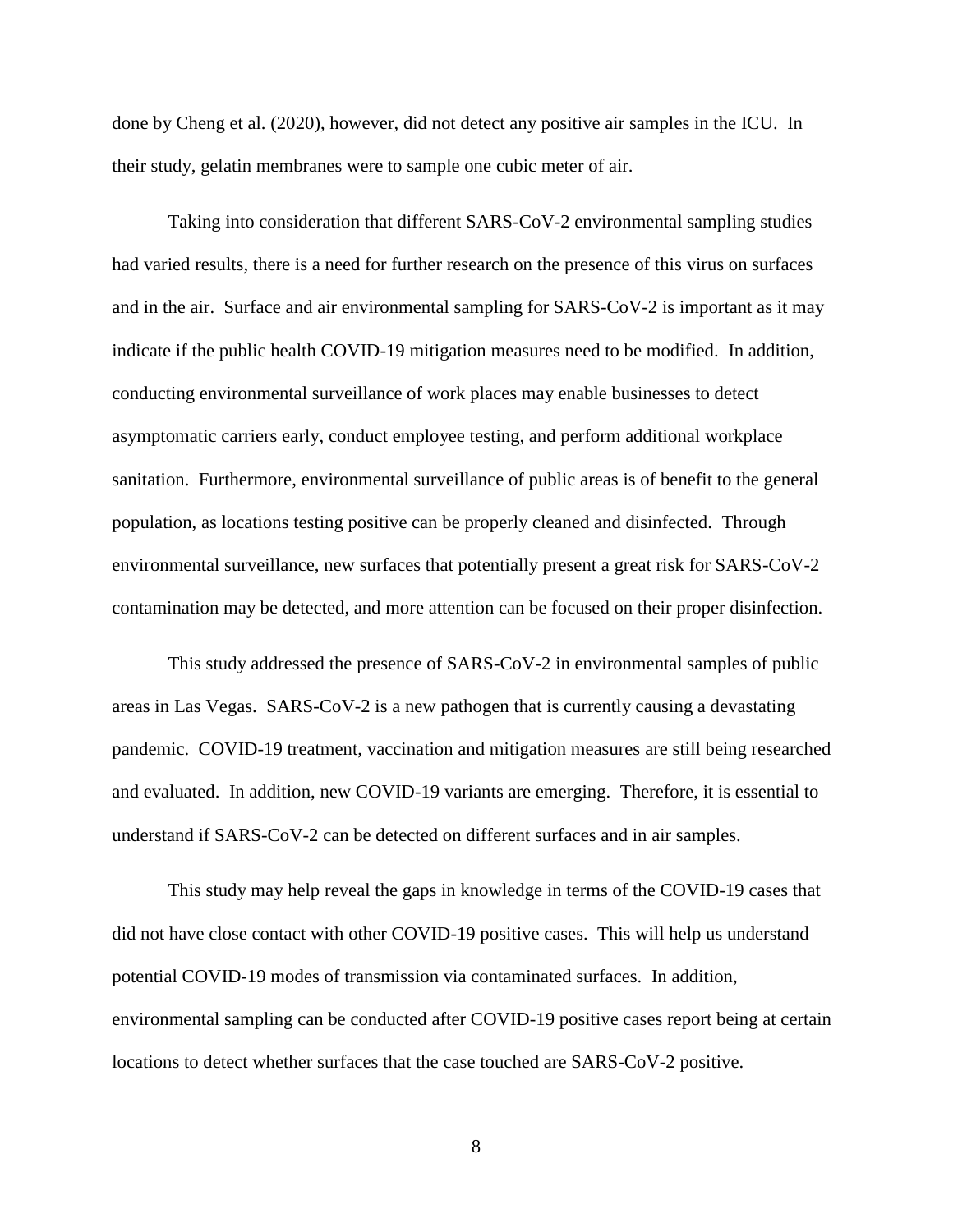done by Cheng et al. (2020), however, did not detect any positive air samples in the ICU. In their study, gelatin membranes were to sample one cubic meter of air.

Taking into consideration that different SARS-CoV-2 environmental sampling studies had varied results, there is a need for further research on the presence of this virus on surfaces and in the air. Surface and air environmental sampling for SARS-CoV-2 is important as it may indicate if the public health COVID-19 mitigation measures need to be modified. In addition, conducting environmental surveillance of work places may enable businesses to detect asymptomatic carriers early, conduct employee testing, and perform additional workplace sanitation. Furthermore, environmental surveillance of public areas is of benefit to the general population, as locations testing positive can be properly cleaned and disinfected. Through environmental surveillance, new surfaces that potentially present a great risk for SARS-CoV-2 contamination may be detected, and more attention can be focused on their proper disinfection.

This study addressed the presence of SARS-CoV-2 in environmental samples of public areas in Las Vegas. SARS-CoV-2 is a new pathogen that is currently causing a devastating pandemic. COVID-19 treatment, vaccination and mitigation measures are still being researched and evaluated. In addition, new COVID-19 variants are emerging. Therefore, it is essential to understand if SARS-CoV-2 can be detected on different surfaces and in air samples.

This study may help reveal the gaps in knowledge in terms of the COVID-19 cases that did not have close contact with other COVID-19 positive cases. This will help us understand potential COVID-19 modes of transmission via contaminated surfaces. In addition, environmental sampling can be conducted after COVID-19 positive cases report being at certain locations to detect whether surfaces that the case touched are SARS-CoV-2 positive.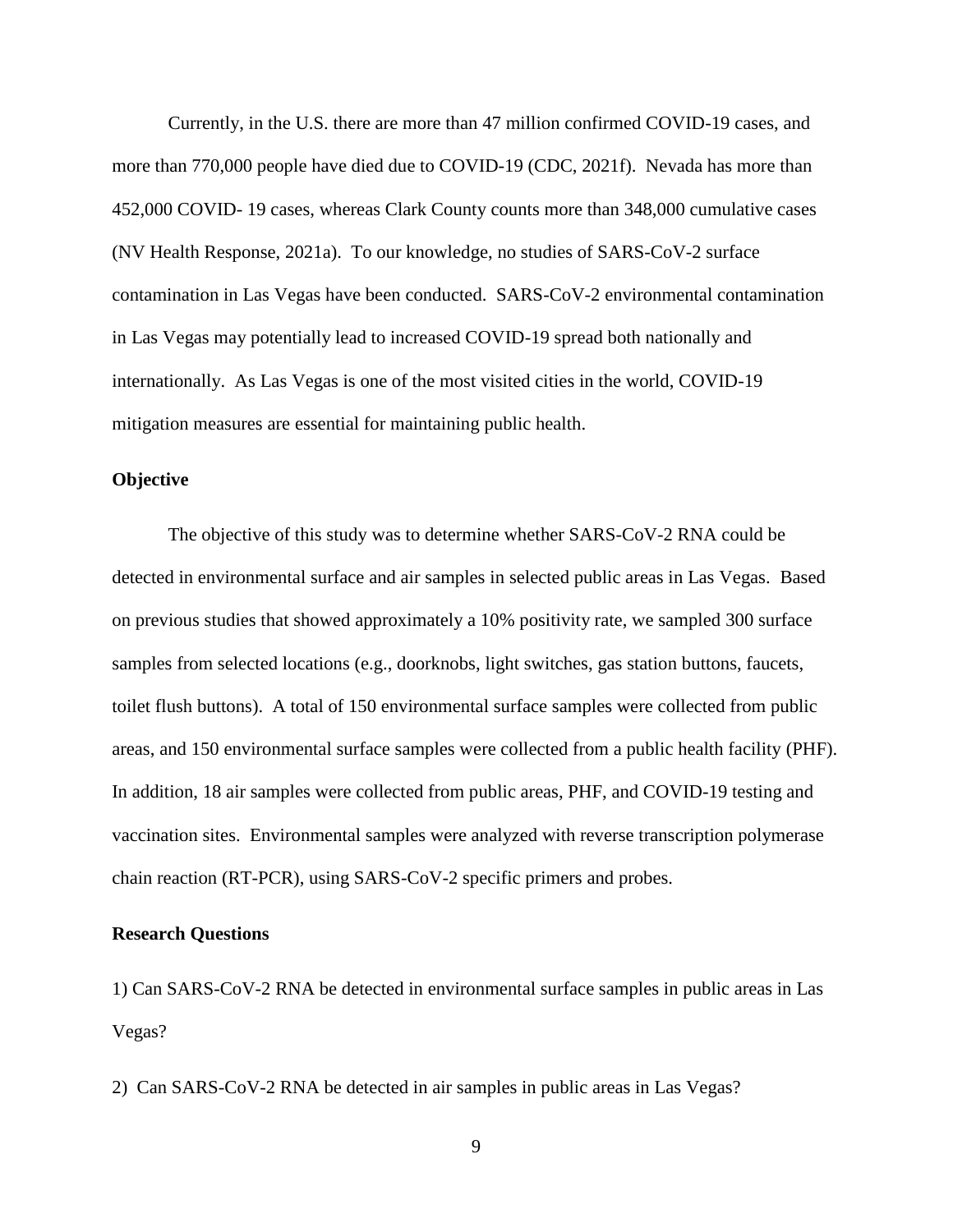Currently, in the U.S. there are more than 47 million confirmed COVID-19 cases, and more than 770,000 people have died due to COVID-19 (CDC, 2021f). Nevada has more than 452,000 COVID- 19 cases, whereas Clark County counts more than 348,000 cumulative cases (NV Health Response, 2021a). To our knowledge, no studies of SARS-CoV-2 surface contamination in Las Vegas have been conducted. SARS-CoV-2 environmental contamination in Las Vegas may potentially lead to increased COVID-19 spread both nationally and internationally. As Las Vegas is one of the most visited cities in the world, COVID-19 mitigation measures are essential for maintaining public health.

#### **Objective**

The objective of this study was to determine whether SARS-CoV-2 RNA could be detected in environmental surface and air samples in selected public areas in Las Vegas. Based on previous studies that showed approximately a 10% positivity rate, we sampled 300 surface samples from selected locations (e.g., doorknobs, light switches, gas station buttons, faucets, toilet flush buttons). A total of 150 environmental surface samples were collected from public areas, and 150 environmental surface samples were collected from a public health facility (PHF). In addition, 18 air samples were collected from public areas, PHF, and COVID-19 testing and vaccination sites. Environmental samples were analyzed with reverse transcription polymerase chain reaction (RT-PCR), using SARS-CoV-2 specific primers and probes.

#### **Research Questions**

1) Can SARS-CoV-2 RNA be detected in environmental surface samples in public areas in Las Vegas?

2) Can SARS-CoV-2 RNA be detected in air samples in public areas in Las Vegas?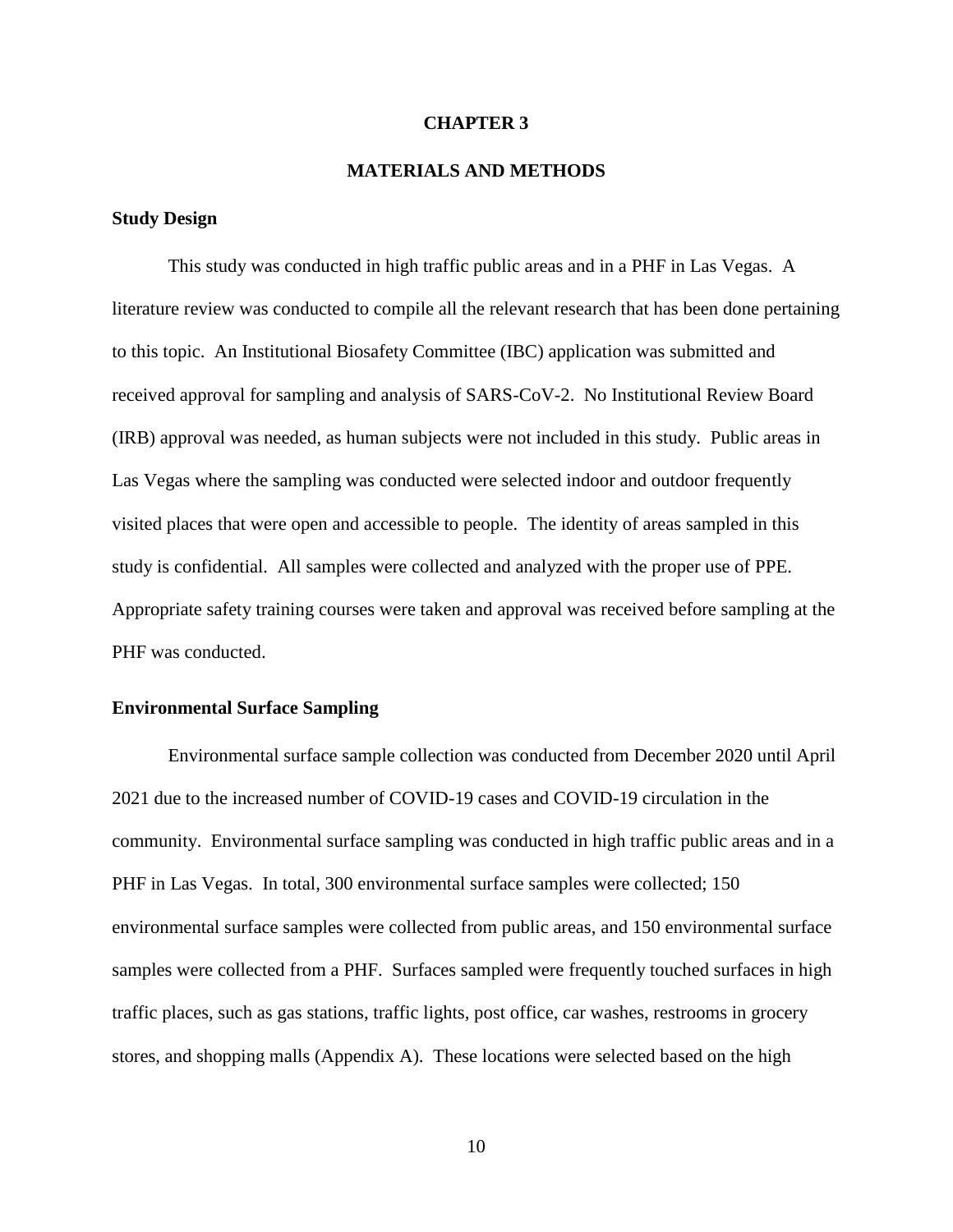#### **CHAPTER 3**

#### **MATERIALS AND METHODS**

#### **Study Design**

This study was conducted in high traffic public areas and in a PHF in Las Vegas. A literature review was conducted to compile all the relevant research that has been done pertaining to this topic. An Institutional Biosafety Committee (IBC) application was submitted and received approval for sampling and analysis of SARS-CoV-2. No Institutional Review Board (IRB) approval was needed, as human subjects were not included in this study. Public areas in Las Vegas where the sampling was conducted were selected indoor and outdoor frequently visited places that were open and accessible to people. The identity of areas sampled in this study is confidential. All samples were collected and analyzed with the proper use of PPE. Appropriate safety training courses were taken and approval was received before sampling at the PHF was conducted.

#### **Environmental Surface Sampling**

Environmental surface sample collection was conducted from December 2020 until April 2021 due to the increased number of COVID-19 cases and COVID-19 circulation in the community. Environmental surface sampling was conducted in high traffic public areas and in a PHF in Las Vegas. In total, 300 environmental surface samples were collected; 150 environmental surface samples were collected from public areas, and 150 environmental surface samples were collected from a PHF. Surfaces sampled were frequently touched surfaces in high traffic places, such as gas stations, traffic lights, post office, car washes, restrooms in grocery stores, and shopping malls (Appendix A). These locations were selected based on the high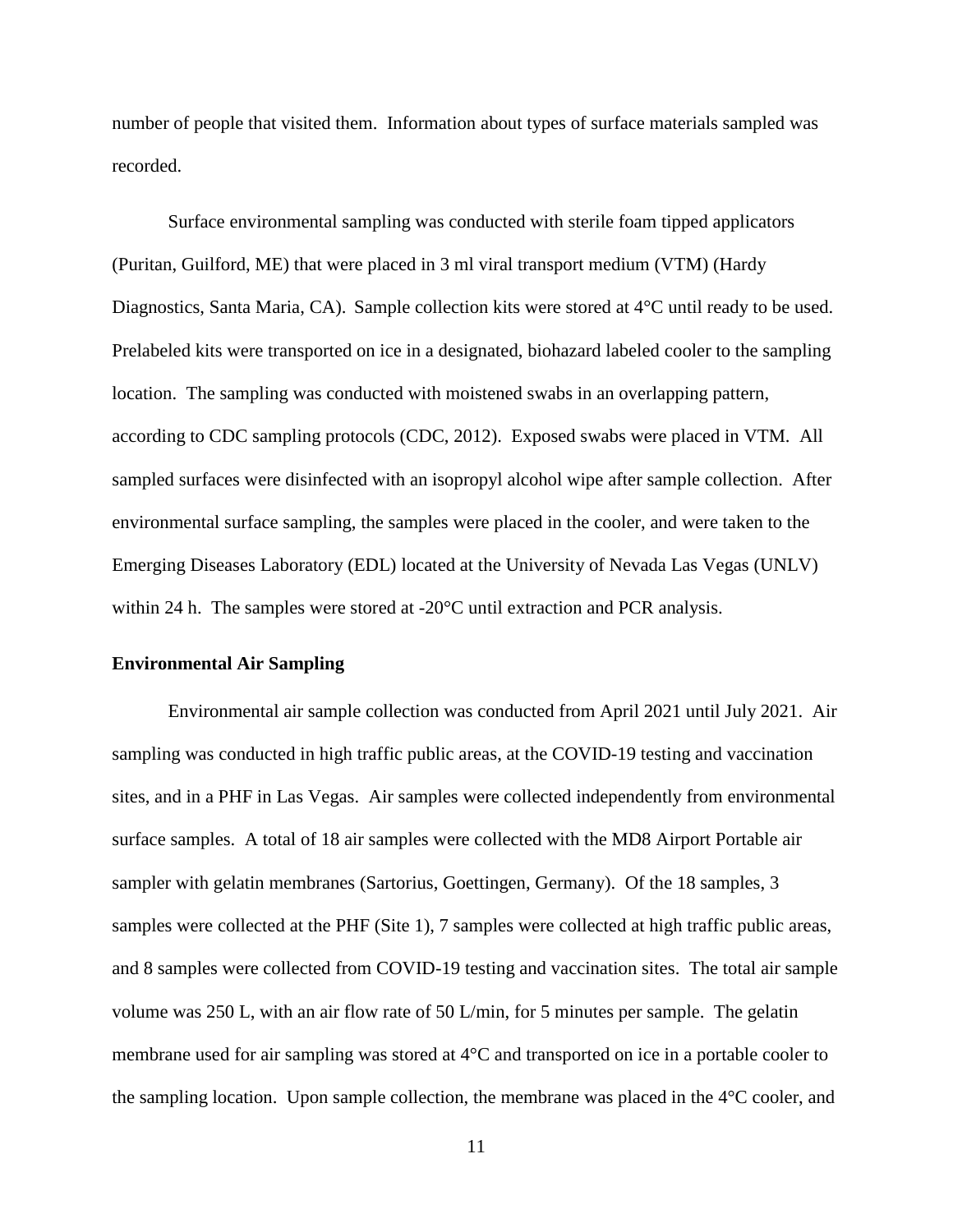number of people that visited them. Information about types of surface materials sampled was recorded.

Surface environmental sampling was conducted with sterile foam tipped applicators (Puritan, Guilford, ME) that were placed in 3 ml viral transport medium (VTM) (Hardy Diagnostics, Santa Maria, CA). Sample collection kits were stored at 4°C until ready to be used. Prelabeled kits were transported on ice in a designated, biohazard labeled cooler to the sampling location. The sampling was conducted with moistened swabs in an overlapping pattern, according to CDC sampling protocols (CDC, 2012). Exposed swabs were placed in VTM. All sampled surfaces were disinfected with an isopropyl alcohol wipe after sample collection. After environmental surface sampling, the samples were placed in the cooler, and were taken to the Emerging Diseases Laboratory (EDL) located at the University of Nevada Las Vegas (UNLV) within 24 h. The samples were stored at -20°C until extraction and PCR analysis.

#### **Environmental Air Sampling**

Environmental air sample collection was conducted from April 2021 until July 2021. Air sampling was conducted in high traffic public areas, at the COVID-19 testing and vaccination sites, and in a PHF in Las Vegas. Air samples were collected independently from environmental surface samples. A total of 18 air samples were collected with the MD8 Airport Portable air sampler with gelatin membranes (Sartorius, Goettingen, Germany). Of the 18 samples, 3 samples were collected at the PHF (Site 1), 7 samples were collected at high traffic public areas, and 8 samples were collected from COVID-19 testing and vaccination sites. The total air sample volume was 250 L, with an air flow rate of 50 L/min, for 5 minutes per sample. The gelatin membrane used for air sampling was stored at 4°C and transported on ice in a portable cooler to the sampling location. Upon sample collection, the membrane was placed in the 4°C cooler, and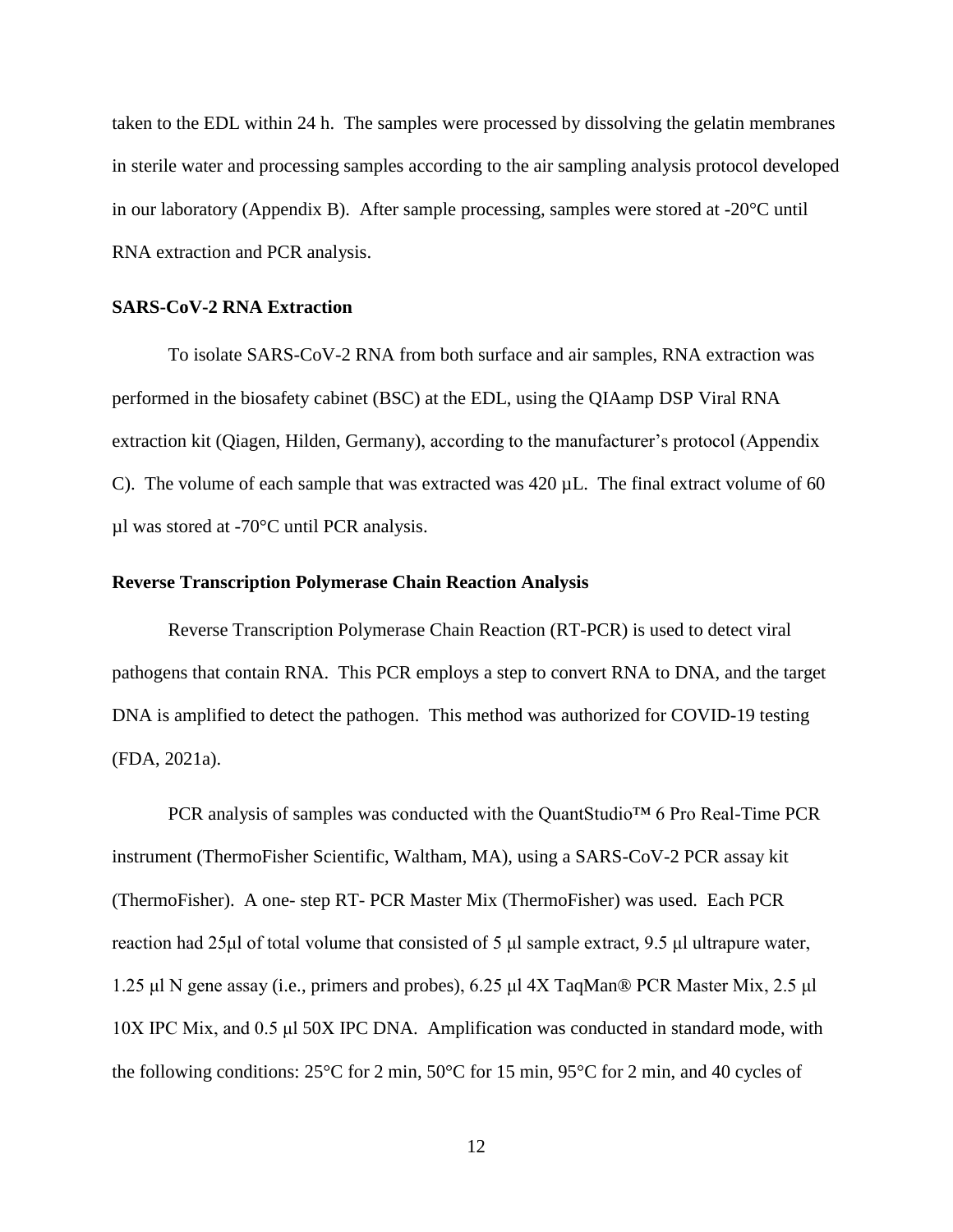taken to the EDL within 24 h. The samples were processed by dissolving the gelatin membranes in sterile water and processing samples according to the air sampling analysis protocol developed in our laboratory (Appendix B). After sample processing, samples were stored at -20°C until RNA extraction and PCR analysis.

#### **SARS-CoV-2 RNA Extraction**

To isolate SARS-CoV-2 RNA from both surface and air samples, RNA extraction was performed in the biosafety cabinet (BSC) at the EDL, using the QIAamp DSP Viral RNA extraction kit (Qiagen, Hilden, Germany), according to the manufacturer's protocol (Appendix C). The volume of each sample that was extracted was 420 µL. The final extract volume of 60 µl was stored at -70°C until PCR analysis.

#### **Reverse Transcription Polymerase Chain Reaction Analysis**

Reverse Transcription Polymerase Chain Reaction (RT-PCR) is used to detect viral pathogens that contain RNA. This PCR employs a step to convert RNA to DNA, and the target DNA is amplified to detect the pathogen. This method was authorized for COVID-19 testing (FDA, 2021a).

PCR analysis of samples was conducted with the QuantStudio™ 6 Pro Real-Time PCR instrument (ThermoFisher Scientific, Waltham, MA), using a SARS-CoV-2 PCR assay kit (ThermoFisher). A one- step RT- PCR Master Mix (ThermoFisher) was used. Each PCR reaction had 25μl of total volume that consisted of 5 μl sample extract, 9.5 μl ultrapure water, 1.25 μl N gene assay (i.e., primers and probes), 6.25 μl 4X TaqMan® PCR Master Mix, 2.5 μl 10X IPC Mix, and 0.5 μl 50X IPC DNA. Amplification was conducted in standard mode, with the following conditions: 25°C for 2 min, 50°C for 15 min, 95°C for 2 min, and 40 cycles of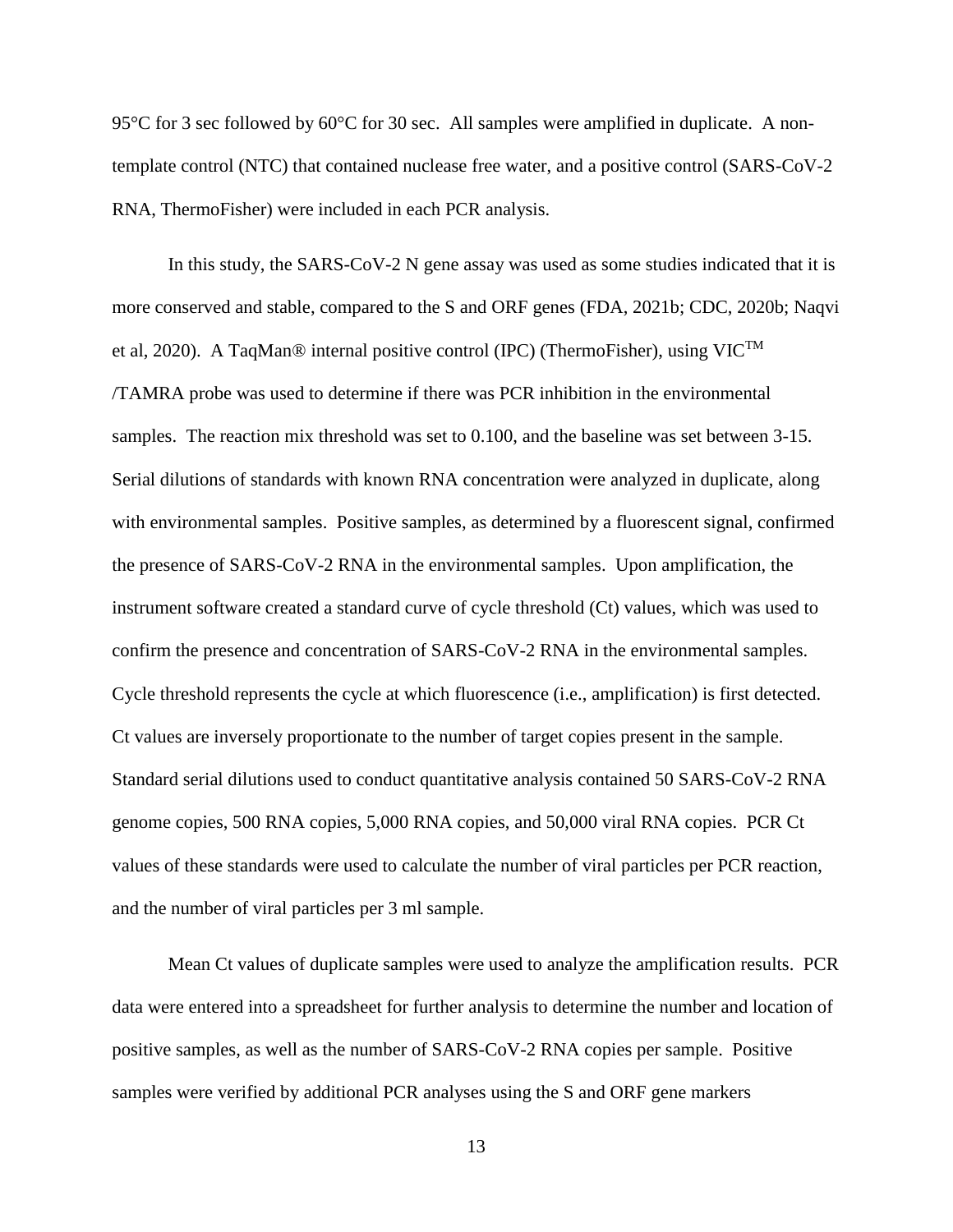95<sup>°</sup>C for 3 sec followed by 60<sup>°</sup>C for 30 sec. All samples were amplified in duplicate. A nontemplate control (NTC) that contained nuclease free water, and a positive control (SARS-CoV-2 RNA, ThermoFisher) were included in each PCR analysis.

In this study, the SARS-CoV-2 N gene assay was used as some studies indicated that it is more conserved and stable, compared to the S and ORF genes (FDA, 2021b; CDC, 2020b; Naqvi et al, 2020). A TaqMan® internal positive control (IPC) (ThermoFisher), using  $\text{VIC}^{\text{TM}}$ /TAMRA probe was used to determine if there was PCR inhibition in the environmental samples. The reaction mix threshold was set to 0.100, and the baseline was set between 3-15. Serial dilutions of standards with known RNA concentration were analyzed in duplicate, along with environmental samples. Positive samples, as determined by a fluorescent signal, confirmed the presence of SARS-CoV-2 RNA in the environmental samples. Upon amplification, the instrument software created a standard curve of cycle threshold (Ct) values, which was used to confirm the presence and concentration of SARS-CoV-2 RNA in the environmental samples. Cycle threshold represents the cycle at which fluorescence (i.e., amplification) is first detected. Ct values are inversely proportionate to the number of target copies present in the sample. Standard serial dilutions used to conduct quantitative analysis contained 50 SARS-CoV-2 RNA genome copies, 500 RNA copies, 5,000 RNA copies, and 50,000 viral RNA copies. PCR Ct values of these standards were used to calculate the number of viral particles per PCR reaction, and the number of viral particles per 3 ml sample.

Mean Ct values of duplicate samples were used to analyze the amplification results. PCR data were entered into a spreadsheet for further analysis to determine the number and location of positive samples, as well as the number of SARS-CoV-2 RNA copies per sample. Positive samples were verified by additional PCR analyses using the S and ORF gene markers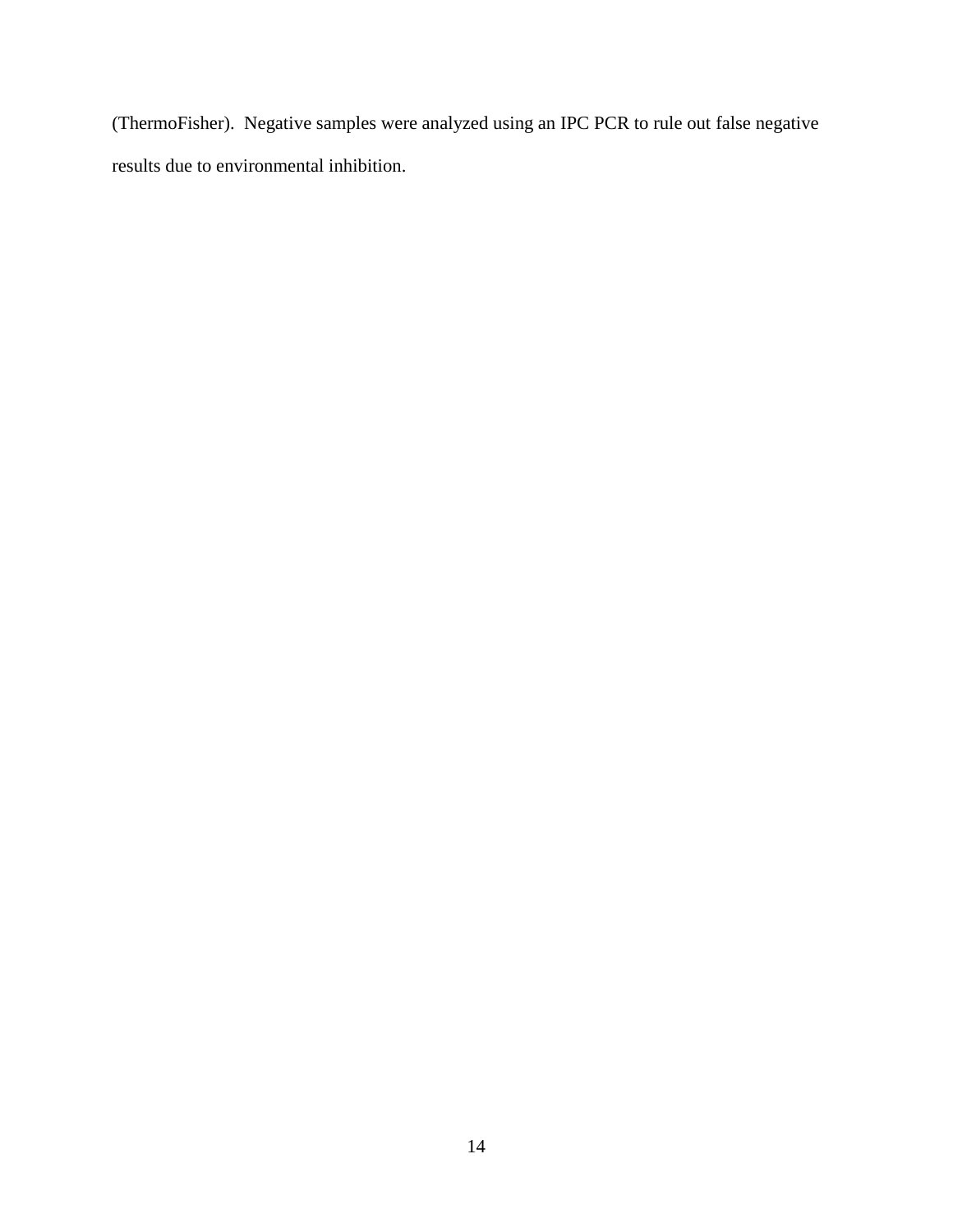(ThermoFisher). Negative samples were analyzed using an IPC PCR to rule out false negative results due to environmental inhibition.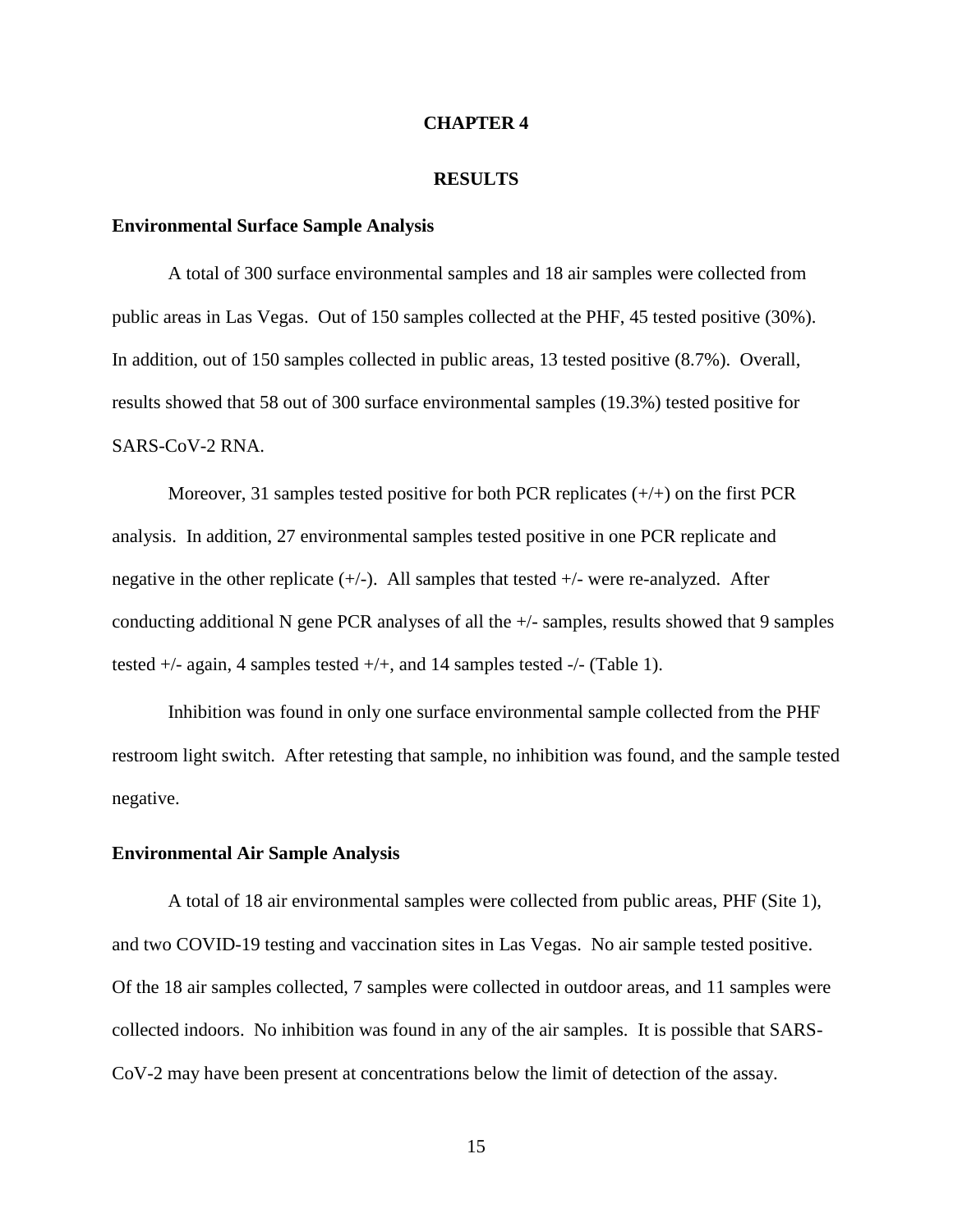#### **CHAPTER 4**

#### **RESULTS**

#### **Environmental Surface Sample Analysis**

A total of 300 surface environmental samples and 18 air samples were collected from public areas in Las Vegas. Out of 150 samples collected at the PHF, 45 tested positive (30%). In addition, out of 150 samples collected in public areas, 13 tested positive (8.7%). Overall, results showed that 58 out of 300 surface environmental samples (19.3%) tested positive for SARS-CoV-2 RNA.

Moreover, 31 samples tested positive for both PCR replicates  $(+/+)$  on the first PCR analysis. In addition, 27 environmental samples tested positive in one PCR replicate and negative in the other replicate  $(+/-)$ . All samples that tested  $+/-$  were re-analyzed. After conducting additional N gene PCR analyses of all the +/- samples, results showed that 9 samples tested +/- again, 4 samples tested +/+, and 14 samples tested -/- (Table 1).

Inhibition was found in only one surface environmental sample collected from the PHF restroom light switch. After retesting that sample, no inhibition was found, and the sample tested negative.

#### **Environmental Air Sample Analysis**

A total of 18 air environmental samples were collected from public areas, PHF (Site 1), and two COVID-19 testing and vaccination sites in Las Vegas. No air sample tested positive. Of the 18 air samples collected, 7 samples were collected in outdoor areas, and 11 samples were collected indoors. No inhibition was found in any of the air samples. It is possible that SARS-CoV-2 may have been present at concentrations below the limit of detection of the assay.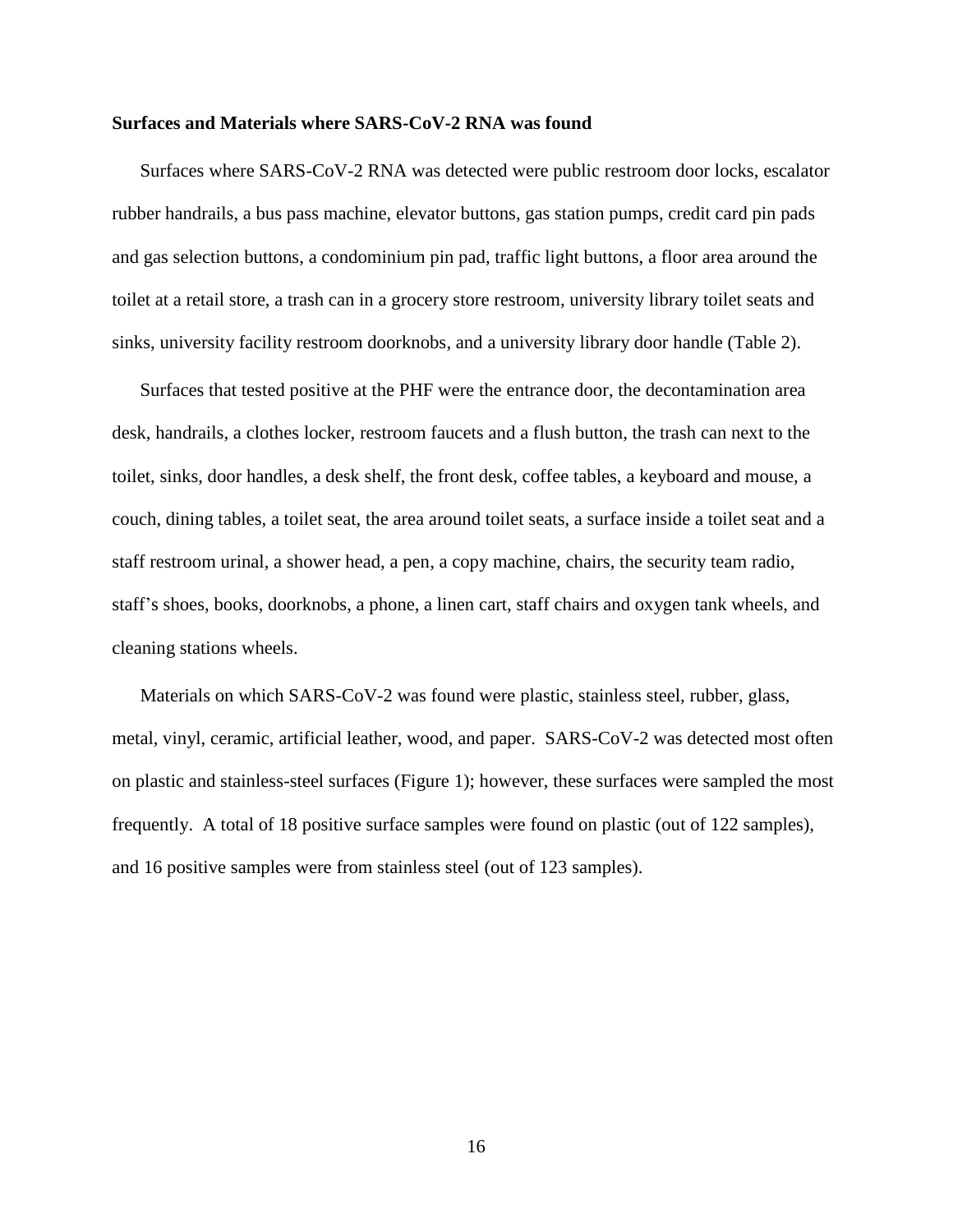#### **Surfaces and Materials where SARS-CoV-2 RNA was found**

Surfaces where SARS-CoV-2 RNA was detected were public restroom door locks, escalator rubber handrails, a bus pass machine, elevator buttons, gas station pumps, credit card pin pads and gas selection buttons, a condominium pin pad, traffic light buttons, a floor area around the toilet at a retail store, a trash can in a grocery store restroom, university library toilet seats and sinks, university facility restroom doorknobs, and a university library door handle (Table 2).

Surfaces that tested positive at the PHF were the entrance door, the decontamination area desk, handrails, a clothes locker, restroom faucets and a flush button, the trash can next to the toilet, sinks, door handles, a desk shelf, the front desk, coffee tables, a keyboard and mouse, a couch, dining tables, a toilet seat, the area around toilet seats, a surface inside a toilet seat and a staff restroom urinal, a shower head, a pen, a copy machine, chairs, the security team radio, staff's shoes, books, doorknobs, a phone, a linen cart, staff chairs and oxygen tank wheels, and cleaning stations wheels.

Materials on which SARS-CoV-2 was found were plastic, stainless steel, rubber, glass, metal, vinyl, ceramic, artificial leather, wood, and paper. SARS-CoV-2 was detected most often on plastic and stainless-steel surfaces (Figure 1); however, these surfaces were sampled the most frequently. A total of 18 positive surface samples were found on plastic (out of 122 samples), and 16 positive samples were from stainless steel (out of 123 samples).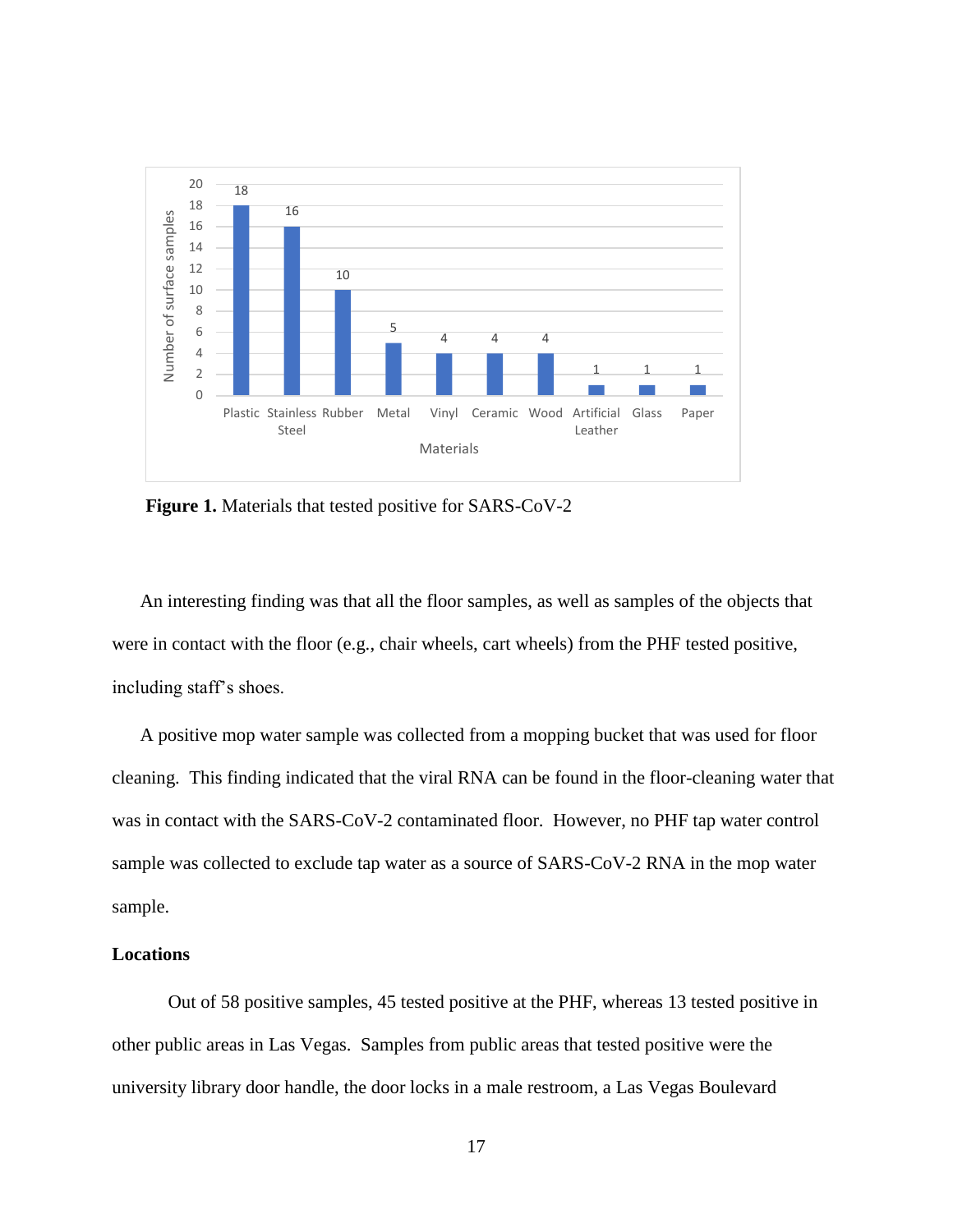

**Figure 1.** Materials that tested positive for SARS-CoV-2

An interesting finding was that all the floor samples, as well as samples of the objects that were in contact with the floor (e.g., chair wheels, cart wheels) from the PHF tested positive, including staff's shoes.

A positive mop water sample was collected from a mopping bucket that was used for floor cleaning. This finding indicated that the viral RNA can be found in the floor-cleaning water that was in contact with the SARS-CoV-2 contaminated floor. However, no PHF tap water control sample was collected to exclude tap water as a source of SARS-CoV-2 RNA in the mop water sample.

#### **Locations**

Out of 58 positive samples, 45 tested positive at the PHF, whereas 13 tested positive in other public areas in Las Vegas. Samples from public areas that tested positive were the university library door handle, the door locks in a male restroom, a Las Vegas Boulevard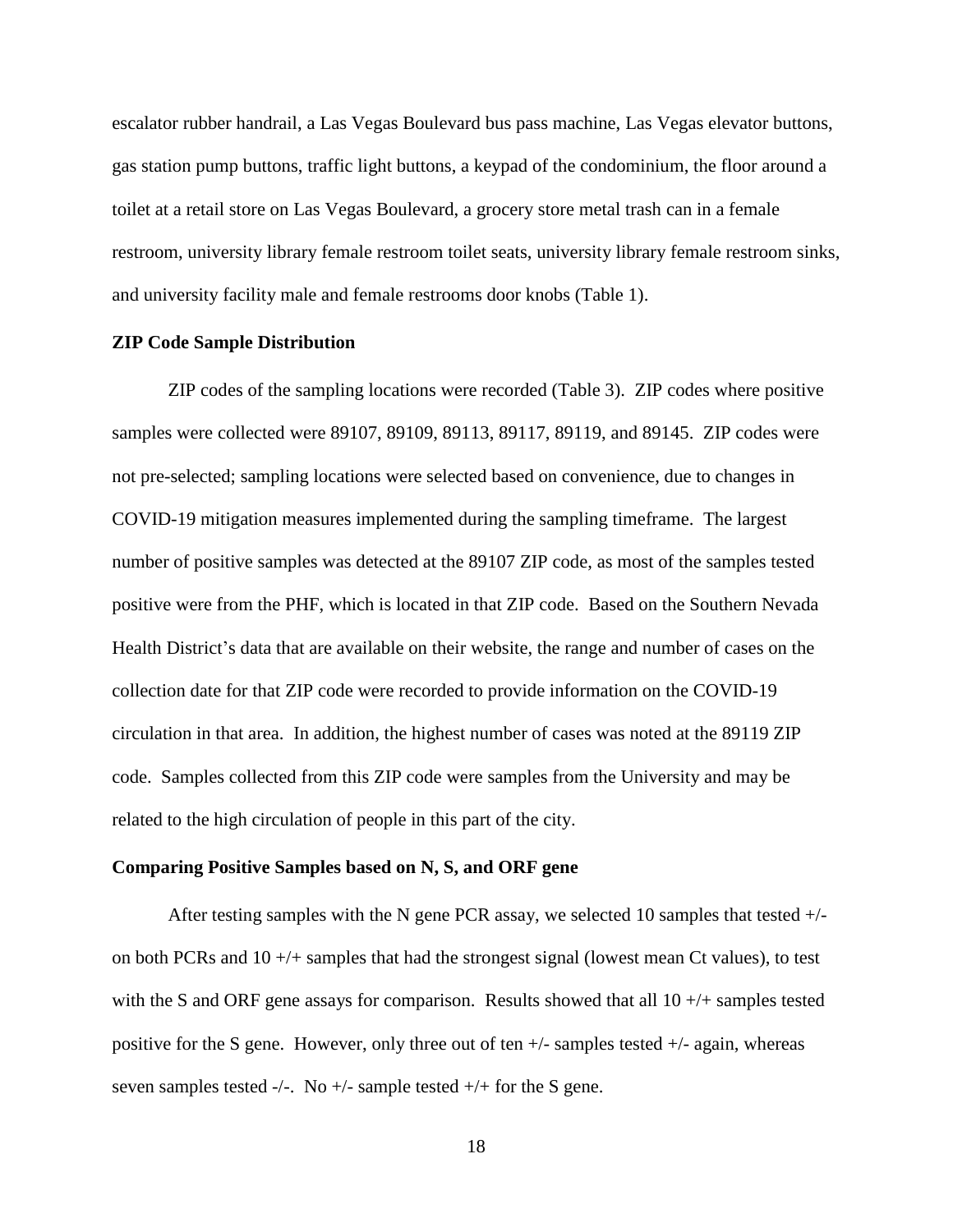escalator rubber handrail, a Las Vegas Boulevard bus pass machine, Las Vegas elevator buttons, gas station pump buttons, traffic light buttons, a keypad of the condominium, the floor around a toilet at a retail store on Las Vegas Boulevard, a grocery store metal trash can in a female restroom, university library female restroom toilet seats, university library female restroom sinks, and university facility male and female restrooms door knobs (Table 1).

#### **ZIP Code Sample Distribution**

ZIP codes of the sampling locations were recorded (Table 3). ZIP codes where positive samples were collected were 89107, 89109, 89113, 89117, 89119, and 89145. ZIP codes were not pre-selected; sampling locations were selected based on convenience, due to changes in COVID-19 mitigation measures implemented during the sampling timeframe. The largest number of positive samples was detected at the 89107 ZIP code, as most of the samples tested positive were from the PHF, which is located in that ZIP code. Based on the Southern Nevada Health District's data that are available on their website, the range and number of cases on the collection date for that ZIP code were recorded to provide information on the COVID-19 circulation in that area. In addition, the highest number of cases was noted at the 89119 ZIP code. Samples collected from this ZIP code were samples from the University and may be related to the high circulation of people in this part of the city.

#### **Comparing Positive Samples based on N, S, and ORF gene**

After testing samples with the N gene PCR assay, we selected 10 samples that tested  $+/$ on both PCRs and 10 +/+ samples that had the strongest signal (lowest mean Ct values), to test with the S and ORF gene assays for comparison. Results showed that all  $10 +/+$  samples tested positive for the S gene. However, only three out of ten  $+/-$  samples tested  $+/-$  again, whereas seven samples tested -/-. No +/- sample tested  $+$ /+ for the S gene.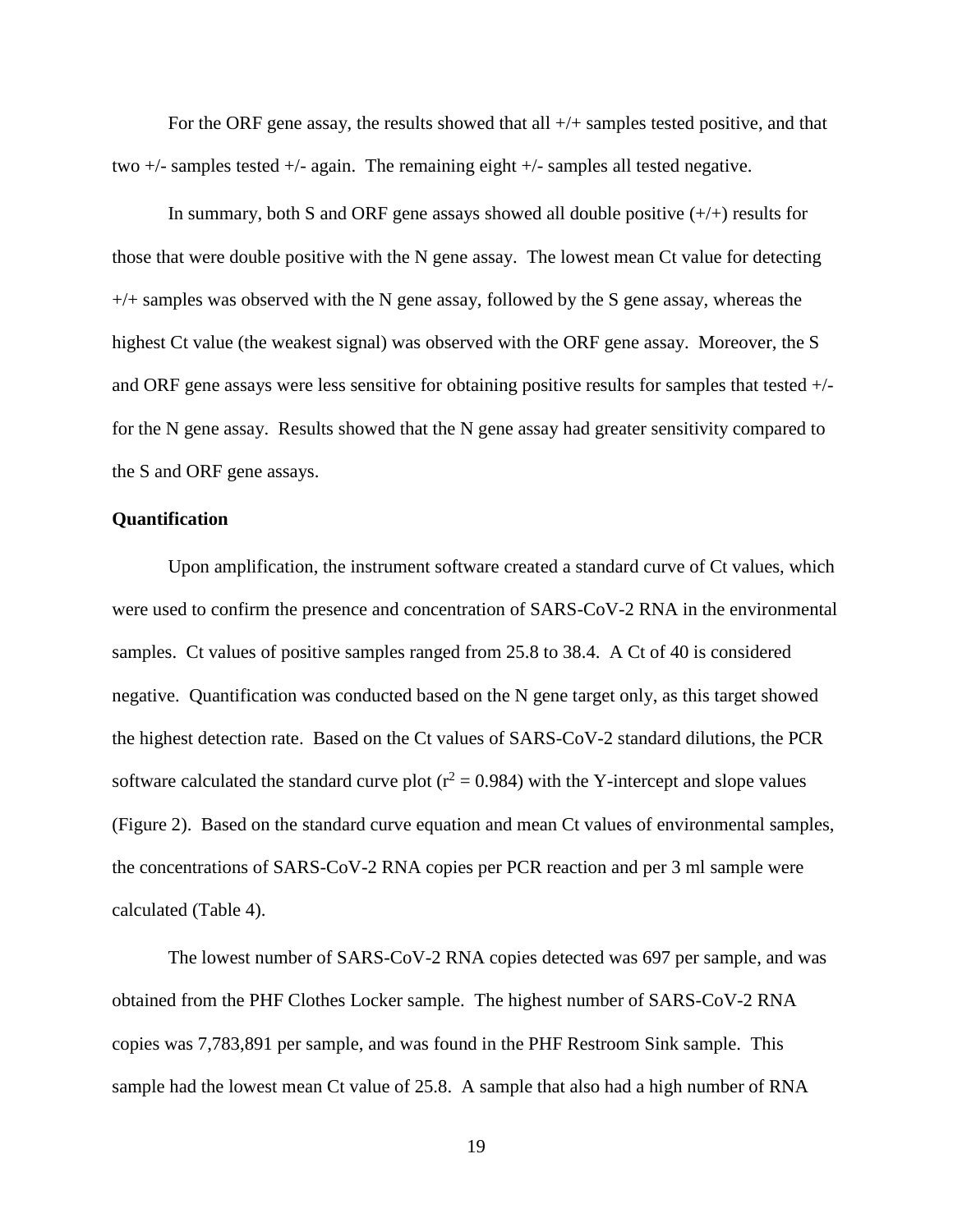For the ORF gene assay, the results showed that all  $+/+$  samples tested positive, and that two +/- samples tested +/- again. The remaining eight +/- samples all tested negative.

In summary, both S and ORF gene assays showed all double positive  $(+/+)$  results for those that were double positive with the N gene assay. The lowest mean Ct value for detecting  $+/+$  samples was observed with the N gene assay, followed by the S gene assay, whereas the highest Ct value (the weakest signal) was observed with the ORF gene assay. Moreover, the S and ORF gene assays were less sensitive for obtaining positive results for samples that tested +/ for the N gene assay. Results showed that the N gene assay had greater sensitivity compared to the S and ORF gene assays.

#### **Quantification**

Upon amplification, the instrument software created a standard curve of Ct values, which were used to confirm the presence and concentration of SARS-CoV-2 RNA in the environmental samples. Ct values of positive samples ranged from 25.8 to 38.4. A Ct of 40 is considered negative. Quantification was conducted based on the N gene target only, as this target showed the highest detection rate. Based on the Ct values of SARS-CoV-2 standard dilutions, the PCR software calculated the standard curve plot ( $r^2 = 0.984$ ) with the Y-intercept and slope values (Figure 2). Based on the standard curve equation and mean Ct values of environmental samples, the concentrations of SARS-CoV-2 RNA copies per PCR reaction and per 3 ml sample were calculated (Table 4).

The lowest number of SARS-CoV-2 RNA copies detected was 697 per sample, and was obtained from the PHF Clothes Locker sample. The highest number of SARS-CoV-2 RNA copies was 7,783,891 per sample, and was found in the PHF Restroom Sink sample. This sample had the lowest mean Ct value of 25.8. A sample that also had a high number of RNA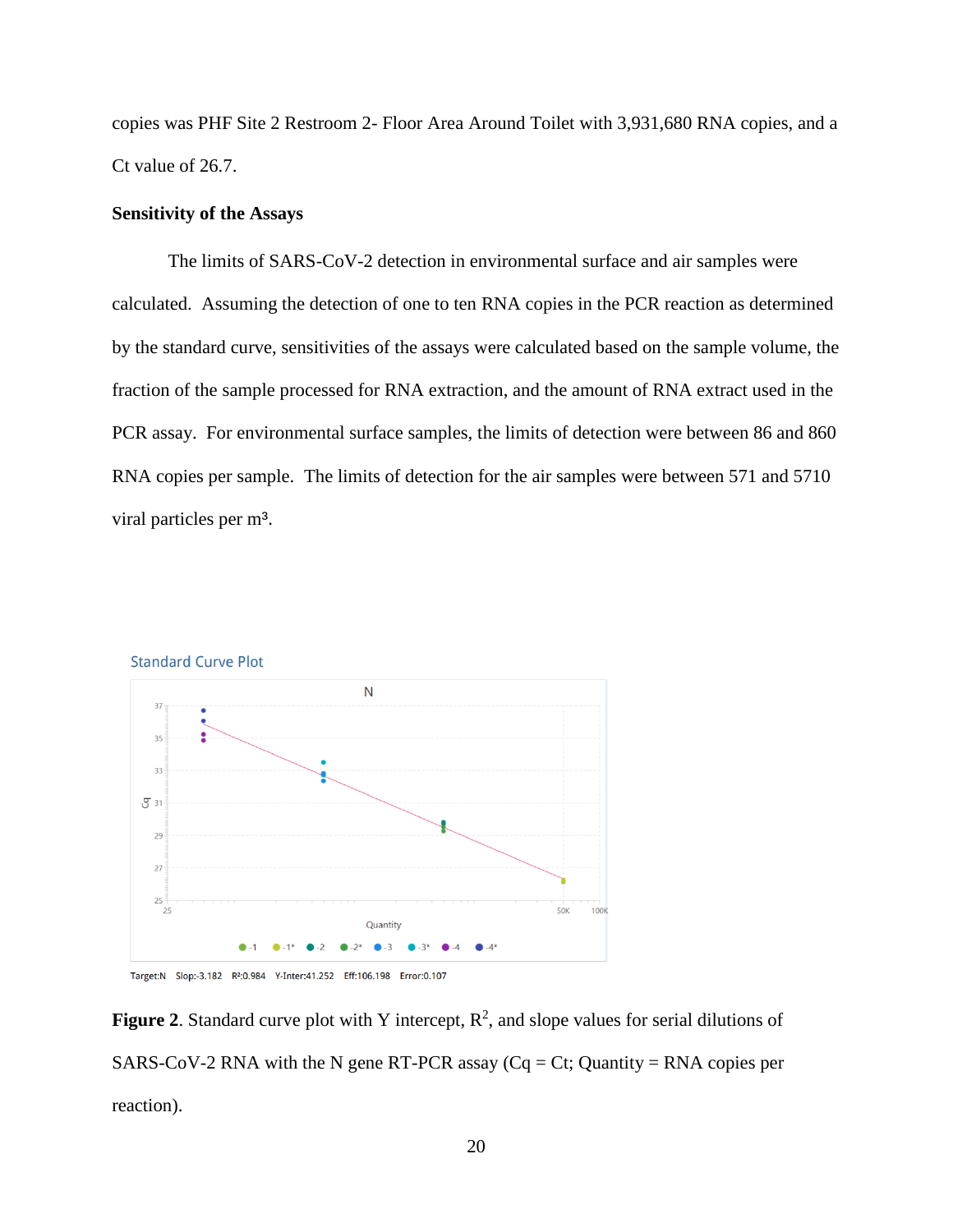copies was PHF Site 2 Restroom 2- Floor Area Around Toilet with 3,931,680 RNA copies, and a Ct value of 26.7.

#### **Sensitivity of the Assays**

The limits of SARS-CoV-2 detection in environmental surface and air samples were calculated. Assuming the detection of one to ten RNA copies in the PCR reaction as determined by the standard curve, sensitivities of the assays were calculated based on the sample volume, the fraction of the sample processed for RNA extraction, and the amount of RNA extract used in the PCR assay. For environmental surface samples, the limits of detection were between 86 and 860 RNA copies per sample. The limits of detection for the air samples were between 571 and 5710 viral particles per m<sup>3</sup>.





**Figure 2.** Standard curve plot with Y intercept,  $\mathbb{R}^2$ , and slope values for serial dilutions of SARS-CoV-2 RNA with the N gene RT-PCR assay  $(Cq = Ct;$  Quantity = RNA copies per reaction).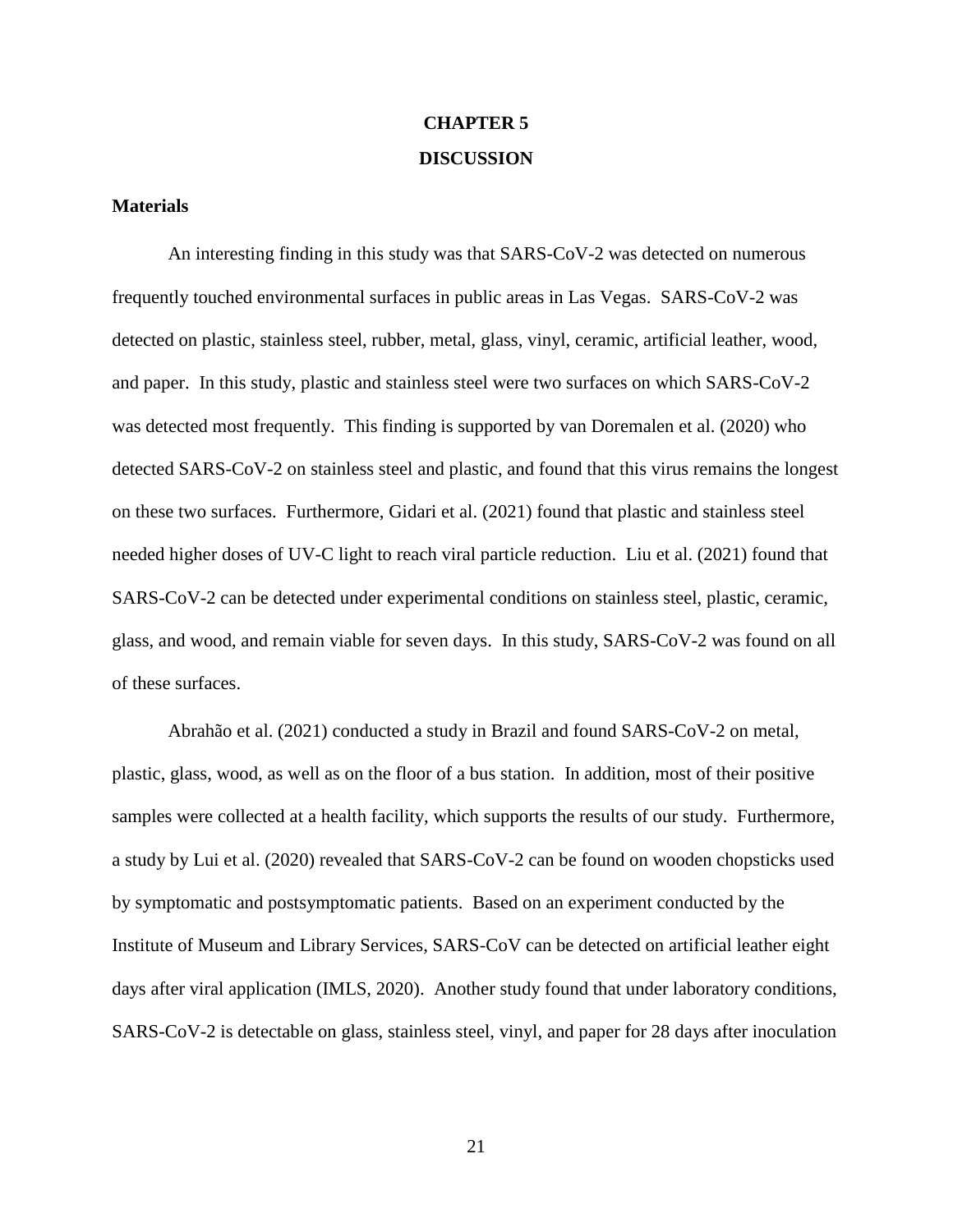# **CHAPTER 5 DISCUSSION**

#### **Materials**

An interesting finding in this study was that SARS-CoV-2 was detected on numerous frequently touched environmental surfaces in public areas in Las Vegas. SARS-CoV-2 was detected on plastic, stainless steel, rubber, metal, glass, vinyl, ceramic, artificial leather, wood, and paper. In this study, plastic and stainless steel were two surfaces on which SARS-CoV-2 was detected most frequently.This finding is supported by van Doremalen et al. (2020) who detected SARS-CoV-2 on stainless steel and plastic, and found that this virus remains the longest on these two surfaces. Furthermore, Gidari et al. (2021) found that plastic and stainless steel needed higher doses of UV-C light to reach viral particle reduction. Liu et al. (2021) found that SARS-CoV-2 can be detected under experimental conditions on stainless steel, plastic, ceramic, glass, and wood, and remain viable for seven days. In this study, SARS-CoV-2 was found on all of these surfaces.

Abrahão et al. (2021) conducted a study in Brazil and found SARS-CoV-2 on metal, plastic, glass, wood, as well as on the floor of a bus station. In addition, most of their positive samples were collected at a health facility, which supports the results of our study. Furthermore, a study by Lui et al. (2020) revealed that SARS-CoV-2 can be found on wooden chopsticks used by symptomatic and postsymptomatic patients. Based on an experiment conducted by the Institute of Museum and Library Services, SARS-CoV can be detected on artificial leather eight days after viral application (IMLS, 2020). Another study found that under laboratory conditions, SARS-CoV-2 is detectable on glass, stainless steel, vinyl, and paper for 28 days after inoculation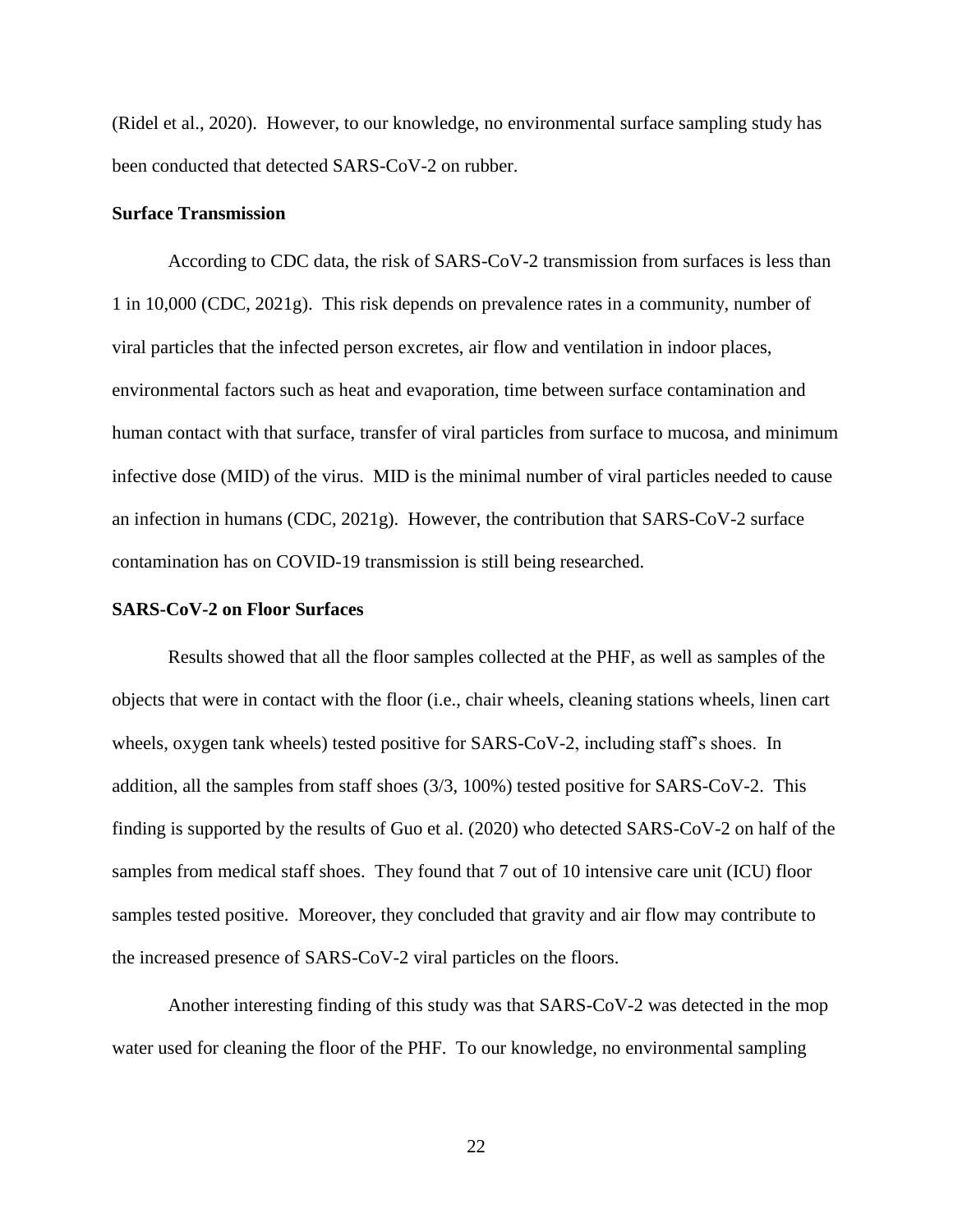(Ridel et al., 2020). However, to our knowledge, no environmental surface sampling study has been conducted that detected SARS-CoV-2 on rubber.

#### **Surface Transmission**

According to CDC data, the risk of SARS-CoV-2 transmission from surfaces is less than 1 in 10,000 (CDC, 2021g). This risk depends on prevalence rates in a community, number of viral particles that the infected person excretes, air flow and ventilation in indoor places, environmental factors such as heat and evaporation, time between surface contamination and human contact with that surface, transfer of viral particles from surface to mucosa, and minimum infective dose (MID) of the virus. MID is the minimal number of viral particles needed to cause an infection in humans (CDC, 2021g). However, the contribution that SARS-CoV-2 surface contamination has on COVID-19 transmission is still being researched.

#### **SARS-CoV-2 on Floor Surfaces**

Results showed that all the floor samples collected at the PHF, as well as samples of the objects that were in contact with the floor (i.e., chair wheels, cleaning stations wheels, linen cart wheels, oxygen tank wheels) tested positive for SARS-CoV-2, including staff's shoes. In addition, all the samples from staff shoes (3/3, 100%) tested positive for SARS-CoV-2. This finding is supported by the results of Guo et al. (2020) who detected SARS-CoV-2 on half of the samples from medical staff shoes. They found that 7 out of 10 intensive care unit (ICU) floor samples tested positive. Moreover, they concluded that gravity and air flow may contribute to the increased presence of SARS-CoV-2 viral particles on the floors.

Another interesting finding of this study was that SARS-CoV-2 was detected in the mop water used for cleaning the floor of the PHF. To our knowledge, no environmental sampling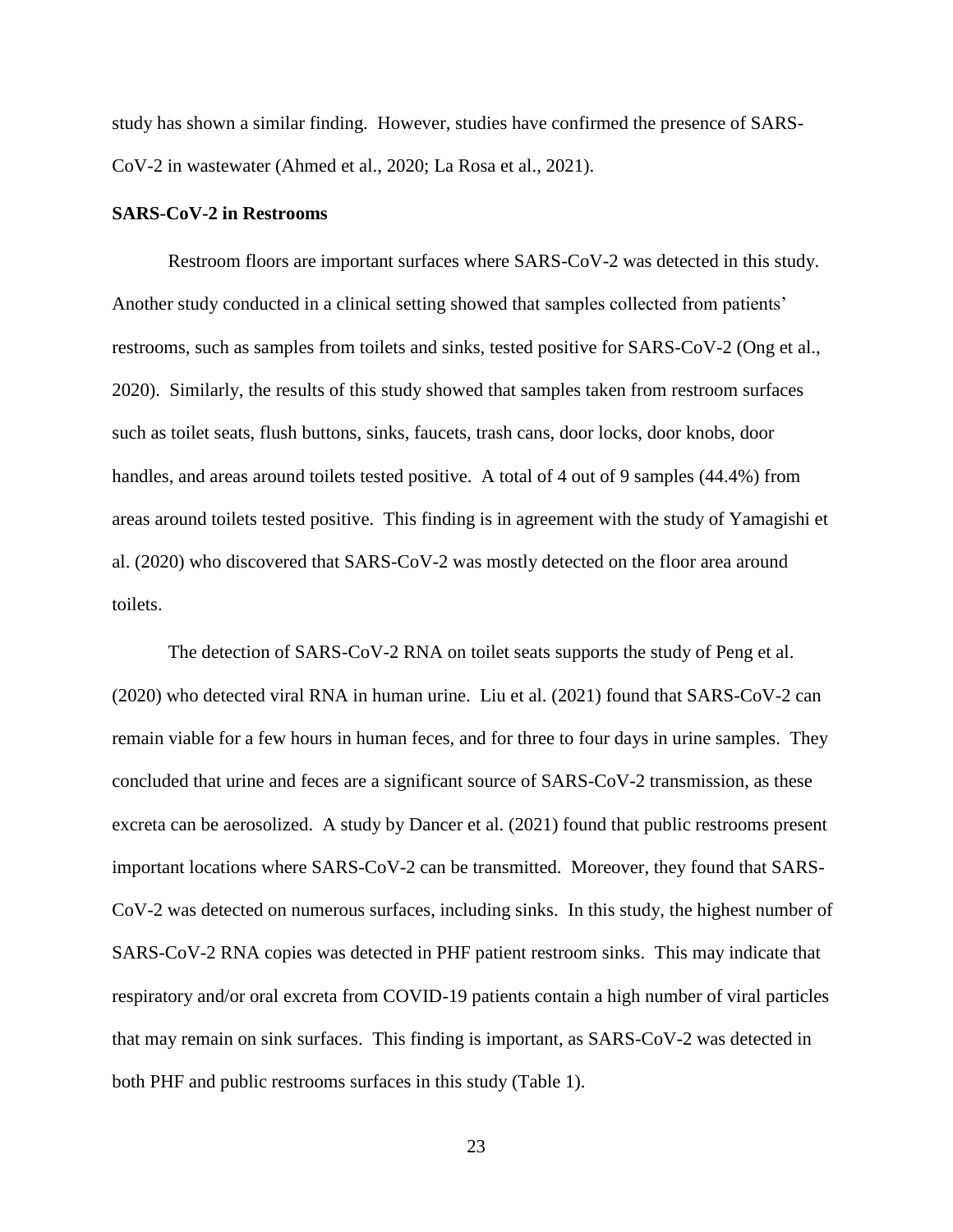study has shown a similar finding. However, studies have confirmed the presence of SARS-CoV-2 in wastewater (Ahmed et al., 2020; La Rosa et al., 2021).

#### **SARS-CoV-2 in Restrooms**

Restroom floors are important surfaces where SARS-CoV-2 was detected in this study. Another study conducted in a clinical setting showed that samples collected from patients' restrooms, such as samples from toilets and sinks, tested positive for SARS-CoV-2 (Ong et al., 2020). Similarly, the results of this study showed that samples taken from restroom surfaces such as toilet seats, flush buttons, sinks, faucets, trash cans, door locks, door knobs, door handles, and areas around toilets tested positive. A total of 4 out of 9 samples (44.4%) from areas around toilets tested positive. This finding is in agreement with the study of Yamagishi et al. (2020) who discovered that SARS-CoV-2 was mostly detected on the floor area around toilets.

The detection of SARS-CoV-2 RNA on toilet seats supports the study of Peng et al. (2020) who detected viral RNA in human urine. Liu et al. (2021) found that SARS-CoV-2 can remain viable for a few hours in human feces, and for three to four days in urine samples. They concluded that urine and feces are a significant source of SARS-CoV-2 transmission, as these excreta can be aerosolized. A study by Dancer et al. (2021) found that public restrooms present important locations where SARS-CoV-2 can be transmitted. Moreover, they found that SARS-CoV-2 was detected on numerous surfaces, including sinks. In this study, the highest number of SARS-CoV-2 RNA copies was detected in PHF patient restroom sinks. This may indicate that respiratory and/or oral excreta from COVID-19 patients contain a high number of viral particles that may remain on sink surfaces. This finding is important, as SARS-CoV-2 was detected in both PHF and public restrooms surfaces in this study (Table 1).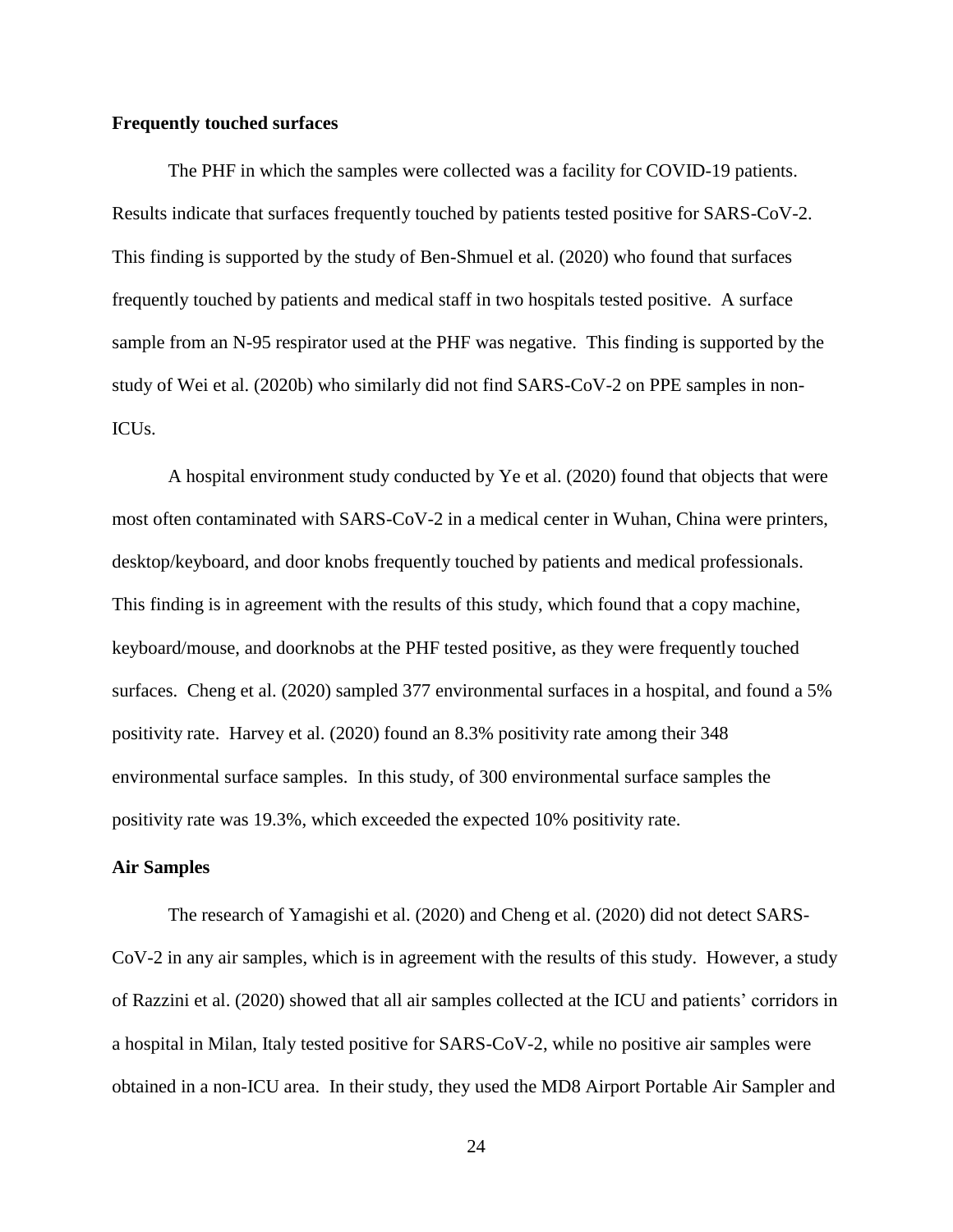#### **Frequently touched surfaces**

The PHF in which the samples were collected was a facility for COVID-19 patients. Results indicate that surfaces frequently touched by patients tested positive for SARS-CoV-2. This finding is supported by the study of Ben-Shmuel et al. (2020) who found that surfaces frequently touched by patients and medical staff in two hospitals tested positive. A surface sample from an N-95 respirator used at the PHF was negative. This finding is supported by the study of Wei et al. (2020b) who similarly did not find SARS-CoV-2 on PPE samples in non-ICUs.

A hospital environment study conducted by Ye et al. (2020) found that objects that were most often contaminated with SARS-CoV-2 in a medical center in Wuhan, China were printers, desktop/keyboard, and door knobs frequently touched by patients and medical professionals. This finding is in agreement with the results of this study, which found that a copy machine, keyboard/mouse, and doorknobs at the PHF tested positive, as they were frequently touched surfaces. Cheng et al. (2020) sampled 377 environmental surfaces in a hospital, and found a 5% positivity rate. Harvey et al. (2020) found an 8.3% positivity rate among their 348 environmental surface samples. In this study, of 300 environmental surface samples the positivity rate was 19.3%, which exceeded the expected 10% positivity rate.

#### **Air Samples**

The research of Yamagishi et al. (2020) and Cheng et al. (2020) did not detect SARS-CoV-2 in any air samples, which is in agreement with the results of this study. However, a study of Razzini et al. (2020) showed that all air samples collected at the ICU and patients' corridors in a hospital in Milan, Italy tested positive for SARS-CoV-2, while no positive air samples were obtained in a non-ICU area. In their study, they used the MD8 Airport Portable Air Sampler and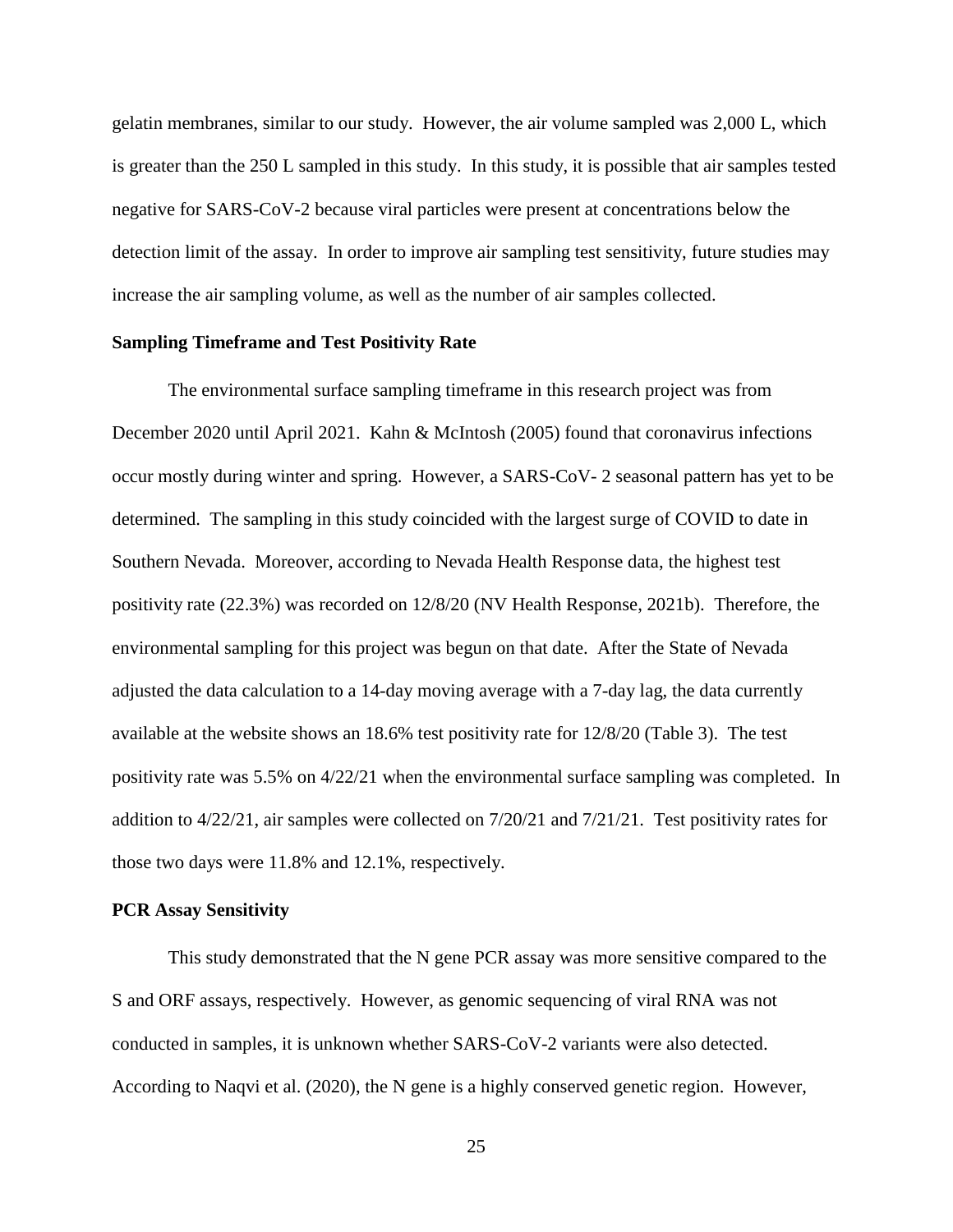gelatin membranes, similar to our study. However, the air volume sampled was 2,000 L, which is greater than the 250 L sampled in this study. In this study, it is possible that air samples tested negative for SARS-CoV-2 because viral particles were present at concentrations below the detection limit of the assay. In order to improve air sampling test sensitivity, future studies may increase the air sampling volume, as well as the number of air samples collected.

#### **Sampling Timeframe and Test Positivity Rate**

The environmental surface sampling timeframe in this research project was from December 2020 until April 2021. Kahn & McIntosh (2005) found that coronavirus infections occur mostly during winter and spring. However, a SARS-CoV- 2 seasonal pattern has yet to be determined. The sampling in this study coincided with the largest surge of COVID to date in Southern Nevada. Moreover, according to Nevada Health Response data, the highest test positivity rate (22.3%) was recorded on 12/8/20 (NV Health Response, 2021b). Therefore, the environmental sampling for this project was begun on that date. After the State of Nevada adjusted the data calculation to a 14-day moving average with a 7-day lag, the data currently available at the website shows an 18.6% test positivity rate for 12/8/20 (Table 3). The test positivity rate was 5.5% on 4/22/21 when the environmental surface sampling was completed. In addition to 4/22/21, air samples were collected on 7/20/21 and 7/21/21. Test positivity rates for those two days were 11.8% and 12.1%, respectively.

#### **PCR Assay Sensitivity**

This study demonstrated that the N gene PCR assay was more sensitive compared to the S and ORF assays, respectively. However, as genomic sequencing of viral RNA was not conducted in samples, it is unknown whether SARS-CoV-2 variants were also detected. According to Naqvi et al. (2020), the N gene is a highly conserved genetic region. However,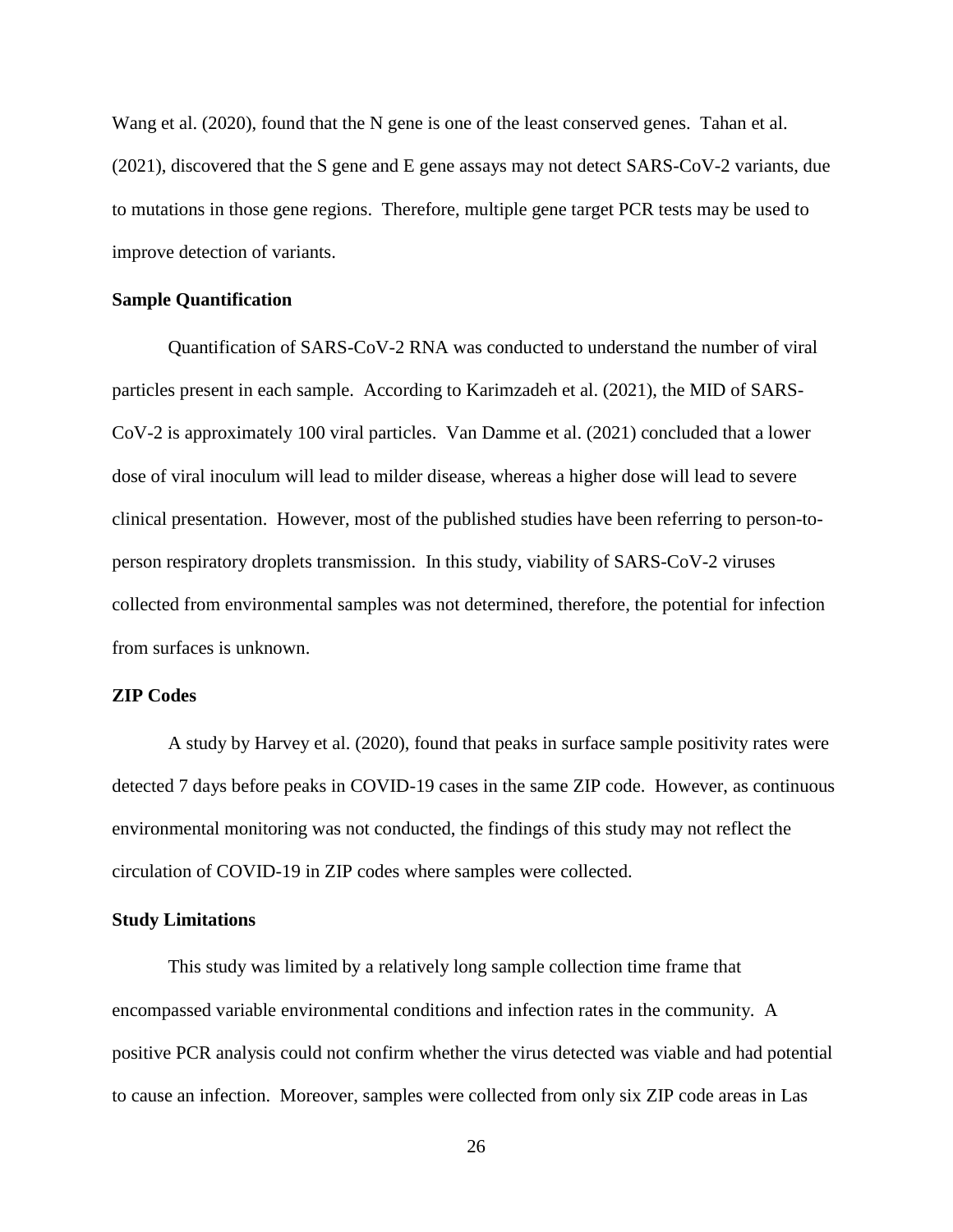Wang et al. (2020), found that the N gene is one of the least conserved genes. Tahan et al. (2021), discovered that the S gene and E gene assays may not detect SARS-CoV-2 variants, due to mutations in those gene regions. Therefore, multiple gene target PCR tests may be used to improve detection of variants.

#### **Sample Quantification**

Quantification of SARS-CoV-2 RNA was conducted to understand the number of viral particles present in each sample. According to Karimzadeh et al. (2021), the MID of SARS-CoV-2 is approximately 100 viral particles. Van Damme et al. (2021) concluded that a lower dose of viral inoculum will lead to milder disease, whereas a higher dose will lead to severe clinical presentation. However, most of the published studies have been referring to person-toperson respiratory droplets transmission. In this study, viability of SARS-CoV-2 viruses collected from environmental samples was not determined, therefore, the potential for infection from surfaces is unknown.

#### **ZIP Codes**

A study by Harvey et al. (2020), found that peaks in surface sample positivity rates were detected 7 days before peaks in COVID-19 cases in the same ZIP code. However, as continuous environmental monitoring was not conducted, the findings of this study may not reflect the circulation of COVID-19 in ZIP codes where samples were collected.

#### **Study Limitations**

This study was limited by a relatively long sample collection time frame that encompassed variable environmental conditions and infection rates in the community. A positive PCR analysis could not confirm whether the virus detected was viable and had potential to cause an infection. Moreover, samples were collected from only six ZIP code areas in Las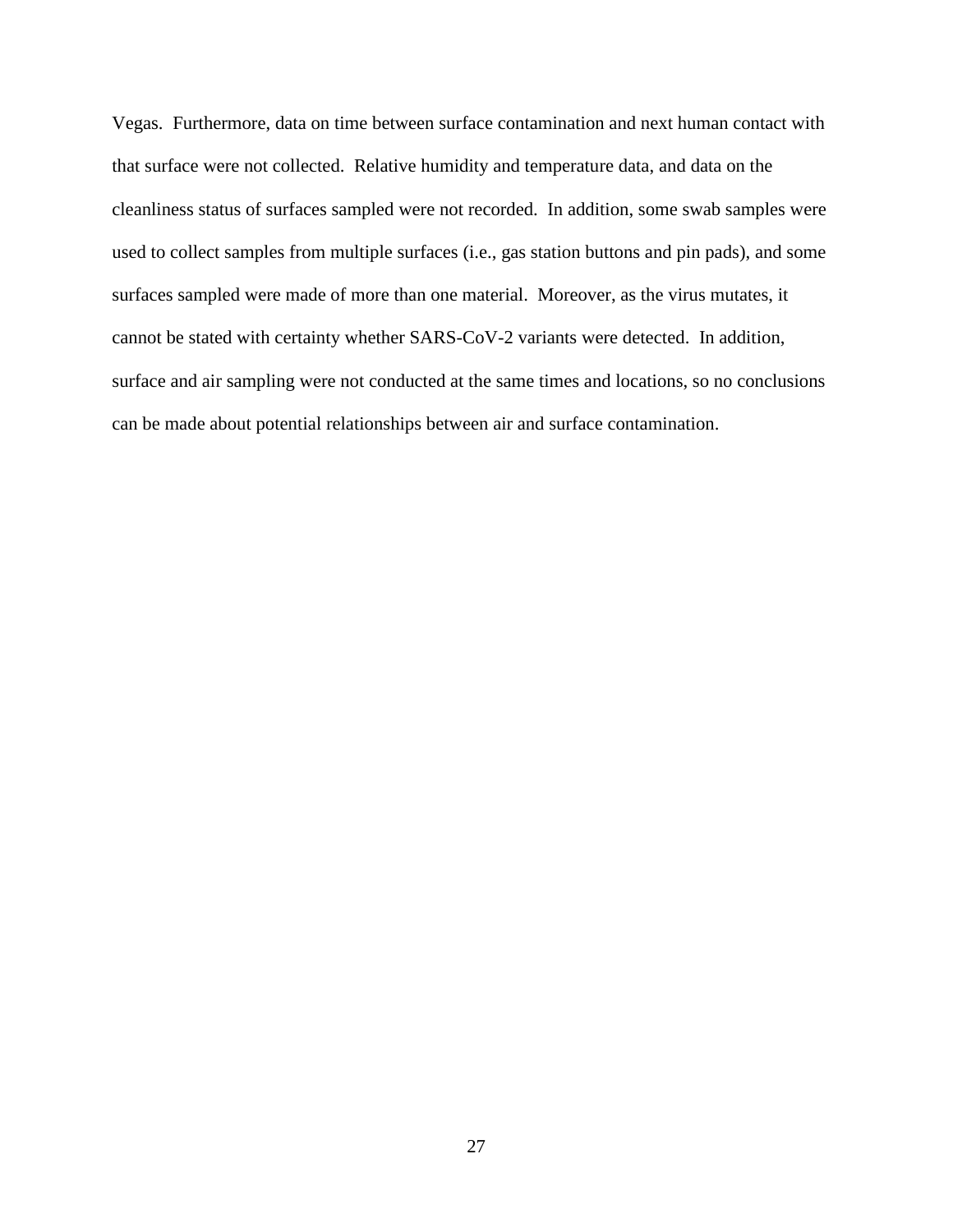Vegas. Furthermore, data on time between surface contamination and next human contact with that surface were not collected. Relative humidity and temperature data, and data on the cleanliness status of surfaces sampled were not recorded. In addition, some swab samples were used to collect samples from multiple surfaces (i.e., gas station buttons and pin pads), and some surfaces sampled were made of more than one material. Moreover, as the virus mutates, it cannot be stated with certainty whether SARS-CoV-2 variants were detected. In addition, surface and air sampling were not conducted at the same times and locations, so no conclusions can be made about potential relationships between air and surface contamination.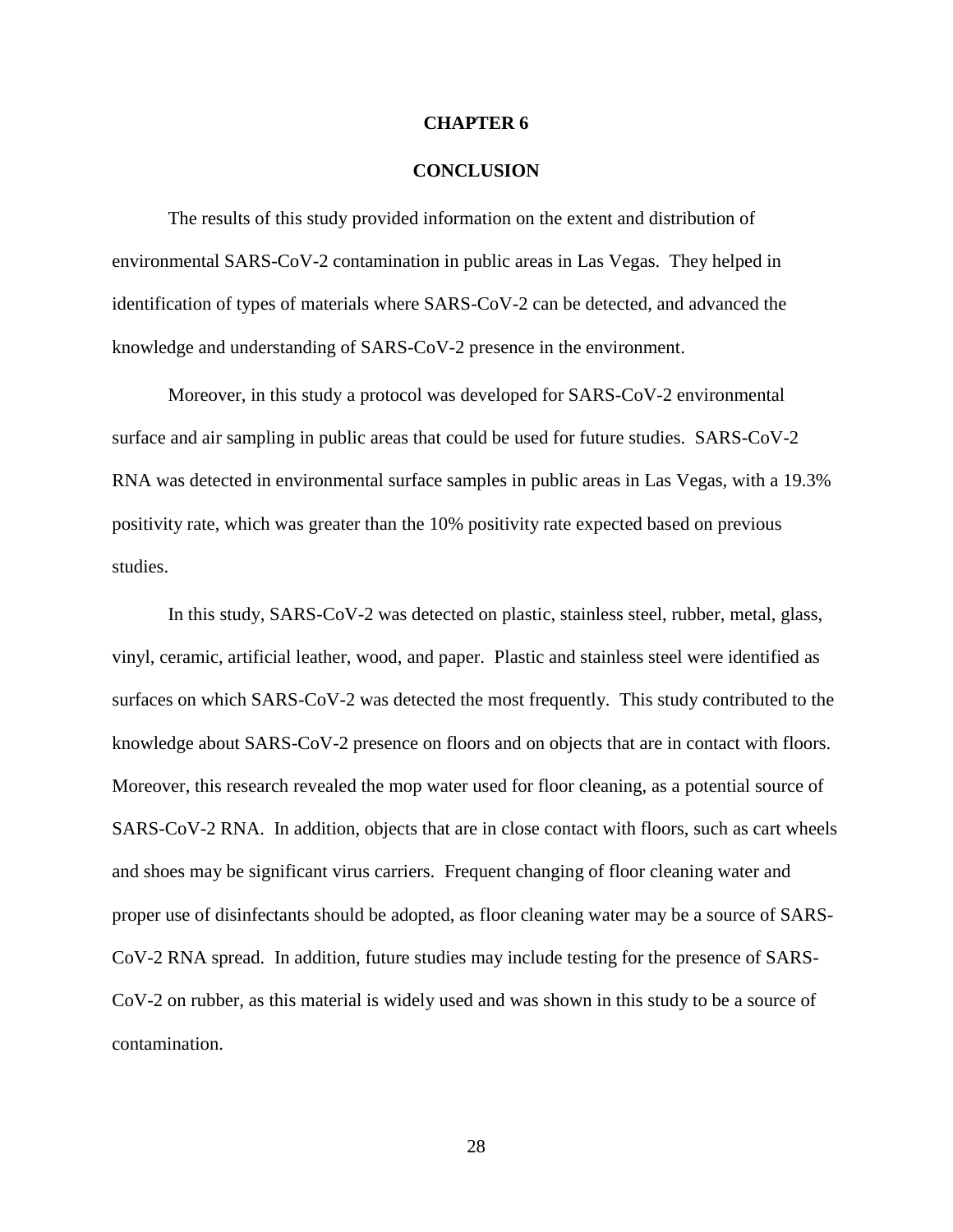#### **CHAPTER 6**

#### **CONCLUSION**

The results of this study provided information on the extent and distribution of environmental SARS-CoV-2 contamination in public areas in Las Vegas. They helped in identification of types of materials where SARS-CoV-2 can be detected, and advanced the knowledge and understanding of SARS-CoV-2 presence in the environment.

Moreover, in this study a protocol was developed for SARS-CoV-2 environmental surface and air sampling in public areas that could be used for future studies. SARS-CoV-2 RNA was detected in environmental surface samples in public areas in Las Vegas, with a 19.3% positivity rate, which was greater than the 10% positivity rate expected based on previous studies.

In this study, SARS-CoV-2 was detected on plastic, stainless steel, rubber, metal, glass, vinyl, ceramic, artificial leather, wood, and paper. Plastic and stainless steel were identified as surfaces on which SARS-CoV-2 was detected the most frequently.This study contributed to the knowledge about SARS-CoV-2 presence on floors and on objects that are in contact with floors. Moreover, this research revealed the mop water used for floor cleaning, as a potential source of SARS-CoV-2 RNA. In addition, objects that are in close contact with floors, such as cart wheels and shoes may be significant virus carriers. Frequent changing of floor cleaning water and proper use of disinfectants should be adopted, as floor cleaning water may be a source of SARS-CoV-2 RNA spread. In addition, future studies may include testing for the presence of SARS-CoV-2 on rubber, as this material is widely used and was shown in this study to be a source of contamination.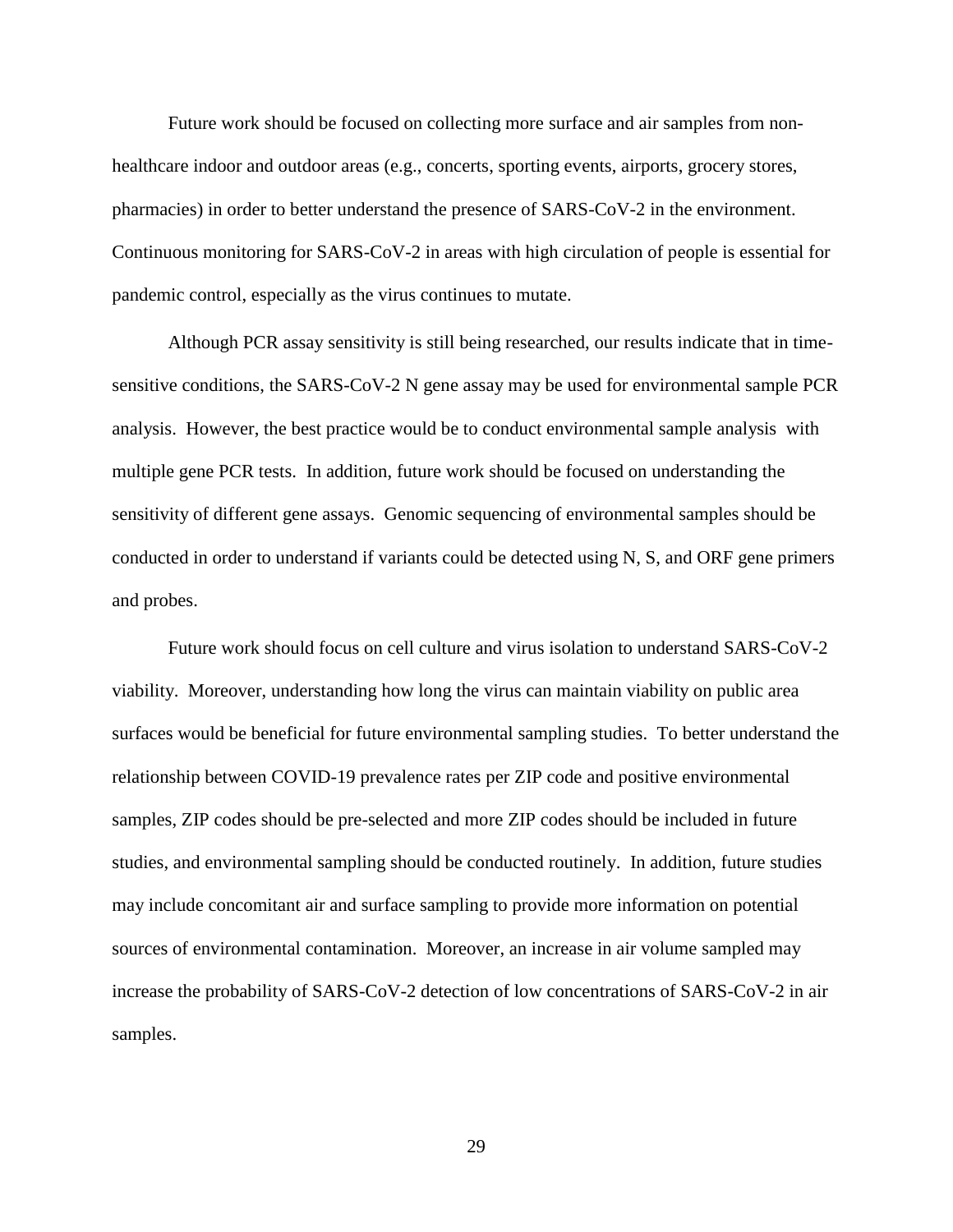Future work should be focused on collecting more surface and air samples from nonhealthcare indoor and outdoor areas (e.g., concerts, sporting events, airports, grocery stores, pharmacies) in order to better understand the presence of SARS-CoV-2 in the environment. Continuous monitoring for SARS-CoV-2 in areas with high circulation of people is essential for pandemic control, especially as the virus continues to mutate.

Although PCR assay sensitivity is still being researched, our results indicate that in timesensitive conditions, the SARS-CoV-2 N gene assay may be used for environmental sample PCR analysis. However, the best practice would be to conduct environmental sample analysis with multiple gene PCR tests. In addition, future work should be focused on understanding the sensitivity of different gene assays. Genomic sequencing of environmental samples should be conducted in order to understand if variants could be detected using N, S, and ORF gene primers and probes.

Future work should focus on cell culture and virus isolation to understand SARS-CoV-2 viability. Moreover, understanding how long the virus can maintain viability on public area surfaces would be beneficial for future environmental sampling studies. To better understand the relationship between COVID-19 prevalence rates per ZIP code and positive environmental samples, ZIP codes should be pre-selected and more ZIP codes should be included in future studies, and environmental sampling should be conducted routinely. In addition, future studies may include concomitant air and surface sampling to provide more information on potential sources of environmental contamination. Moreover, an increase in air volume sampled may increase the probability of SARS-CoV-2 detection of low concentrations of SARS-CoV-2 in air samples.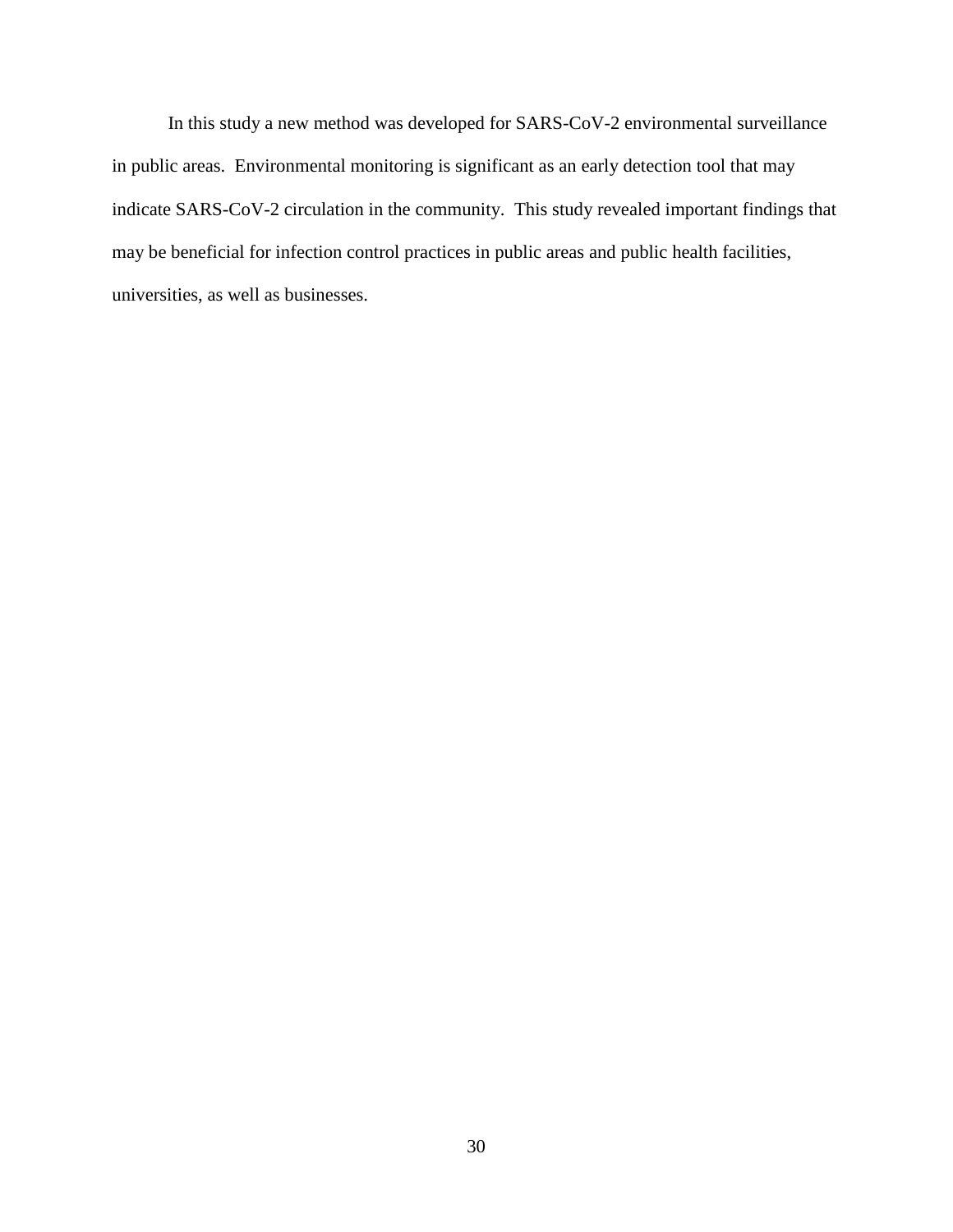In this study a new method was developed for SARS-CoV-2 environmental surveillance in public areas. Environmental monitoring is significant as an early detection tool that may indicate SARS-CoV-2 circulation in the community. This study revealed important findings that may be beneficial for infection control practices in public areas and public health facilities, universities, as well as businesses.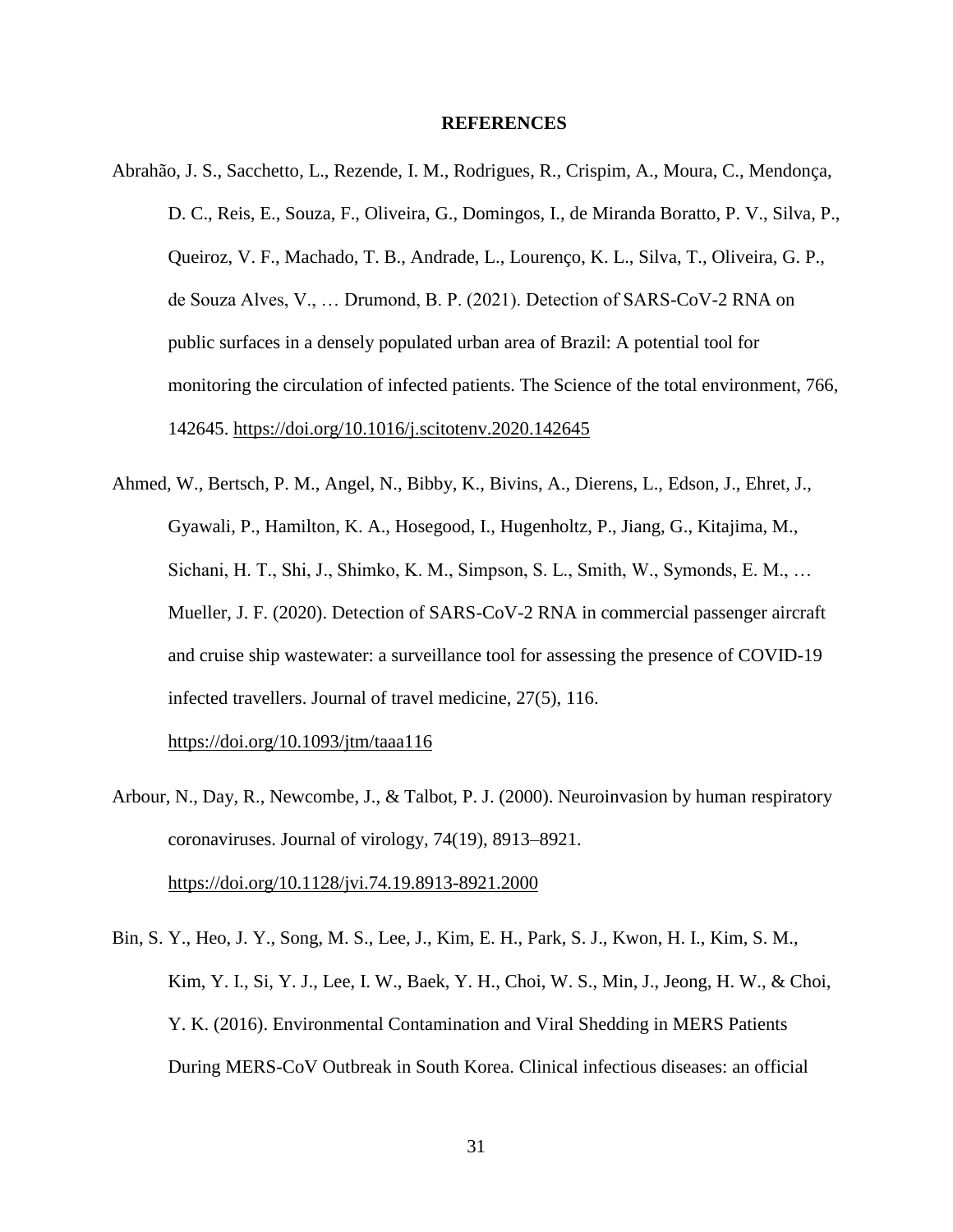#### **REFERENCES**

- Abrahão, J. S., Sacchetto, L., Rezende, I. M., Rodrigues, R., Crispim, A., Moura, C., Mendonça, D. C., Reis, E., Souza, F., Oliveira, G., Domingos, I., de Miranda Boratto, P. V., Silva, P., Queiroz, V. F., Machado, T. B., Andrade, L., Lourenço, K. L., Silva, T., Oliveira, G. P., de Souza Alves, V., … Drumond, B. P. (2021). Detection of SARS-CoV-2 RNA on public surfaces in a densely populated urban area of Brazil: A potential tool for monitoring the circulation of infected patients. The Science of the total environment, 766, 142645.<https://doi.org/10.1016/j.scitotenv.2020.142645>
- Ahmed, W., Bertsch, P. M., Angel, N., Bibby, K., Bivins, A., Dierens, L., Edson, J., Ehret, J., Gyawali, P., Hamilton, K. A., Hosegood, I., Hugenholtz, P., Jiang, G., Kitajima, M., Sichani, H. T., Shi, J., Shimko, K. M., Simpson, S. L., Smith, W., Symonds, E. M., … Mueller, J. F. (2020). Detection of SARS-CoV-2 RNA in commercial passenger aircraft and cruise ship wastewater: a surveillance tool for assessing the presence of COVID-19 infected travellers. Journal of travel medicine, 27(5), 116.

<https://doi.org/10.1093/jtm/taaa116>

- Arbour, N., Day, R., Newcombe, J., & Talbot, P. J. (2000). Neuroinvasion by human respiratory coronaviruses. Journal of virology, 74(19), 8913–8921. <https://doi.org/10.1128/jvi.74.19.8913-8921.2000>
- Bin, S. Y., Heo, J. Y., Song, M. S., Lee, J., Kim, E. H., Park, S. J., Kwon, H. I., Kim, S. M., Kim, Y. I., Si, Y. J., Lee, I. W., Baek, Y. H., Choi, W. S., Min, J., Jeong, H. W., & Choi, Y. K. (2016). Environmental Contamination and Viral Shedding in MERS Patients During MERS-CoV Outbreak in South Korea. Clinical infectious diseases: an official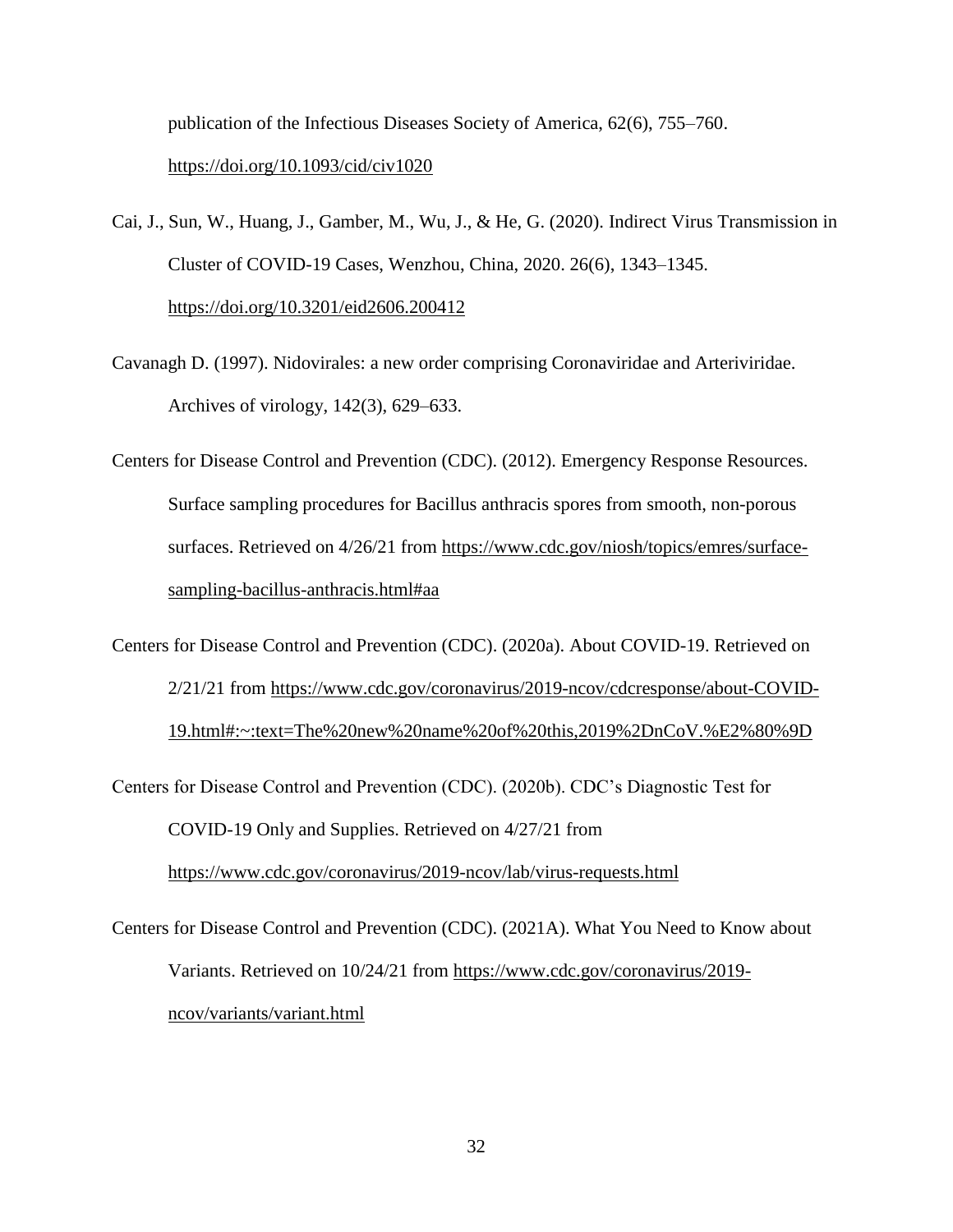publication of the Infectious Diseases Society of America, 62(6), 755–760. <https://doi.org/10.1093/cid/civ1020>

- Cai, J., Sun, W., Huang, J., Gamber, M., Wu, J., & He, G. (2020). Indirect Virus Transmission in Cluster of COVID-19 Cases, Wenzhou, China, 2020. 26(6), 1343–1345. <https://doi.org/10.3201/eid2606.200412>
- Cavanagh D. (1997). Nidovirales: a new order comprising Coronaviridae and Arteriviridae. Archives of virology, 142(3), 629–633.
- Centers for Disease Control and Prevention (CDC). (2012). Emergency Response Resources. Surface sampling procedures for Bacillus anthracis spores from smooth, non-porous surfaces. Retrieved on 4/26/21 from [https://www.cdc.gov/niosh/topics/emres/surface](https://www.cdc.gov/niosh/topics/emres/surface-sampling-bacillus-anthracis.html#aa)[sampling-bacillus-anthracis.html#aa](https://www.cdc.gov/niosh/topics/emres/surface-sampling-bacillus-anthracis.html#aa)
- Centers for Disease Control and Prevention (CDC). (2020a). About COVID-19. Retrieved on 2/21/21 from [https://www.cdc.gov/coronavirus/2019-ncov/cdcresponse/about-COVID-](https://www.cdc.gov/coronavirus/2019-ncov/cdcresponse/about-COVID-19.html#:~:text=The%20new%20name%20of%20this,2019%2DnCoV.%E2%80%9D)[19.html#:~:text=The%20new%20name%20of%20this,2019%2DnCoV.%E2%80%9D](https://www.cdc.gov/coronavirus/2019-ncov/cdcresponse/about-COVID-19.html#:~:text=The%20new%20name%20of%20this,2019%2DnCoV.%E2%80%9D)
- Centers for Disease Control and Prevention (CDC). (2020b). CDC's Diagnostic Test for COVID-19 Only and Supplies. Retrieved on 4/27/21 from <https://www.cdc.gov/coronavirus/2019-ncov/lab/virus-requests.html>
- Centers for Disease Control and Prevention (CDC). (2021A). What You Need to Know about Variants. Retrieved on 10/24/21 from [https://www.cdc.gov/coronavirus/2019](https://www.cdc.gov/coronavirus/2019-ncov/variants/variant.html) [ncov/variants/variant.html](https://www.cdc.gov/coronavirus/2019-ncov/variants/variant.html)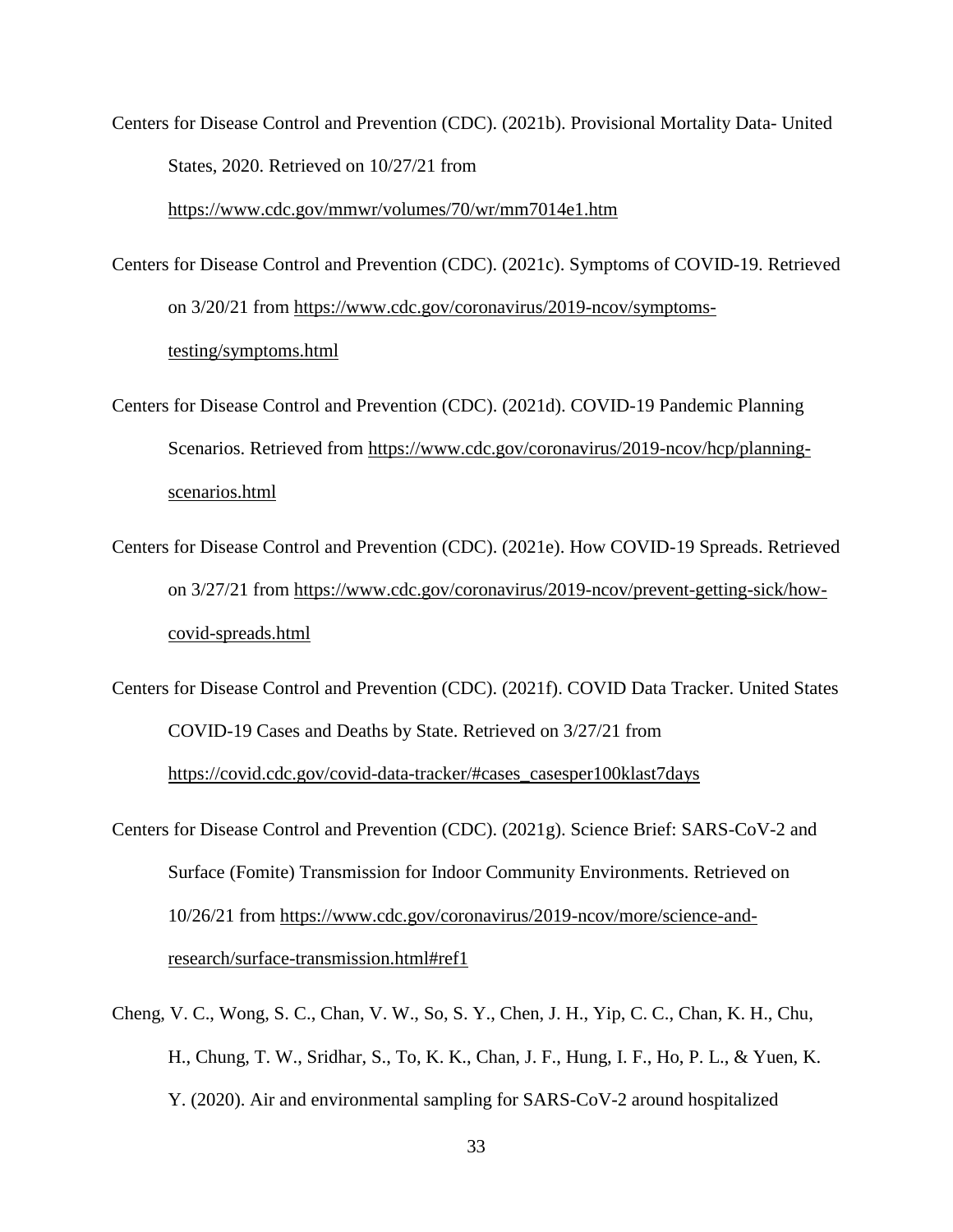Centers for Disease Control and Prevention (CDC). (2021b). Provisional Mortality Data- United States, 2020. Retrieved on 10/27/21 from

<https://www.cdc.gov/mmwr/volumes/70/wr/mm7014e1.htm>

- Centers for Disease Control and Prevention (CDC). (2021c). Symptoms of COVID-19. Retrieved on 3/20/21 from [https://www.cdc.gov/coronavirus/2019-ncov/symptoms](https://www.cdc.gov/coronavirus/2019-ncov/symptoms-testing/symptoms.html)[testing/symptoms.html](https://www.cdc.gov/coronavirus/2019-ncov/symptoms-testing/symptoms.html)
- Centers for Disease Control and Prevention (CDC). (2021d). COVID-19 Pandemic Planning Scenarios. Retrieved from [https://www.cdc.gov/coronavirus/2019-ncov/hcp/planning](https://www.cdc.gov/coronavirus/2019-ncov/hcp/planning-scenarios.html)[scenarios.html](https://www.cdc.gov/coronavirus/2019-ncov/hcp/planning-scenarios.html)
- Centers for Disease Control and Prevention (CDC). (2021e). How COVID-19 Spreads. Retrieved on 3/27/21 from [https://www.cdc.gov/coronavirus/2019-ncov/prevent-getting-sick/how](https://www.cdc.gov/coronavirus/2019-ncov/prevent-getting-sick/how-covid-spreads.html)[covid-spreads.html](https://www.cdc.gov/coronavirus/2019-ncov/prevent-getting-sick/how-covid-spreads.html)
- Centers for Disease Control and Prevention (CDC). (2021f). COVID Data Tracker. United States COVID-19 Cases and Deaths by State. Retrieved on 3/27/21 from [https://covid.cdc.gov/covid-data-tracker/#cases\\_casesper100klast7days](https://covid.cdc.gov/covid-data-tracker/#cases_casesper100klast7days)
- Centers for Disease Control and Prevention (CDC). (2021g). Science Brief: SARS-CoV-2 and Surface (Fomite) Transmission for Indoor Community Environments. Retrieved on 10/26/21 from [https://www.cdc.gov/coronavirus/2019-ncov/more/science-and](https://www.cdc.gov/coronavirus/2019-ncov/more/science-and-research/surface-transmission.html#ref1)[research/surface-transmission.html#ref1](https://www.cdc.gov/coronavirus/2019-ncov/more/science-and-research/surface-transmission.html#ref1)
- Cheng, V. C., Wong, S. C., Chan, V. W., So, S. Y., Chen, J. H., Yip, C. C., Chan, K. H., Chu, H., Chung, T. W., Sridhar, S., To, K. K., Chan, J. F., Hung, I. F., Ho, P. L., & Yuen, K. Y. (2020). Air and environmental sampling for SARS-CoV-2 around hospitalized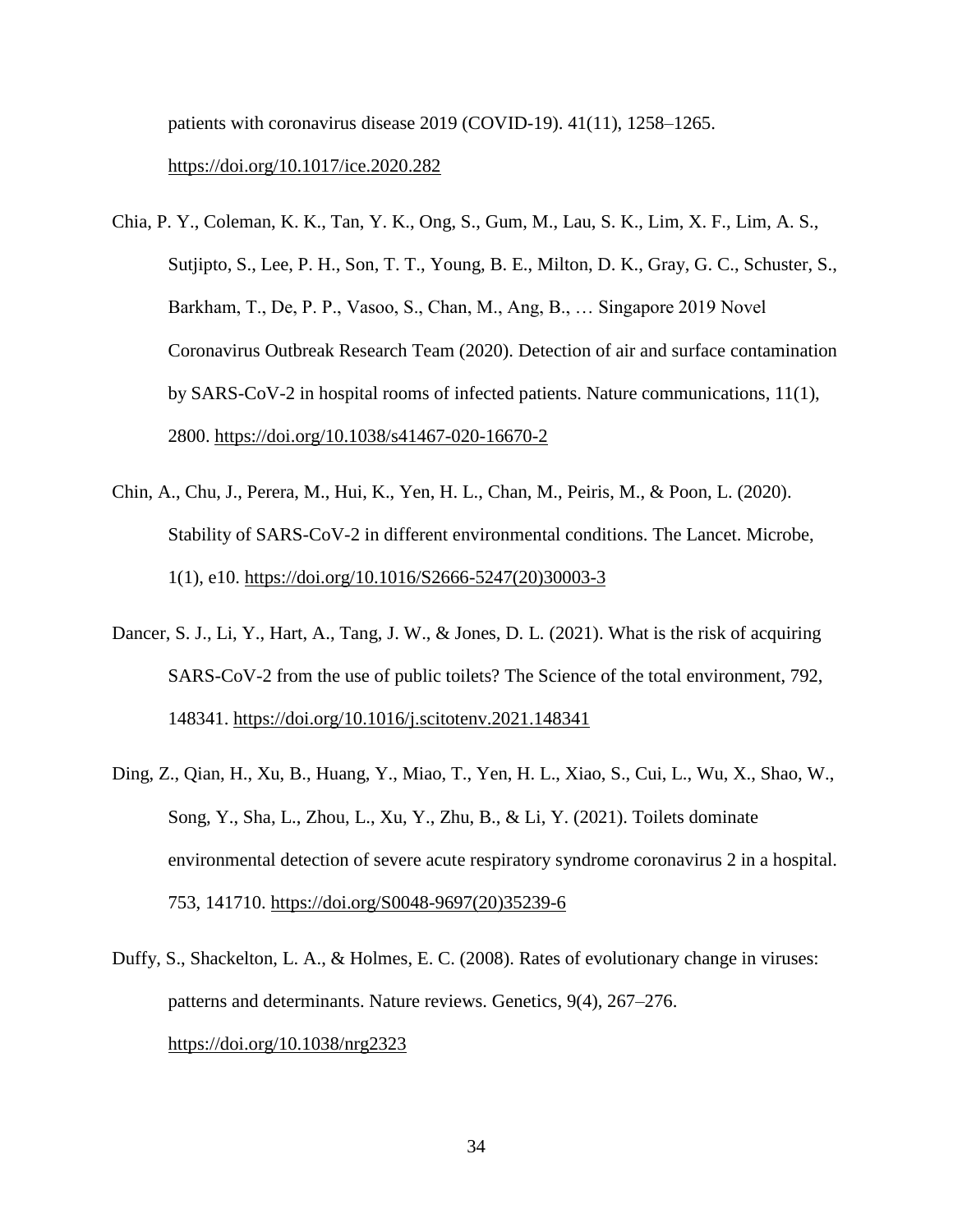patients with coronavirus disease 2019 (COVID-19). 41(11), 1258–1265. <https://doi.org/10.1017/ice.2020.282>

- Chia, P. Y., Coleman, K. K., Tan, Y. K., Ong, S., Gum, M., Lau, S. K., Lim, X. F., Lim, A. S., Sutjipto, S., Lee, P. H., Son, T. T., Young, B. E., Milton, D. K., Gray, G. C., Schuster, S., Barkham, T., De, P. P., Vasoo, S., Chan, M., Ang, B., … Singapore 2019 Novel Coronavirus Outbreak Research Team (2020). Detection of air and surface contamination by SARS-CoV-2 in hospital rooms of infected patients. Nature communications, 11(1), 2800.<https://doi.org/10.1038/s41467-020-16670-2>
- Chin, A., Chu, J., Perera, M., Hui, K., Yen, H. L., Chan, M., Peiris, M., & Poon, L. (2020). Stability of SARS-CoV-2 in different environmental conditions. The Lancet. Microbe, 1(1), e10. [https://doi.org/10.1016/S2666-5247\(20\)30003-3](https://doi.org/10.1016/S2666-5247(20)30003-3)
- Dancer, S. J., Li, Y., Hart, A., Tang, J. W., & Jones, D. L. (2021). What is the risk of acquiring SARS-CoV-2 from the use of public toilets? The Science of the total environment, 792, 148341.<https://doi.org/10.1016/j.scitotenv.2021.148341>
- Ding, Z., Qian, H., Xu, B., Huang, Y., Miao, T., Yen, H. L., Xiao, S., Cui, L., Wu, X., Shao, W., Song, Y., Sha, L., Zhou, L., Xu, Y., Zhu, B., & Li, Y. (2021). Toilets dominate environmental detection of severe acute respiratory syndrome coronavirus 2 in a hospital. 753, 141710. [https://doi.org/S0048-9697\(20\)35239-6](https://doi.org/S0048-9697(20)35239-6)
- Duffy, S., Shackelton, L. A., & Holmes, E. C. (2008). Rates of evolutionary change in viruses: patterns and determinants. Nature reviews. Genetics, 9(4), 267–276. <https://doi.org/10.1038/nrg2323>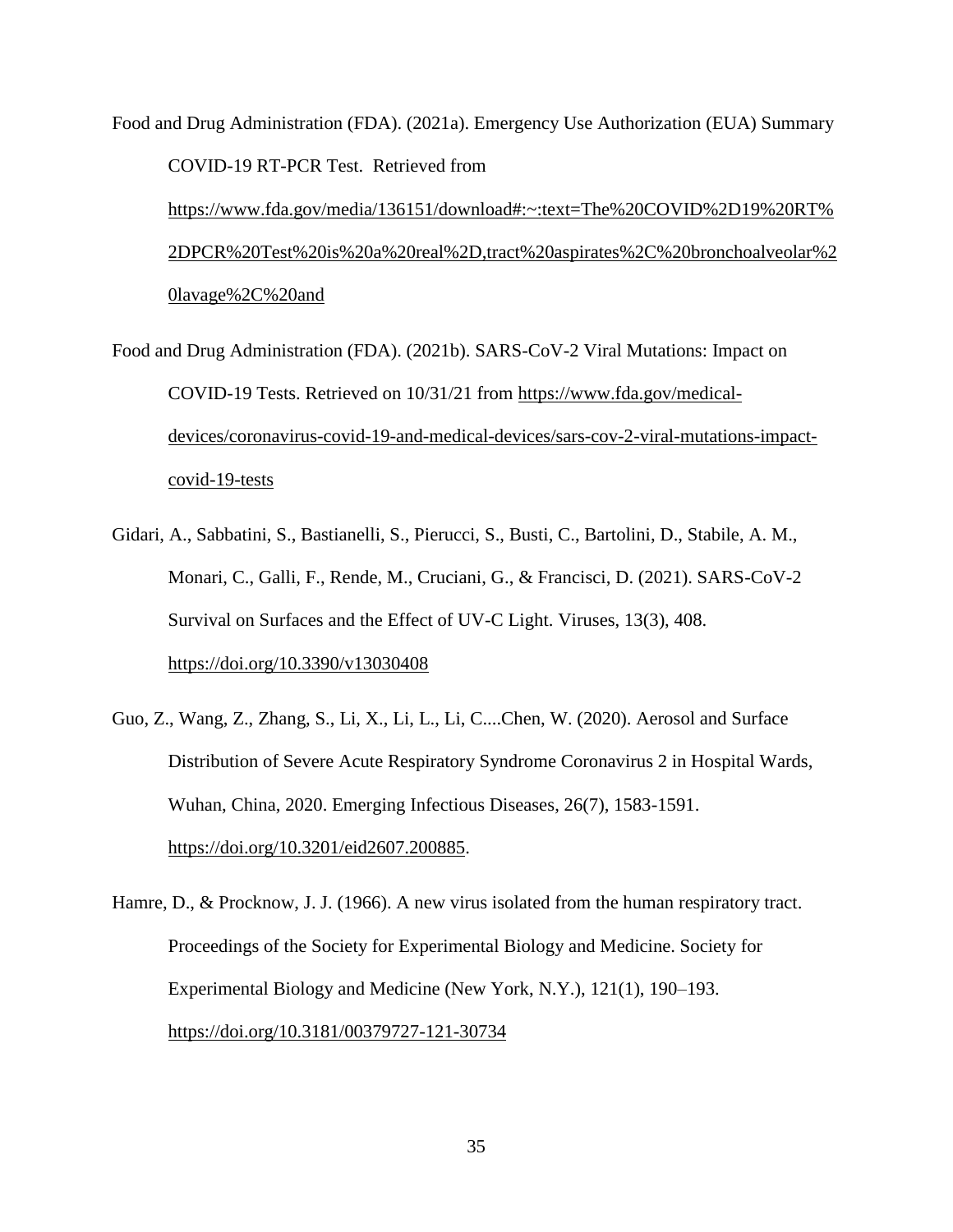Food and Drug Administration (FDA). (2021a). Emergency Use Authorization (EUA) Summary COVID-19 RT-PCR Test. Retrieved from [https://www.fda.gov/media/136151/download#:~:text=The%20COVID%2D19%20RT%](https://www.fda.gov/media/136151/download#:~:text=The%20COVID%2D19%20RT%2DPCR%20Test%20is%20a%20real%2D,tract%20aspirates%2C%20bronchoalveolar%20lavage%2C%20and) [2DPCR%20Test%20is%20a%20real%2D,tract%20aspirates%2C%20bronchoalveolar%2](https://www.fda.gov/media/136151/download#:~:text=The%20COVID%2D19%20RT%2DPCR%20Test%20is%20a%20real%2D,tract%20aspirates%2C%20bronchoalveolar%20lavage%2C%20and) [0lavage%2C%20and](https://www.fda.gov/media/136151/download#:~:text=The%20COVID%2D19%20RT%2DPCR%20Test%20is%20a%20real%2D,tract%20aspirates%2C%20bronchoalveolar%20lavage%2C%20and)

Food and Drug Administration (FDA). (2021b). SARS-CoV-2 Viral Mutations: Impact on COVID-19 Tests. Retrieved on 10/31/21 from [https://www.fda.gov/medical](https://www.fda.gov/medical-devices/coronavirus-covid-19-and-medical-devices/sars-cov-2-viral-mutations-impact-covid-19-tests)[devices/coronavirus-covid-19-and-medical-devices/sars-cov-2-viral-mutations-impact](https://www.fda.gov/medical-devices/coronavirus-covid-19-and-medical-devices/sars-cov-2-viral-mutations-impact-covid-19-tests)[covid-19-tests](https://www.fda.gov/medical-devices/coronavirus-covid-19-and-medical-devices/sars-cov-2-viral-mutations-impact-covid-19-tests)

- Gidari, A., Sabbatini, S., Bastianelli, S., Pierucci, S., Busti, C., Bartolini, D., Stabile, A. M., Monari, C., Galli, F., Rende, M., Cruciani, G., & Francisci, D. (2021). SARS-CoV-2 Survival on Surfaces and the Effect of UV-C Light. Viruses, 13(3), 408. <https://doi.org/10.3390/v13030408>
- Guo, Z., Wang, Z., Zhang, S., Li, X., Li, L., Li, C....Chen, W. (2020). Aerosol and Surface Distribution of Severe Acute Respiratory Syndrome Coronavirus 2 in Hospital Wards, Wuhan, China, 2020. Emerging Infectious Diseases, 26(7), 1583-1591. [https://doi.org/10.3201/eid2607.200885.](https://doi.org/10.3201/eid2607.200885)

Hamre, D., & Procknow, J. J. (1966). A new virus isolated from the human respiratory tract. Proceedings of the Society for Experimental Biology and Medicine. Society for Experimental Biology and Medicine (New York, N.Y.), 121(1), 190–193. <https://doi.org/10.3181/00379727-121-30734>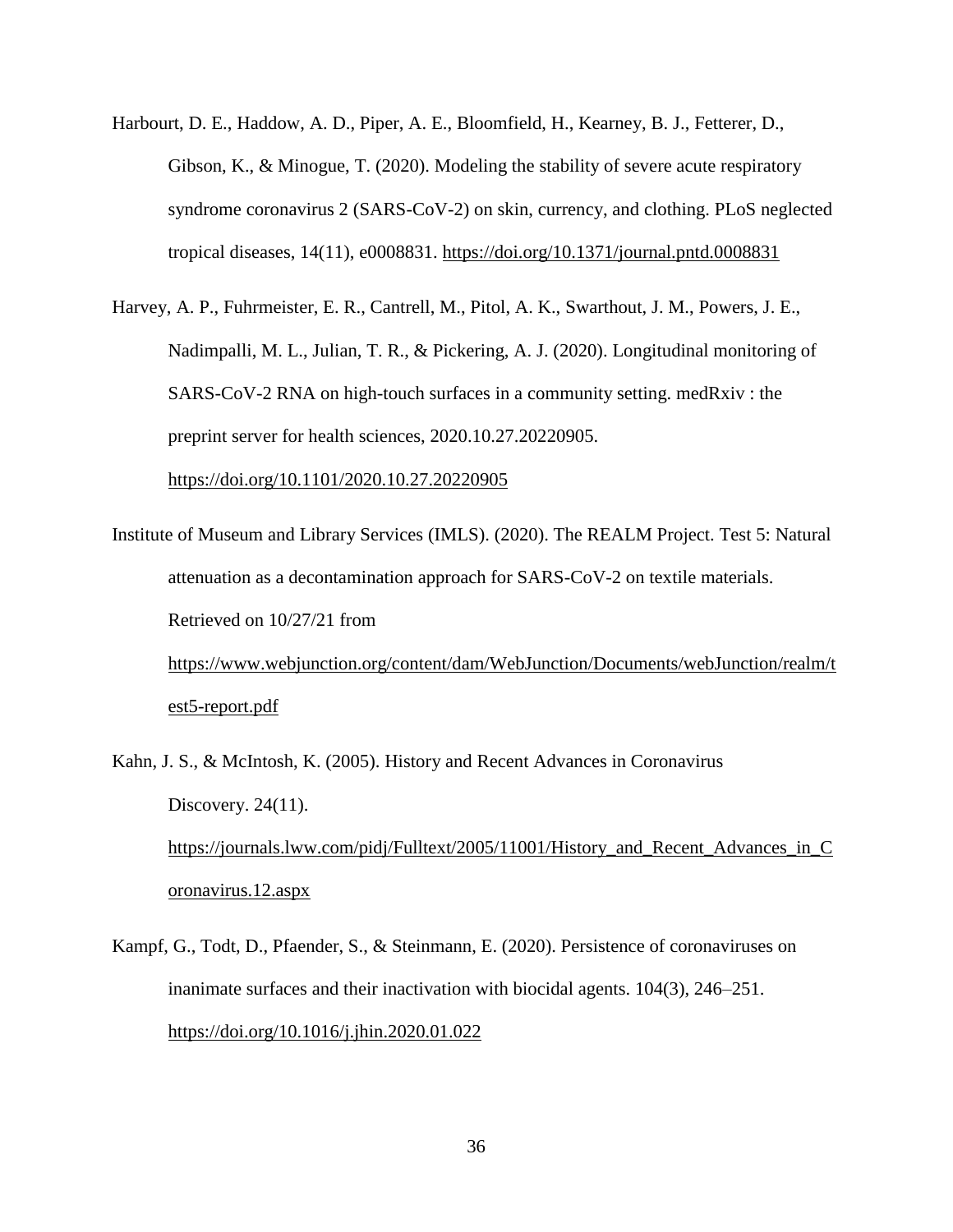- Harbourt, D. E., Haddow, A. D., Piper, A. E., Bloomfield, H., Kearney, B. J., Fetterer, D., Gibson, K., & Minogue, T. (2020). Modeling the stability of severe acute respiratory syndrome coronavirus 2 (SARS-CoV-2) on skin, currency, and clothing. PLoS neglected tropical diseases, 14(11), e0008831.<https://doi.org/10.1371/journal.pntd.0008831>
- Harvey, A. P., Fuhrmeister, E. R., Cantrell, M., Pitol, A. K., Swarthout, J. M., Powers, J. E., Nadimpalli, M. L., Julian, T. R., & Pickering, A. J. (2020). Longitudinal monitoring of SARS-CoV-2 RNA on high-touch surfaces in a community setting. medRxiv : the preprint server for health sciences, 2020.10.27.20220905.

<https://doi.org/10.1101/2020.10.27.20220905>

- Institute of Museum and Library Services (IMLS). (2020). The REALM Project. Test 5: Natural attenuation as a decontamination approach for SARS-CoV-2 on textile materials. Retrieved on 10/27/21 from [https://www.webjunction.org/content/dam/WebJunction/Documents/webJunction/realm/t](https://www.webjunction.org/content/dam/WebJunction/Documents/webJunction/realm/test5-report.pdf) [est5-report.pdf](https://www.webjunction.org/content/dam/WebJunction/Documents/webJunction/realm/test5-report.pdf)
- Kahn, J. S., & McIntosh, K. (2005). History and Recent Advances in Coronavirus Discovery. 24(11). https://journals.lww.com/pidj/Fulltext/2005/11001/History and Recent Advances in C [oronavirus.12.aspx](https://journals.lww.com/pidj/Fulltext/2005/11001/History_and_Recent_Advances_in_Coronavirus.12.aspx)
- Kampf, G., Todt, D., Pfaender, S., & Steinmann, E. (2020). Persistence of coronaviruses on inanimate surfaces and their inactivation with biocidal agents. 104(3), 246–251. <https://doi.org/10.1016/j.jhin.2020.01.022>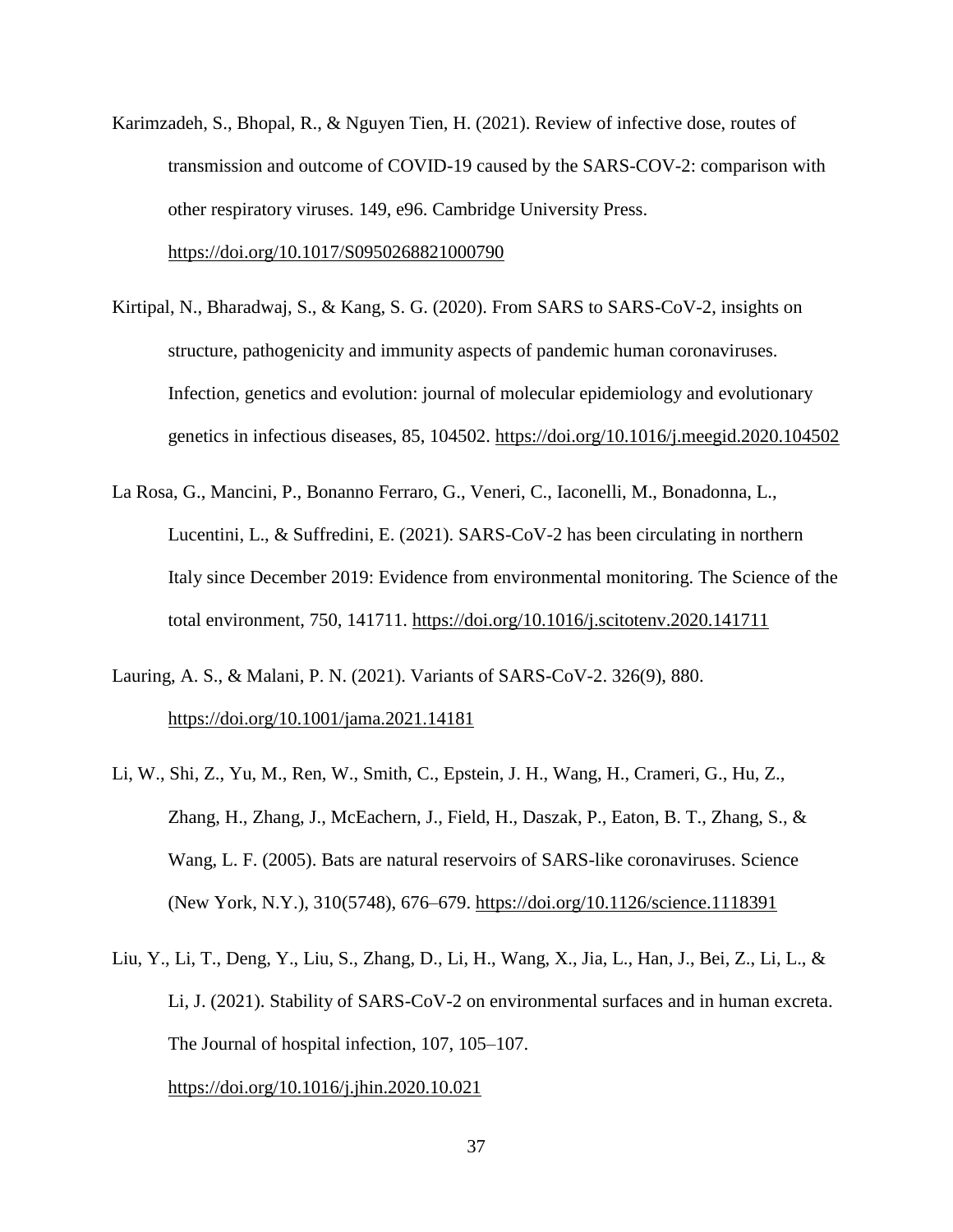- Karimzadeh, S., Bhopal, R., & Nguyen Tien, H. (2021). Review of infective dose, routes of transmission and outcome of COVID-19 caused by the SARS-COV-2: comparison with other respiratory viruses. 149, e96. Cambridge University Press. <https://doi.org/10.1017/S0950268821000790>
- Kirtipal, N., Bharadwaj, S., & Kang, S. G. (2020). From SARS to SARS-CoV-2, insights on structure, pathogenicity and immunity aspects of pandemic human coronaviruses. Infection, genetics and evolution: journal of molecular epidemiology and evolutionary genetics in infectious diseases, 85, 104502.<https://doi.org/10.1016/j.meegid.2020.104502>
- La Rosa, G., Mancini, P., Bonanno Ferraro, G., Veneri, C., Iaconelli, M., Bonadonna, L., Lucentini, L., & Suffredini, E. (2021). SARS-CoV-2 has been circulating in northern Italy since December 2019: Evidence from environmental monitoring. The Science of the total environment, 750, 141711.<https://doi.org/10.1016/j.scitotenv.2020.141711>
- Lauring, A. S., & Malani, P. N. (2021). Variants of SARS-CoV-2. 326(9), 880. <https://doi.org/10.1001/jama.2021.14181>
- Li, W., Shi, Z., Yu, M., Ren, W., Smith, C., Epstein, J. H., Wang, H., Crameri, G., Hu, Z., Zhang, H., Zhang, J., McEachern, J., Field, H., Daszak, P., Eaton, B. T., Zhang, S., & Wang, L. F. (2005). Bats are natural reservoirs of SARS-like coronaviruses. Science (New York, N.Y.), 310(5748), 676–679.<https://doi.org/10.1126/science.1118391>
- Liu, Y., Li, T., Deng, Y., Liu, S., Zhang, D., Li, H., Wang, X., Jia, L., Han, J., Bei, Z., Li, L., & Li, J. (2021). Stability of SARS-CoV-2 on environmental surfaces and in human excreta. The Journal of hospital infection, 107, 105–107.

<https://doi.org/10.1016/j.jhin.2020.10.021>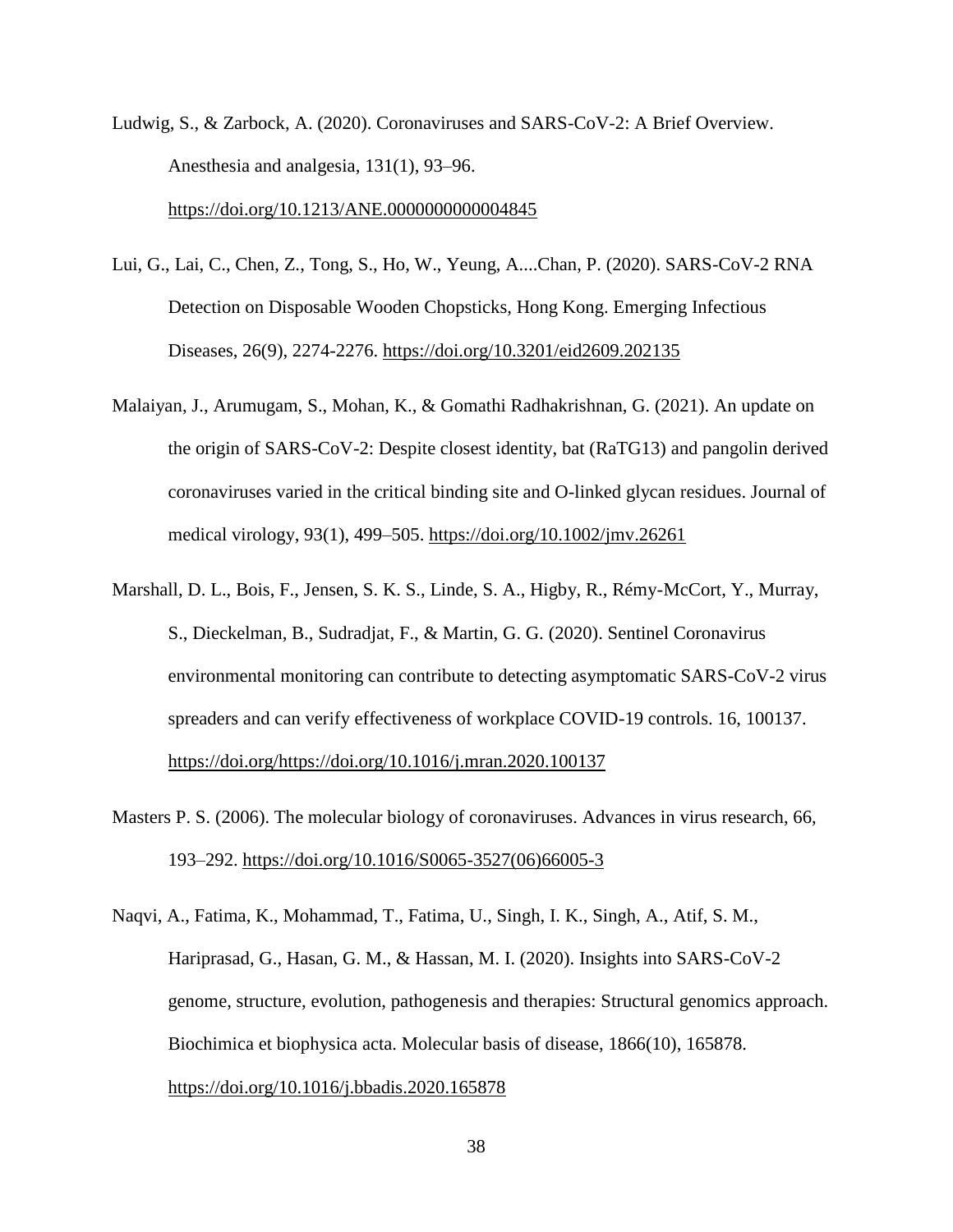Ludwig, S., & Zarbock, A. (2020). Coronaviruses and SARS-CoV-2: A Brief Overview. Anesthesia and analgesia, 131(1), 93–96.

<https://doi.org/10.1213/ANE.0000000000004845>

Lui, G., Lai, C., Chen, Z., Tong, S., Ho, W., Yeung, A....Chan, P. (2020). SARS-CoV-2 RNA Detection on Disposable Wooden Chopsticks, Hong Kong. Emerging Infectious Diseases, 26(9), 2274-2276.<https://doi.org/10.3201/eid2609.202135>

- Malaiyan, J., Arumugam, S., Mohan, K., & Gomathi Radhakrishnan, G. (2021). An update on the origin of SARS-CoV-2: Despite closest identity, bat (RaTG13) and pangolin derived coronaviruses varied in the critical binding site and O-linked glycan residues. Journal of medical virology, 93(1), 499–505.<https://doi.org/10.1002/jmv.26261>
- Marshall, D. L., Bois, F., Jensen, S. K. S., Linde, S. A., Higby, R., Rémy-McCort, Y., Murray, S., Dieckelman, B., Sudradjat, F., & Martin, G. G. (2020). Sentinel Coronavirus environmental monitoring can contribute to detecting asymptomatic SARS-CoV-2 virus spreaders and can verify effectiveness of workplace COVID-19 controls. 16, 100137. [https://doi.org/https://doi.org/10.1016/j.mran.2020.100137](https://doi.org/https:/doi.org/10.1016/j.mran.2020.100137)
- Masters P. S. (2006). The molecular biology of coronaviruses. Advances in virus research, 66, 193–292. [https://doi.org/10.1016/S0065-3527\(06\)66005-3](https://doi.org/10.1016/S0065-3527(06)66005-3)
- Naqvi, A., Fatima, K., Mohammad, T., Fatima, U., Singh, I. K., Singh, A., Atif, S. M., Hariprasad, G., Hasan, G. M., & Hassan, M. I. (2020). Insights into SARS-CoV-2 genome, structure, evolution, pathogenesis and therapies: Structural genomics approach. Biochimica et biophysica acta. Molecular basis of disease, 1866(10), 165878. <https://doi.org/10.1016/j.bbadis.2020.165878>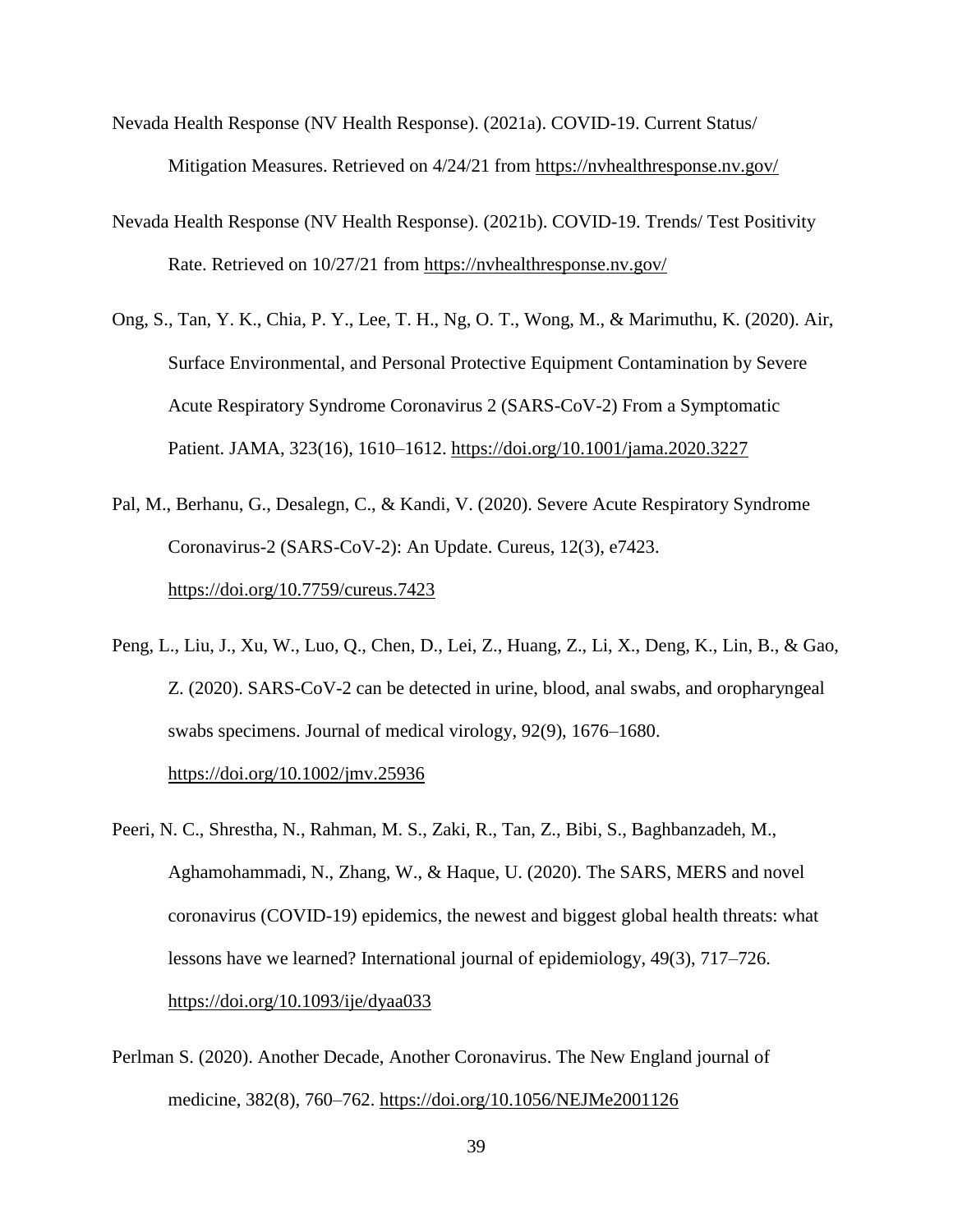- Nevada Health Response (NV Health Response). (2021a). COVID-19. Current Status/ Mitigation Measures. Retrieved on 4/24/21 from<https://nvhealthresponse.nv.gov/>
- Nevada Health Response (NV Health Response). (2021b). COVID-19. Trends/ Test Positivity Rate. Retrieved on 10/27/21 from<https://nvhealthresponse.nv.gov/>
- Ong, S., Tan, Y. K., Chia, P. Y., Lee, T. H., Ng, O. T., Wong, M., & Marimuthu, K. (2020). Air, Surface Environmental, and Personal Protective Equipment Contamination by Severe Acute Respiratory Syndrome Coronavirus 2 (SARS-CoV-2) From a Symptomatic Patient. JAMA, 323(16), 1610–1612.<https://doi.org/10.1001/jama.2020.3227>
- Pal, M., Berhanu, G., Desalegn, C., & Kandi, V. (2020). Severe Acute Respiratory Syndrome Coronavirus-2 (SARS-CoV-2): An Update. Cureus, 12(3), e7423. <https://doi.org/10.7759/cureus.7423>
- Peng, L., Liu, J., Xu, W., Luo, Q., Chen, D., Lei, Z., Huang, Z., Li, X., Deng, K., Lin, B., & Gao, Z. (2020). SARS-CoV-2 can be detected in urine, blood, anal swabs, and oropharyngeal swabs specimens. Journal of medical virology, 92(9), 1676–1680. <https://doi.org/10.1002/jmv.25936>
- Peeri, N. C., Shrestha, N., Rahman, M. S., Zaki, R., Tan, Z., Bibi, S., Baghbanzadeh, M., Aghamohammadi, N., Zhang, W., & Haque, U. (2020). The SARS, MERS and novel coronavirus (COVID-19) epidemics, the newest and biggest global health threats: what lessons have we learned? International journal of epidemiology, 49(3), 717–726. <https://doi.org/10.1093/ije/dyaa033>
- Perlman S. (2020). Another Decade, Another Coronavirus. The New England journal of medicine, 382(8), 760–762.<https://doi.org/10.1056/NEJMe2001126>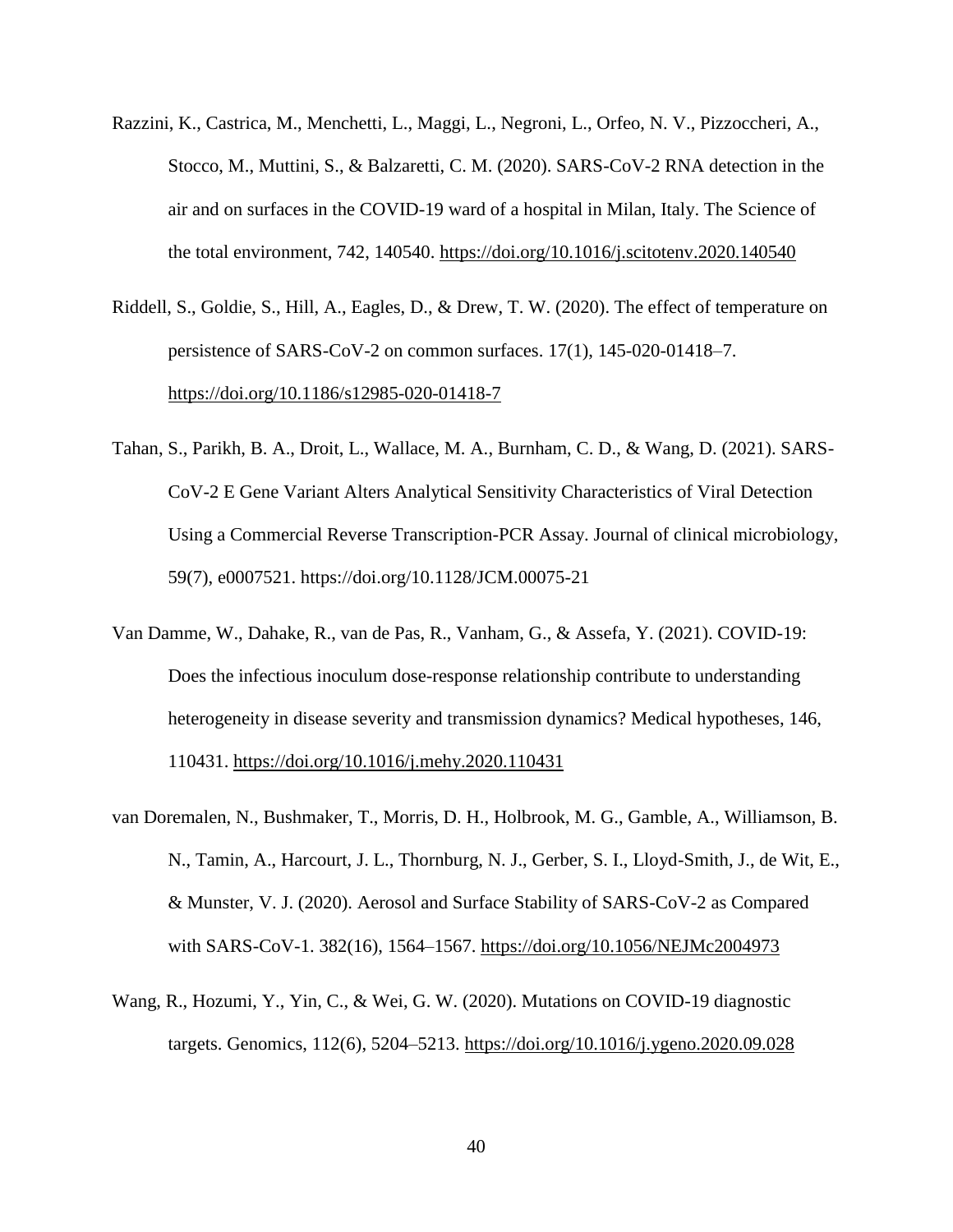- Razzini, K., Castrica, M., Menchetti, L., Maggi, L., Negroni, L., Orfeo, N. V., Pizzoccheri, A., Stocco, M., Muttini, S., & Balzaretti, C. M. (2020). SARS-CoV-2 RNA detection in the air and on surfaces in the COVID-19 ward of a hospital in Milan, Italy. The Science of the total environment, 742, 140540.<https://doi.org/10.1016/j.scitotenv.2020.140540>
- Riddell, S., Goldie, S., Hill, A., Eagles, D., & Drew, T. W. (2020). The effect of temperature on persistence of SARS-CoV-2 on common surfaces. 17(1), 145-020-01418–7. <https://doi.org/10.1186/s12985-020-01418-7>
- Tahan, S., Parikh, B. A., Droit, L., Wallace, M. A., Burnham, C. D., & Wang, D. (2021). SARS-CoV-2 E Gene Variant Alters Analytical Sensitivity Characteristics of Viral Detection Using a Commercial Reverse Transcription-PCR Assay. Journal of clinical microbiology, 59(7), e0007521. https://doi.org/10.1128/JCM.00075-21
- Van Damme, W., Dahake, R., van de Pas, R., Vanham, G., & Assefa, Y. (2021). COVID-19: Does the infectious inoculum dose-response relationship contribute to understanding heterogeneity in disease severity and transmission dynamics? Medical hypotheses, 146, 110431.<https://doi.org/10.1016/j.mehy.2020.110431>
- van Doremalen, N., Bushmaker, T., Morris, D. H., Holbrook, M. G., Gamble, A., Williamson, B. N., Tamin, A., Harcourt, J. L., Thornburg, N. J., Gerber, S. I., Lloyd-Smith, J., de Wit, E., & Munster, V. J. (2020). Aerosol and Surface Stability of SARS-CoV-2 as Compared with SARS-CoV-1. 382(16), 1564–1567.<https://doi.org/10.1056/NEJMc2004973>
- Wang, R., Hozumi, Y., Yin, C., & Wei, G. W. (2020). Mutations on COVID-19 diagnostic targets. Genomics, 112(6), 5204–5213.<https://doi.org/10.1016/j.ygeno.2020.09.028>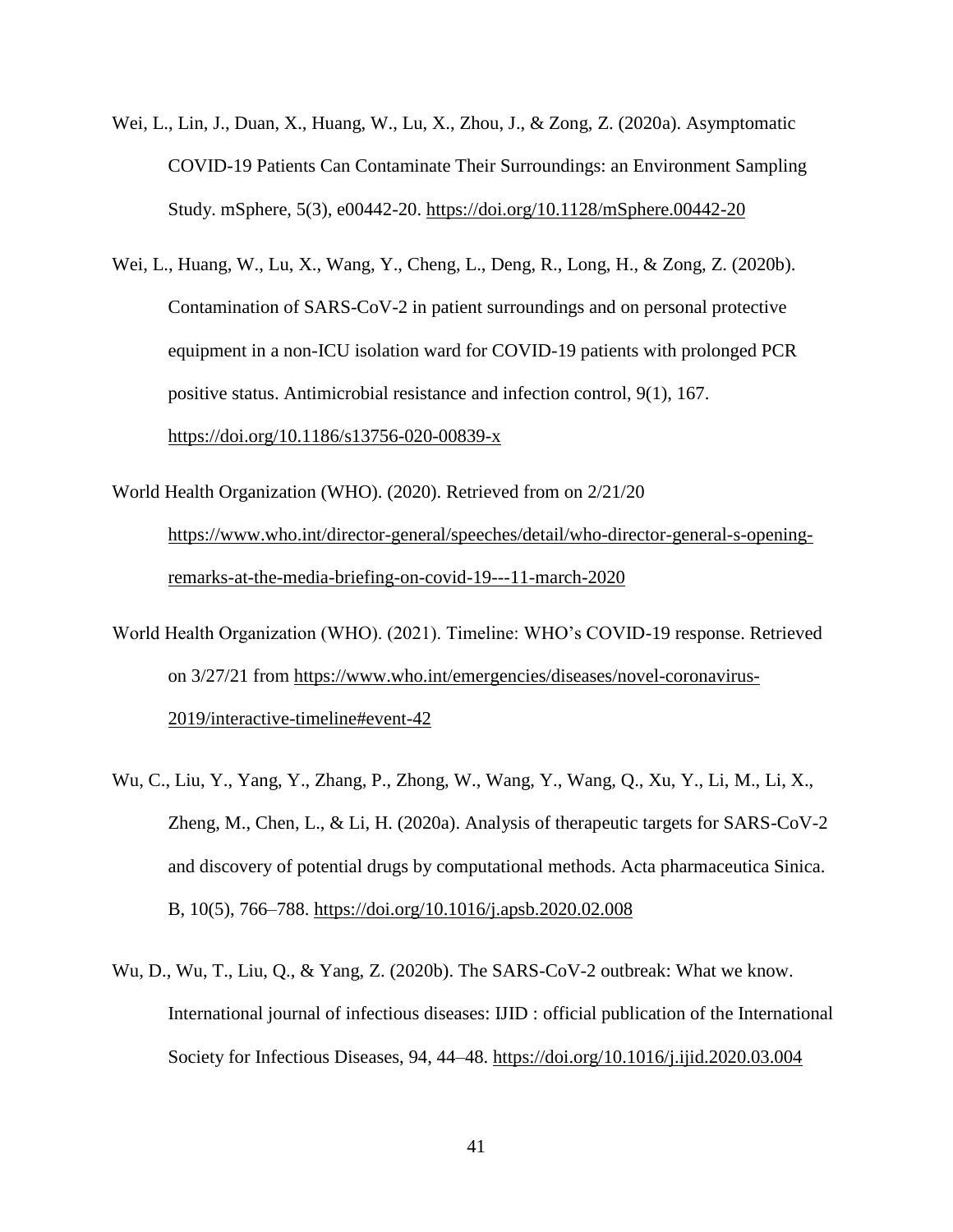- Wei, L., Lin, J., Duan, X., Huang, W., Lu, X., Zhou, J., & Zong, Z. (2020a). Asymptomatic COVID-19 Patients Can Contaminate Their Surroundings: an Environment Sampling Study. mSphere, 5(3), e00442-20.<https://doi.org/10.1128/mSphere.00442-20>
- Wei, L., Huang, W., Lu, X., Wang, Y., Cheng, L., Deng, R., Long, H., & Zong, Z. (2020b). Contamination of SARS-CoV-2 in patient surroundings and on personal protective equipment in a non-ICU isolation ward for COVID-19 patients with prolonged PCR positive status. Antimicrobial resistance and infection control, 9(1), 167. <https://doi.org/10.1186/s13756-020-00839-x>
- World Health Organization (WHO). (2020). Retrieved from on 2/21/20 [https://www.who.int/director-general/speeches/detail/who-director-general-s-opening](https://www.who.int/director-general/speeches/detail/who-director-general-s-opening-remarks-at-the-media-briefing-on-covid-19---11-march-2020)[remarks-at-the-media-briefing-on-covid-19---11-march-2020](https://www.who.int/director-general/speeches/detail/who-director-general-s-opening-remarks-at-the-media-briefing-on-covid-19---11-march-2020)
- World Health Organization (WHO). (2021). Timeline: WHO's COVID-19 response. Retrieved on 3/27/21 from [https://www.who.int/emergencies/diseases/novel-coronavirus-](https://www.who.int/emergencies/diseases/novel-coronavirus-2019/interactive-timeline#event-42)[2019/interactive-timeline#event-42](https://www.who.int/emergencies/diseases/novel-coronavirus-2019/interactive-timeline#event-42)
- Wu, C., Liu, Y., Yang, Y., Zhang, P., Zhong, W., Wang, Y., Wang, Q., Xu, Y., Li, M., Li, X., Zheng, M., Chen, L., & Li, H. (2020a). Analysis of therapeutic targets for SARS-CoV-2 and discovery of potential drugs by computational methods. Acta pharmaceutica Sinica. B, 10(5), 766–788.<https://doi.org/10.1016/j.apsb.2020.02.008>
- Wu, D., Wu, T., Liu, Q., & Yang, Z. (2020b). The SARS-CoV-2 outbreak: What we know. International journal of infectious diseases: IJID : official publication of the International Society for Infectious Diseases, 94, 44–48.<https://doi.org/10.1016/j.ijid.2020.03.004>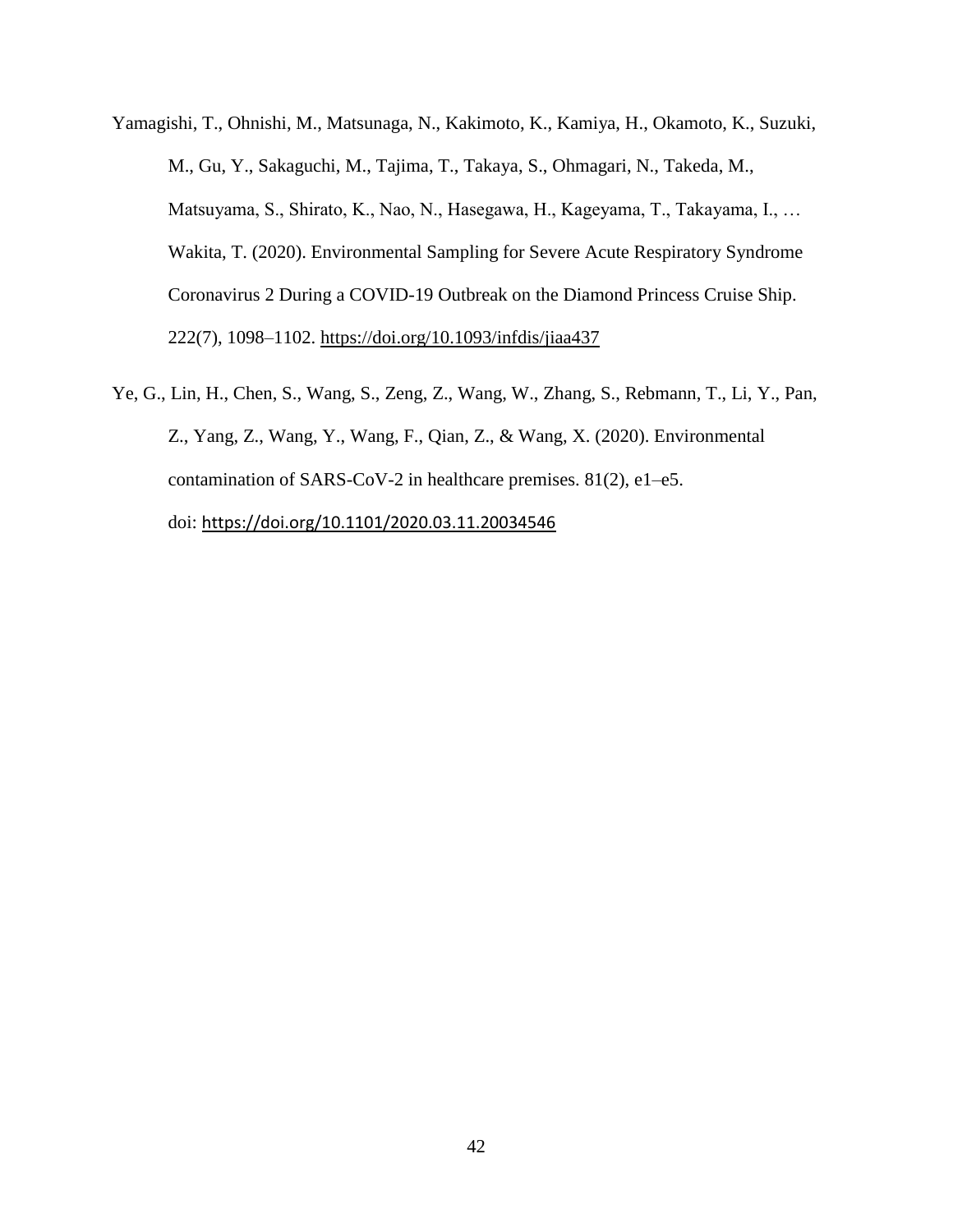- Yamagishi, T., Ohnishi, M., Matsunaga, N., Kakimoto, K., Kamiya, H., Okamoto, K., Suzuki, M., Gu, Y., Sakaguchi, M., Tajima, T., Takaya, S., Ohmagari, N., Takeda, M., Matsuyama, S., Shirato, K., Nao, N., Hasegawa, H., Kageyama, T., Takayama, I., … Wakita, T. (2020). Environmental Sampling for Severe Acute Respiratory Syndrome Coronavirus 2 During a COVID-19 Outbreak on the Diamond Princess Cruise Ship. 222(7), 1098–1102.<https://doi.org/10.1093/infdis/jiaa437>
- Ye, G., Lin, H., Chen, S., Wang, S., Zeng, Z., Wang, W., Zhang, S., Rebmann, T., Li, Y., Pan, Z., Yang, Z., Wang, Y., Wang, F., Qian, Z., & Wang, X. (2020). Environmental contamination of SARS-CoV-2 in healthcare premises. 81(2), e1–e5. doi: <https://doi.org/10.1101/2020.03.11.20034546>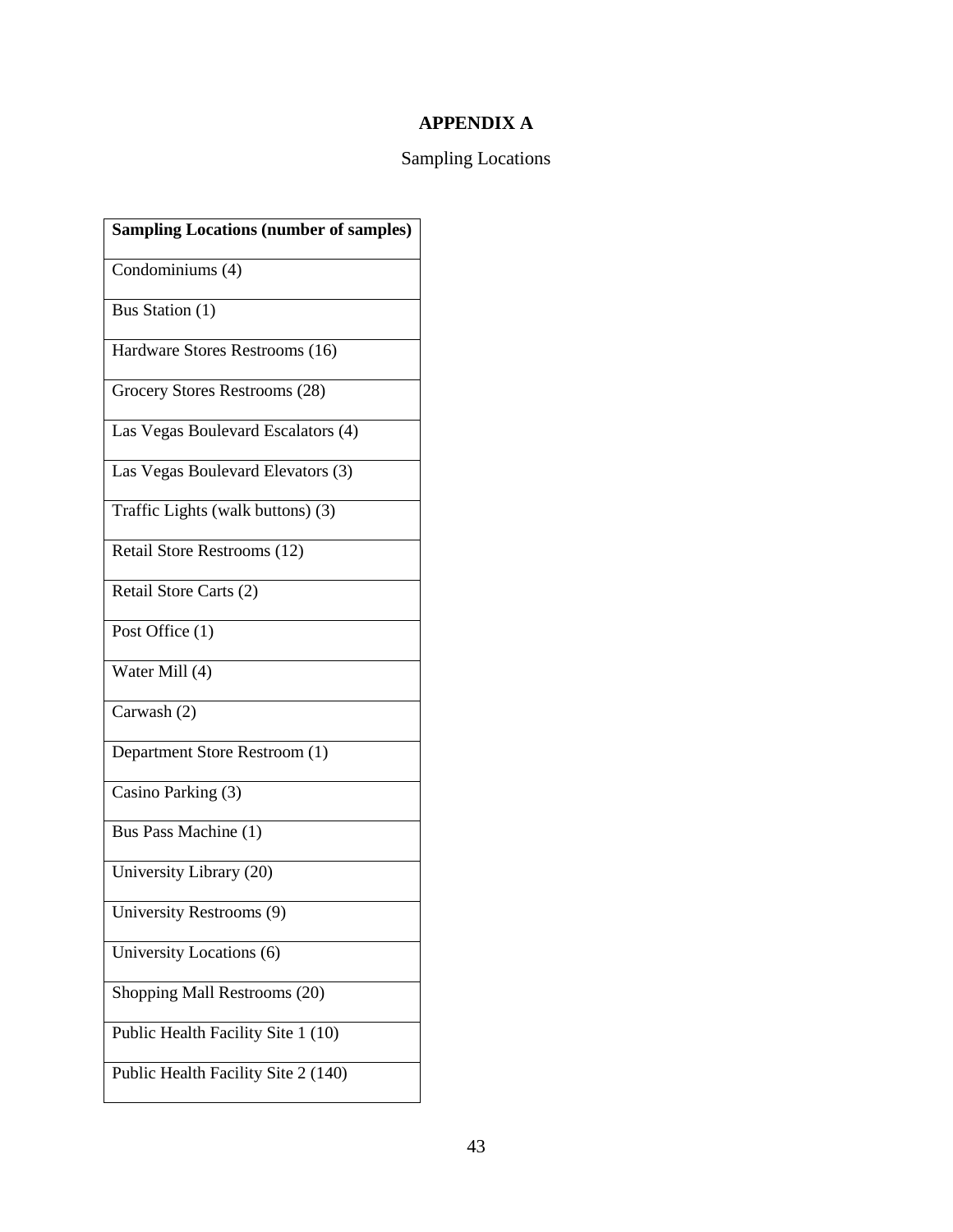# **APPENDIX A**

# Sampling Locations

| <b>Sampling Locations (number of samples)</b> |
|-----------------------------------------------|
| Condominiums (4)                              |
| Bus Station (1)                               |
| Hardware Stores Restrooms (16)                |
| Grocery Stores Restrooms (28)                 |
| Las Vegas Boulevard Escalators (4)            |
| Las Vegas Boulevard Elevators (3)             |
| Traffic Lights (walk buttons) (3)             |
| Retail Store Restrooms (12)                   |
| Retail Store Carts (2)                        |
| Post Office (1)                               |
| Water Mill (4)                                |
| Carwash (2)                                   |
| Department Store Restroom (1)                 |
| Casino Parking (3)                            |
| Bus Pass Machine (1)                          |
| University Library (20)                       |
| University Restrooms (9)                      |
| University Locations (6)                      |
| Shopping Mall Restrooms (20)                  |
| Public Health Facility Site 1 (10)            |
| Public Health Facility Site 2 (140)           |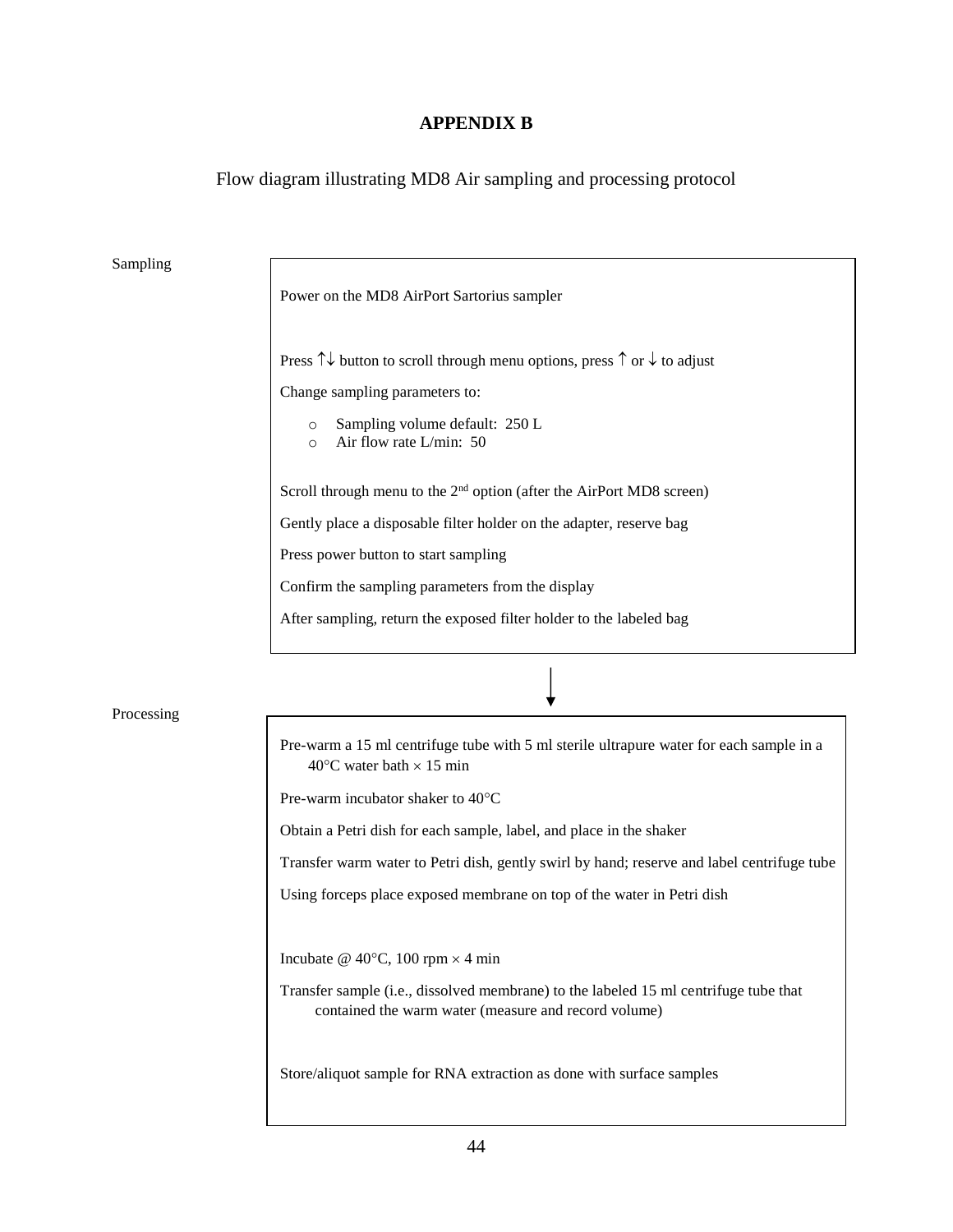#### **APPENDIX B**

Flow diagram illustrating MD8 Air sampling and processing protocol

Sampling

Power on the MD8 AirPort Sartorius sampler Press  $\uparrow\downarrow$  button to scroll through menu options, press  $\uparrow$  or  $\downarrow$  to adjust Change sampling parameters to: o Sampling volume default: 250 L o Air flow rate L/min: 50 Scroll through menu to the 2<sup>nd</sup> option (after the AirPort MD8 screen) Gently place a disposable filter holder on the adapter, reserve bag Press power button to start sampling Confirm the sampling parameters from the display After sampling, return the exposed filter holder to the labeled bag

Processing

Pre-warm a 15 ml centrifuge tube with 5 ml sterile ultrapure water for each sample in a 40 $\degree$ C water bath  $\times$  15 min Pre-warm incubator shaker to  $40^{\circ}$ C Obtain a Petri dish for each sample, label, and place in the shaker Transfer warm water to Petri dish, gently swirl by hand; reserve and label centrifuge tube Using forceps place exposed membrane on top of the water in Petri dish Incubate @ 40 $\degree$ C, 100 rpm  $\times$  4 min Transfer sample (i.e., dissolved membrane) to the labeled 15 ml centrifuge tube that contained the warm water (measure and record volume) Store/aliquot sample for RNA extraction as done with surface samples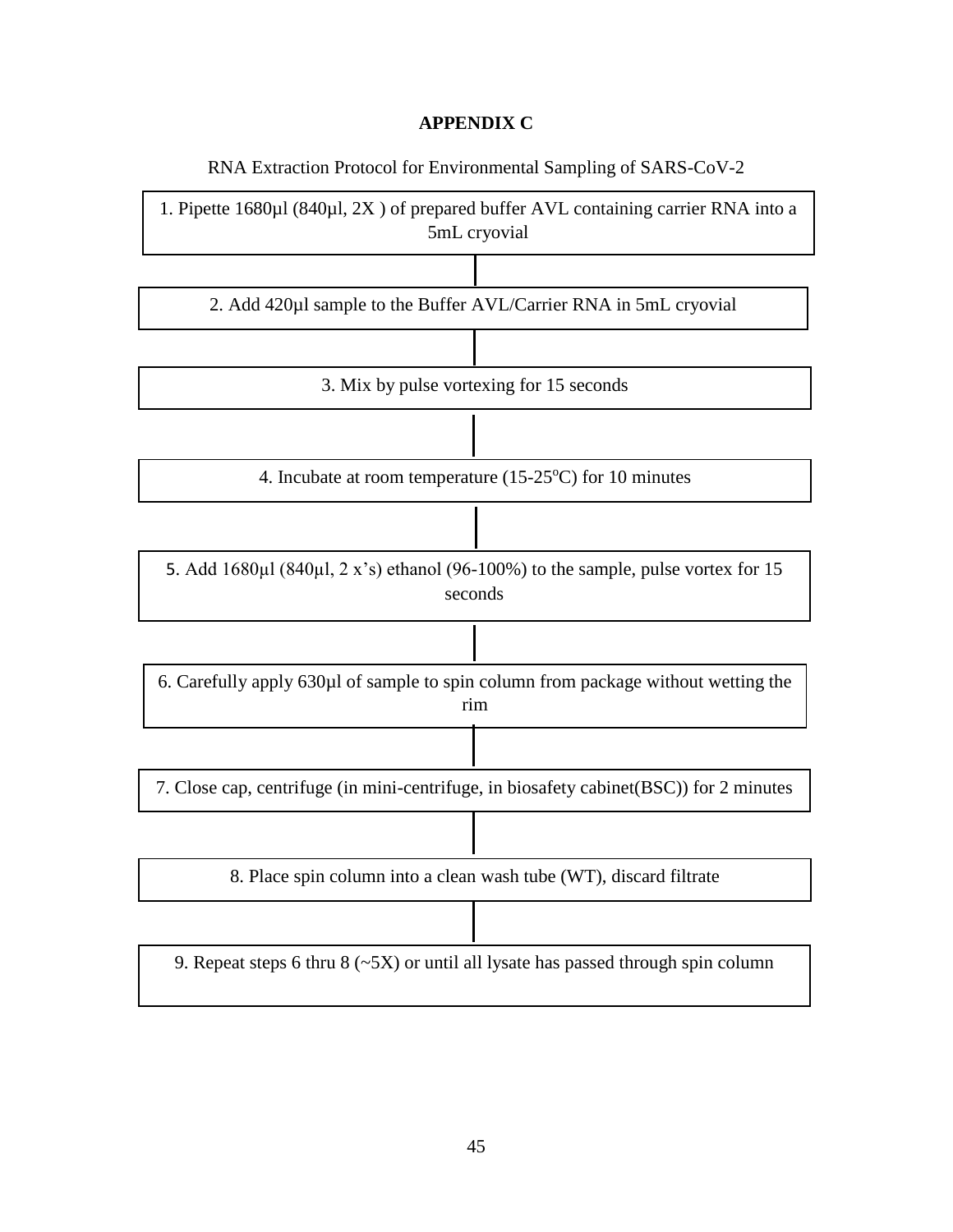### **APPENDIX C**

RNA Extraction Protocol for Environmental Sampling of SARS-CoV-2

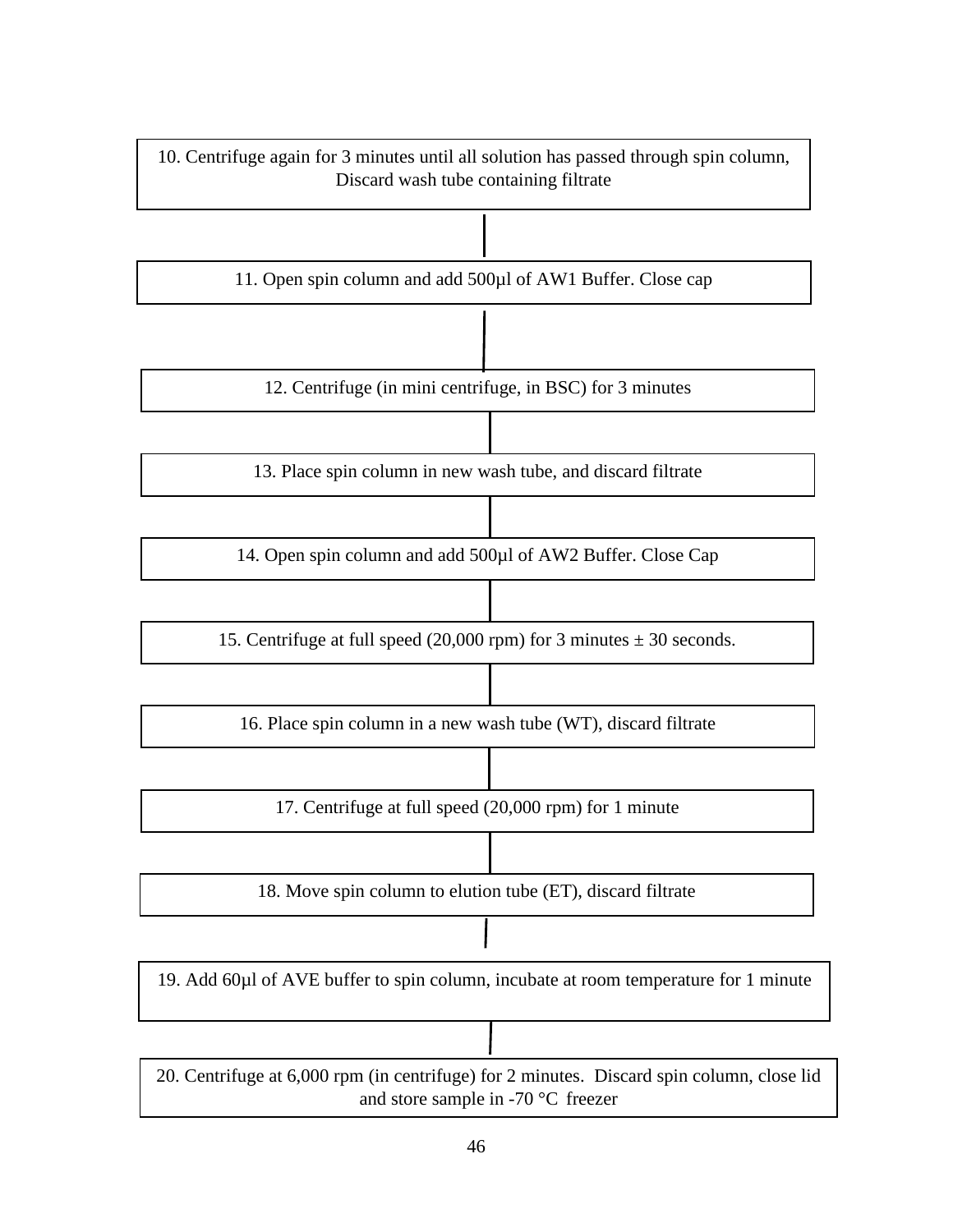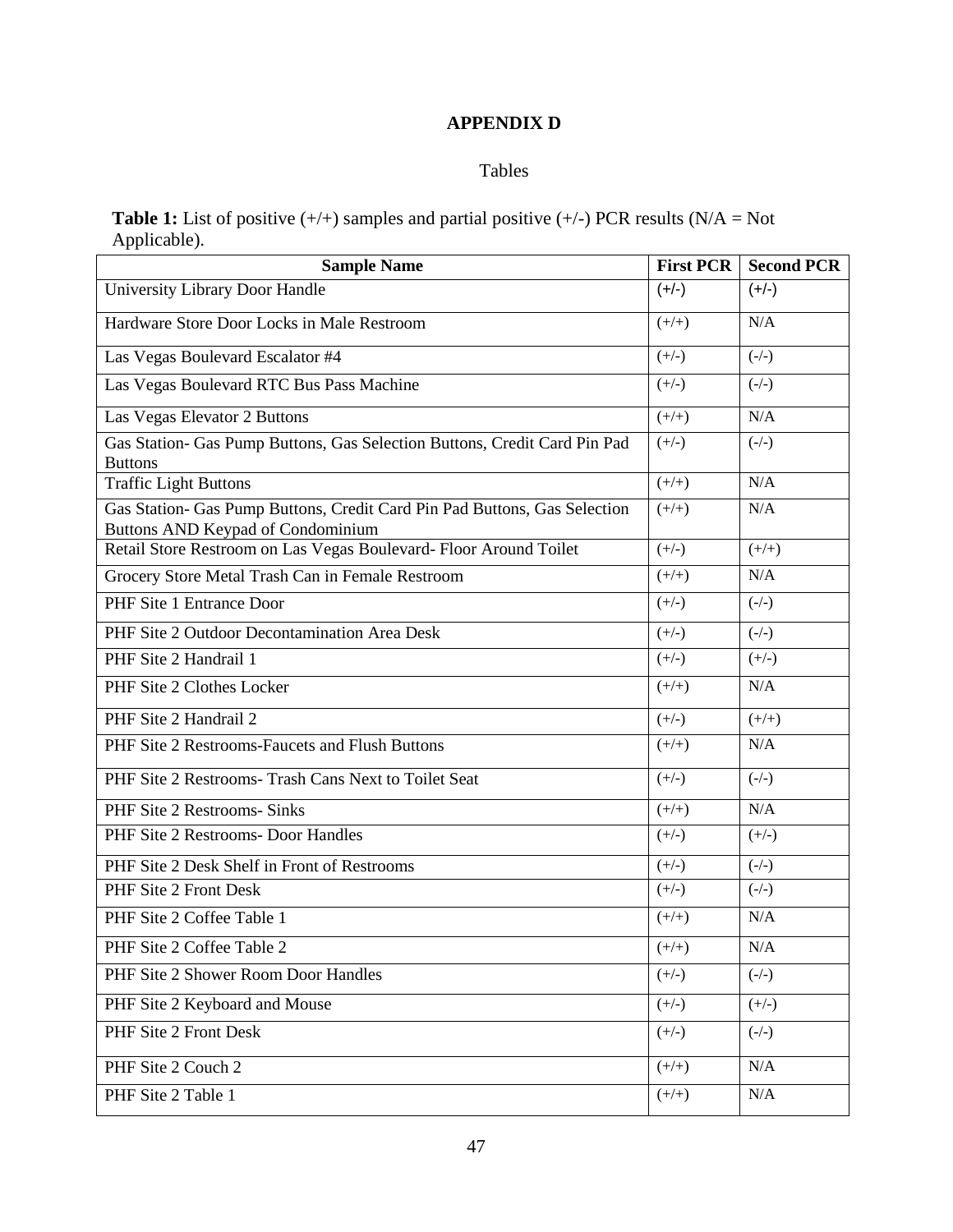# **APPENDIX D**

#### Tables

**Table 1:** List of positive  $(+/+)$  samples and partial positive  $(+/-)$  PCR results (N/A = Not Applicable).

| <b>Sample Name</b>                                                                                                    | <b>First PCR</b> | <b>Second PCR</b> |
|-----------------------------------------------------------------------------------------------------------------------|------------------|-------------------|
| University Library Door Handle                                                                                        | $(+/-)$          | $(+/-)$           |
| Hardware Store Door Locks in Male Restroom                                                                            | $(+/+)$          | N/A               |
| Las Vegas Boulevard Escalator #4                                                                                      | $(+/-)$          | $(-/-)$           |
| Las Vegas Boulevard RTC Bus Pass Machine                                                                              | $(+/-)$          | $(-/-)$           |
| Las Vegas Elevator 2 Buttons                                                                                          | $(+/+)$          | N/A               |
| Gas Station- Gas Pump Buttons, Gas Selection Buttons, Credit Card Pin Pad<br><b>Buttons</b>                           | $(+/-)$          | $(-/-)$           |
| <b>Traffic Light Buttons</b>                                                                                          | $(+/+)$          | N/A               |
| Gas Station- Gas Pump Buttons, Credit Card Pin Pad Buttons, Gas Selection<br><b>Buttons AND Keypad of Condominium</b> | $(+/+)$          | N/A               |
| Retail Store Restroom on Las Vegas Boulevard- Floor Around Toilet                                                     | $(+/-)$          | $(+/+)$           |
| Grocery Store Metal Trash Can in Female Restroom                                                                      | $(+/+)$          | N/A               |
| PHF Site 1 Entrance Door                                                                                              | $(+/-)$          | $(-/-)$           |
| PHF Site 2 Outdoor Decontamination Area Desk                                                                          | $(+/-)$          | $(-/-)$           |
| PHF Site 2 Handrail 1                                                                                                 | $(+/-)$          | $(+/-)$           |
| PHF Site 2 Clothes Locker                                                                                             | $(+/+)$          | N/A               |
| PHF Site 2 Handrail 2                                                                                                 | $(+/-)$          | $(+/+)$           |
| PHF Site 2 Restrooms-Faucets and Flush Buttons                                                                        | $(+/+)$          | N/A               |
| PHF Site 2 Restrooms- Trash Cans Next to Toilet Seat                                                                  | $(+/-)$          | $(-/-)$           |
| PHF Site 2 Restrooms- Sinks                                                                                           | $(+/+)$          | N/A               |
| PHF Site 2 Restrooms- Door Handles                                                                                    | $(+/-)$          | $(+/-)$           |
| PHF Site 2 Desk Shelf in Front of Restrooms                                                                           | $(+/-)$          | $(-/-)$           |
| PHF Site 2 Front Desk                                                                                                 | $(+/-)$          | $(-/-)$           |
| PHF Site 2 Coffee Table 1                                                                                             | $(+/+)$          | N/A               |
| PHF Site 2 Coffee Table 2                                                                                             | $(+/+)$          | N/A               |
| PHF Site 2 Shower Room Door Handles                                                                                   | $(+/-)$          | $(-/-)$           |
| PHF Site 2 Keyboard and Mouse                                                                                         | $(+/-)$          | $(+/-)$           |
| PHF Site 2 Front Desk                                                                                                 | $(+/-)$          | $(-/-)$           |
| PHF Site 2 Couch 2                                                                                                    | $(+/+)$          | N/A               |
| PHF Site 2 Table 1                                                                                                    | $(+/+)$          | N/A               |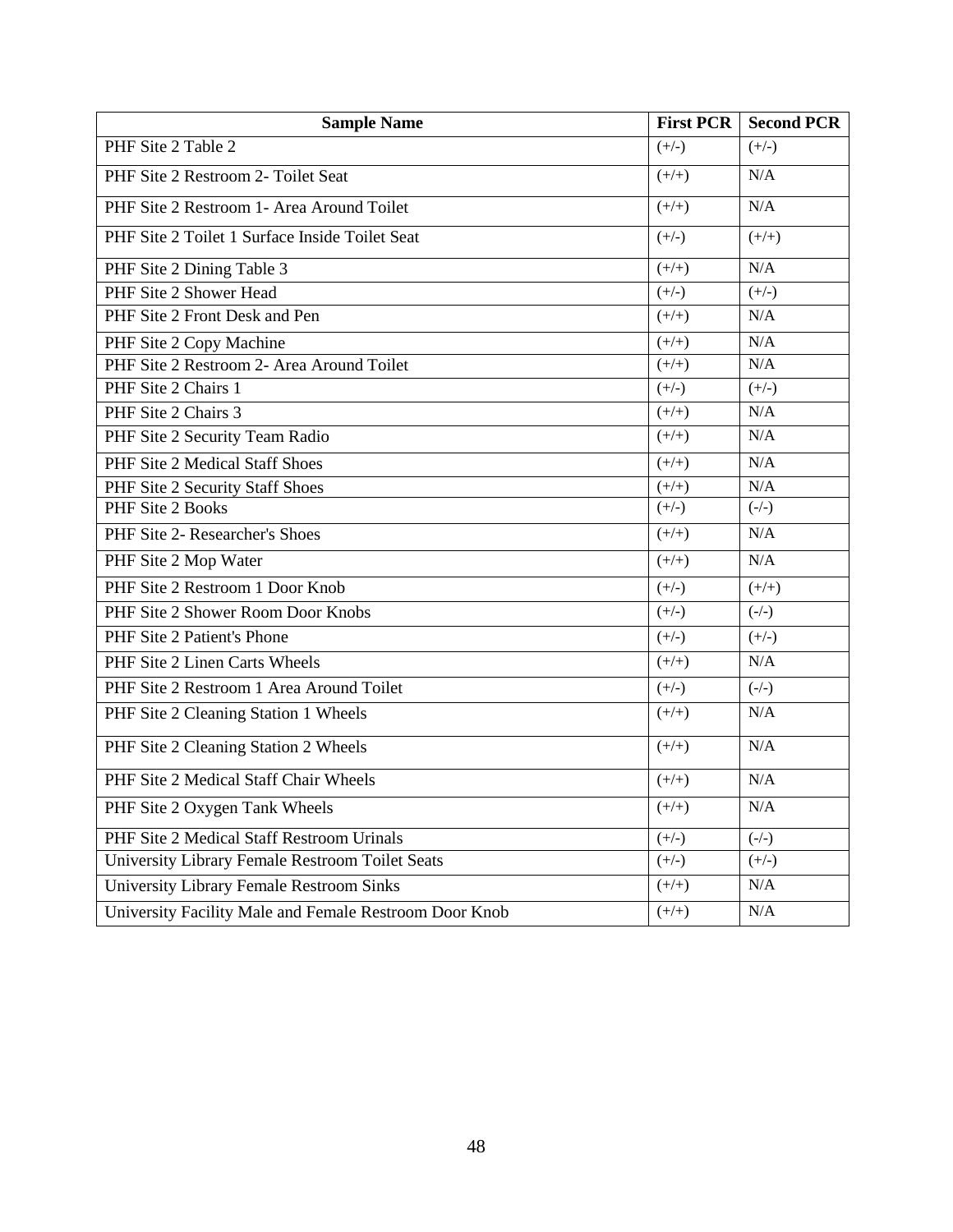| <b>Sample Name</b>                                     | <b>First PCR</b> | <b>Second PCR</b> |
|--------------------------------------------------------|------------------|-------------------|
| PHF Site 2 Table 2                                     | $(+/-)$          | $(+/-)$           |
| PHF Site 2 Restroom 2- Toilet Seat                     | $(+/+)$          | N/A               |
| PHF Site 2 Restroom 1- Area Around Toilet              | $(+/+)$          | N/A               |
| PHF Site 2 Toilet 1 Surface Inside Toilet Seat         | $(+/-)$          | $(+/+)$           |
| PHF Site 2 Dining Table 3                              | $(+/+)$          | N/A               |
| PHF Site 2 Shower Head                                 | $(+/-)$          | $(+/-)$           |
| PHF Site 2 Front Desk and Pen                          | $(+/+)$          | N/A               |
| PHF Site 2 Copy Machine                                | $(+/+)$          | N/A               |
| PHF Site 2 Restroom 2- Area Around Toilet              | $(+/+)$          | N/A               |
| PHF Site 2 Chairs 1                                    | $(+/-)$          | $(+/-)$           |
| PHF Site 2 Chairs 3                                    | $(+/+)$          | N/A               |
| PHF Site 2 Security Team Radio                         | $(+/+)$          | N/A               |
| PHF Site 2 Medical Staff Shoes                         | $(+/+)$          | N/A               |
| PHF Site 2 Security Staff Shoes                        | $(+/+)$          | N/A               |
| PHF Site 2 Books                                       | $(+/-)$          | $(-/-)$           |
| PHF Site 2- Researcher's Shoes                         | $(+/+)$          | N/A               |
| PHF Site 2 Mop Water                                   | $(+/+)$          | N/A               |
| PHF Site 2 Restroom 1 Door Knob                        | $(+/-)$          | $(+/+)$           |
| PHF Site 2 Shower Room Door Knobs                      | $(+/-)$          | $(-/-)$           |
| PHF Site 2 Patient's Phone                             | $(+/-)$          | $(+/-)$           |
| PHF Site 2 Linen Carts Wheels                          | $(+/+)$          | N/A               |
| PHF Site 2 Restroom 1 Area Around Toilet               | $(+/-)$          | $(-/-)$           |
| PHF Site 2 Cleaning Station 1 Wheels                   | $(+/+)$          | N/A               |
| PHF Site 2 Cleaning Station 2 Wheels                   | $(+/+)$          | N/A               |
| PHF Site 2 Medical Staff Chair Wheels                  | $(+/+)$          | N/A               |
| PHF Site 2 Oxygen Tank Wheels                          | $(+/+)$          | N/A               |
| PHF Site 2 Medical Staff Restroom Urinals              | $(+/-)$          | $(-/-)$           |
| University Library Female Restroom Toilet Seats        | $(+/-)$          | $(+/-)$           |
| <b>University Library Female Restroom Sinks</b>        | $(+/+)$          | N/A               |
| University Facility Male and Female Restroom Door Knob | $(+/+)$          | N/A               |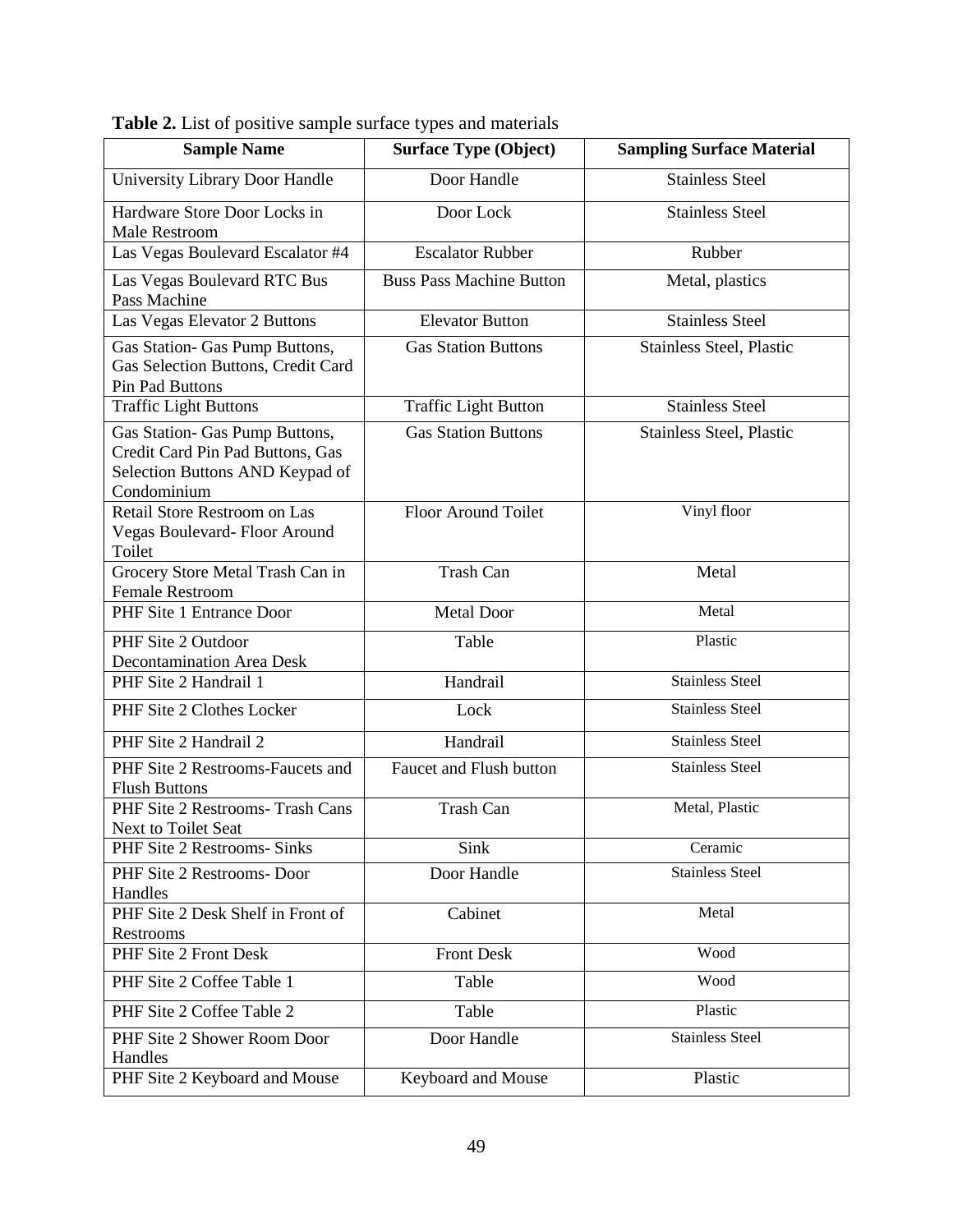| <b>Sample Name</b>                                                                                                   | <b>Surface Type (Object)</b>    | <b>Sampling Surface Material</b> |
|----------------------------------------------------------------------------------------------------------------------|---------------------------------|----------------------------------|
| University Library Door Handle                                                                                       | Door Handle                     | <b>Stainless Steel</b>           |
| Hardware Store Door Locks in<br><b>Male Restroom</b>                                                                 | Door Lock                       | <b>Stainless Steel</b>           |
| Las Vegas Boulevard Escalator #4                                                                                     | <b>Escalator Rubber</b>         | Rubber                           |
| Las Vegas Boulevard RTC Bus<br>Pass Machine                                                                          | <b>Buss Pass Machine Button</b> | Metal, plastics                  |
| Las Vegas Elevator 2 Buttons                                                                                         | <b>Elevator Button</b>          | <b>Stainless Steel</b>           |
| Gas Station- Gas Pump Buttons,<br>Gas Selection Buttons, Credit Card<br>Pin Pad Buttons                              | <b>Gas Station Buttons</b>      | Stainless Steel, Plastic         |
| <b>Traffic Light Buttons</b>                                                                                         | <b>Traffic Light Button</b>     | <b>Stainless Steel</b>           |
| Gas Station- Gas Pump Buttons,<br>Credit Card Pin Pad Buttons, Gas<br>Selection Buttons AND Keypad of<br>Condominium | <b>Gas Station Buttons</b>      | Stainless Steel, Plastic         |
| Retail Store Restroom on Las<br>Vegas Boulevard-Floor Around<br>Toilet                                               | <b>Floor Around Toilet</b>      | Vinyl floor                      |
| Grocery Store Metal Trash Can in<br><b>Female Restroom</b>                                                           | Trash Can                       | Metal                            |
| PHF Site 1 Entrance Door                                                                                             | <b>Metal Door</b>               | Metal                            |
| PHF Site 2 Outdoor<br><b>Decontamination Area Desk</b>                                                               | Table                           | Plastic                          |
| PHF Site 2 Handrail 1                                                                                                | Handrail                        | <b>Stainless Steel</b>           |
| PHF Site 2 Clothes Locker                                                                                            | Lock                            | <b>Stainless Steel</b>           |
| PHF Site 2 Handrail 2                                                                                                | Handrail                        | <b>Stainless Steel</b>           |
| PHF Site 2 Restrooms-Faucets and<br><b>Flush Buttons</b>                                                             | Faucet and Flush button         | <b>Stainless Steel</b>           |
| PHF Site 2 Restrooms- Trash Cans<br><b>Next to Toilet Seat</b>                                                       | <b>Trash Can</b>                | Metal, Plastic                   |
| PHF Site 2 Restrooms- Sinks                                                                                          | Sink                            | Ceramic                          |
| PHF Site 2 Restrooms-Door<br>Handles                                                                                 | Door Handle                     | <b>Stainless Steel</b>           |
| PHF Site 2 Desk Shelf in Front of<br>Restrooms                                                                       | Cabinet                         | Metal                            |
| PHF Site 2 Front Desk                                                                                                | <b>Front Desk</b>               | Wood                             |
| PHF Site 2 Coffee Table 1                                                                                            | Table                           | Wood                             |
| PHF Site 2 Coffee Table 2                                                                                            | Table                           | Plastic                          |
| PHF Site 2 Shower Room Door<br>Handles                                                                               | Door Handle                     | <b>Stainless Steel</b>           |
| PHF Site 2 Keyboard and Mouse                                                                                        | Keyboard and Mouse              | Plastic                          |

**Table 2.** List of positive sample surface types and materials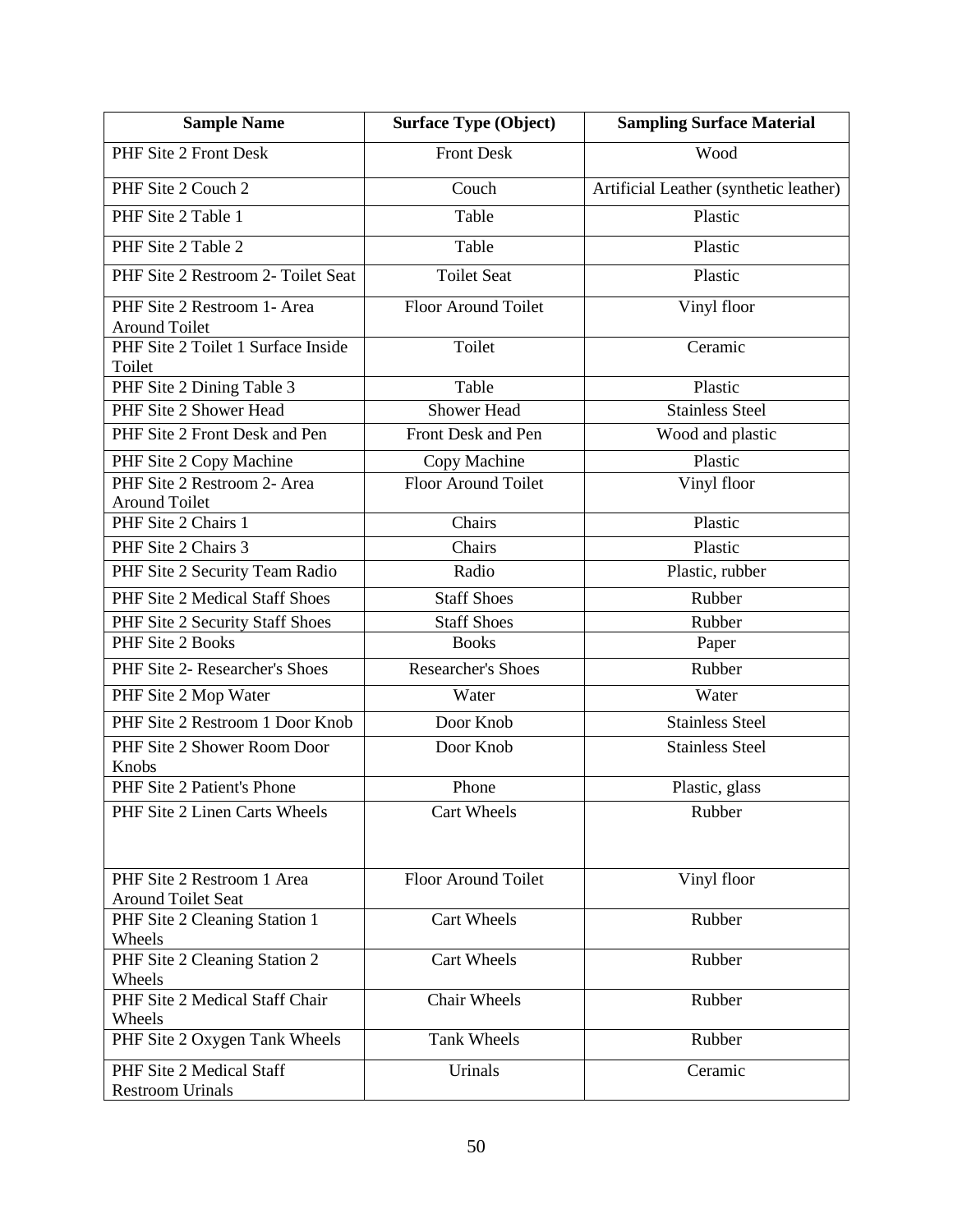| <b>Sample Name</b>                                      | <b>Surface Type (Object)</b> | <b>Sampling Surface Material</b>       |
|---------------------------------------------------------|------------------------------|----------------------------------------|
| PHF Site 2 Front Desk                                   | <b>Front Desk</b>            | Wood                                   |
| PHF Site 2 Couch 2                                      | Couch                        | Artificial Leather (synthetic leather) |
| PHF Site 2 Table 1                                      | Table                        | Plastic                                |
| PHF Site 2 Table 2                                      | Table                        | Plastic                                |
| PHF Site 2 Restroom 2- Toilet Seat                      | <b>Toilet Seat</b>           | Plastic                                |
| PHF Site 2 Restroom 1- Area<br><b>Around Toilet</b>     | Floor Around Toilet          | Vinyl floor                            |
| PHF Site 2 Toilet 1 Surface Inside                      | Toilet                       | Ceramic                                |
| Toilet                                                  |                              |                                        |
| PHF Site 2 Dining Table 3                               | Table                        | Plastic                                |
| PHF Site 2 Shower Head                                  | Shower Head                  | <b>Stainless Steel</b>                 |
| PHF Site 2 Front Desk and Pen                           | Front Desk and Pen           | Wood and plastic                       |
| PHF Site 2 Copy Machine                                 | Copy Machine                 | Plastic                                |
| PHF Site 2 Restroom 2- Area                             | <b>Floor Around Toilet</b>   | Vinyl floor                            |
| <b>Around Toilet</b>                                    |                              |                                        |
| PHF Site 2 Chairs 1                                     | Chairs                       | Plastic                                |
| PHF Site 2 Chairs 3                                     | Chairs                       | Plastic                                |
| PHF Site 2 Security Team Radio                          | Radio                        | Plastic, rubber                        |
| PHF Site 2 Medical Staff Shoes                          | <b>Staff Shoes</b>           | Rubber                                 |
| PHF Site 2 Security Staff Shoes                         | <b>Staff Shoes</b>           | Rubber                                 |
| PHF Site 2 Books                                        | <b>Books</b>                 | Paper                                  |
| PHF Site 2- Researcher's Shoes                          | <b>Researcher's Shoes</b>    | Rubber                                 |
| PHF Site 2 Mop Water                                    | Water                        | Water                                  |
| PHF Site 2 Restroom 1 Door Knob                         | Door Knob                    | <b>Stainless Steel</b>                 |
| PHF Site 2 Shower Room Door                             | Door Knob                    | <b>Stainless Steel</b>                 |
| Knobs                                                   |                              |                                        |
| PHF Site 2 Patient's Phone                              | Phone                        | Plastic, glass                         |
| PHF Site 2 Linen Carts Wheels                           | Cart Wheels                  | Rubber                                 |
| PHF Site 2 Restroom 1 Area<br><b>Around Toilet Seat</b> | Floor Around Toilet          | Vinyl floor                            |
| PHF Site 2 Cleaning Station 1<br>Wheels                 | <b>Cart Wheels</b>           | Rubber                                 |
| PHF Site 2 Cleaning Station 2<br>Wheels                 | <b>Cart Wheels</b>           | Rubber                                 |
| PHF Site 2 Medical Staff Chair                          | <b>Chair Wheels</b>          | Rubber                                 |
| Wheels<br>PHF Site 2 Oxygen Tank Wheels                 | Tank Wheels                  | Rubber                                 |
| PHF Site 2 Medical Staff<br><b>Restroom Urinals</b>     | Urinals                      | Ceramic                                |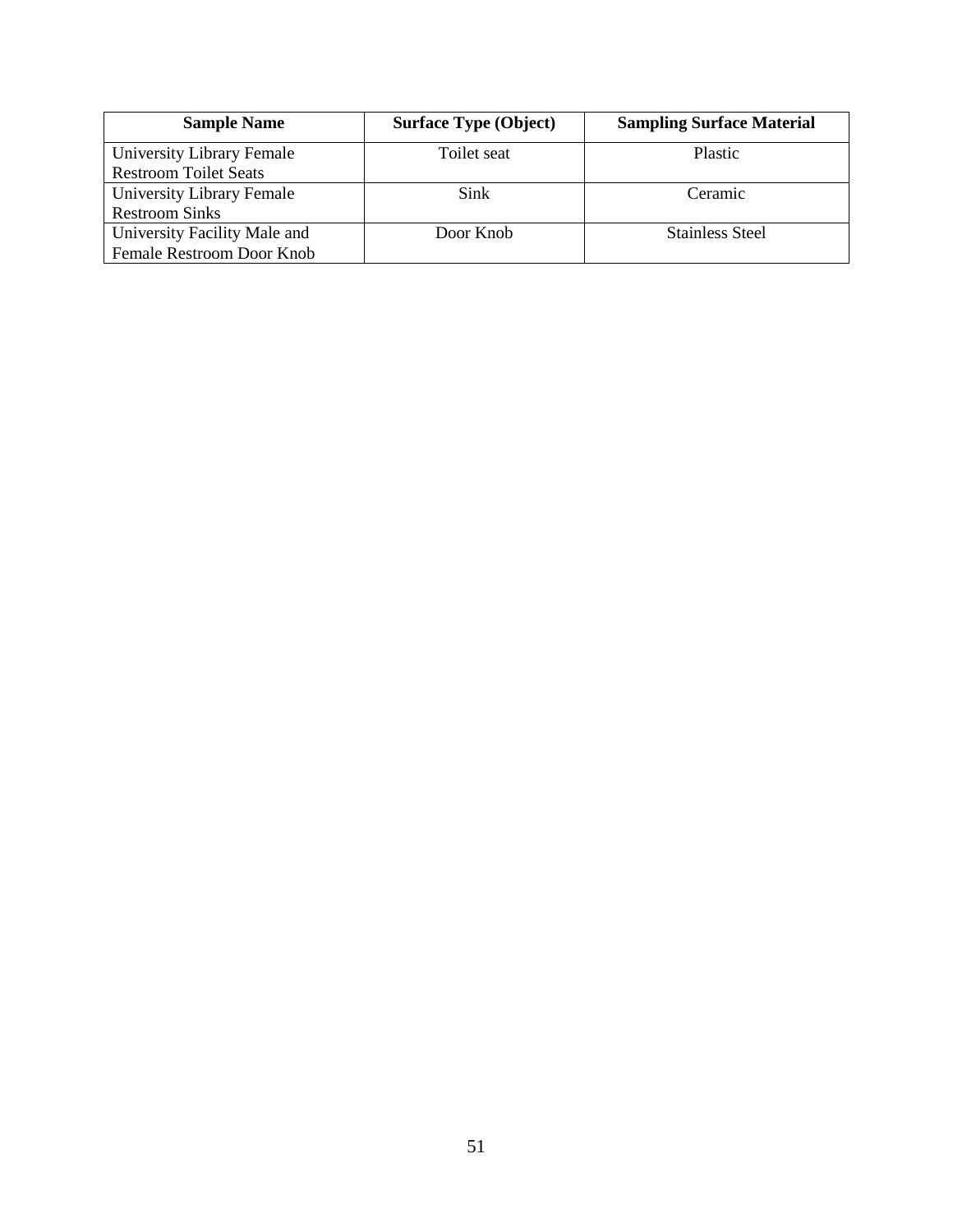| <b>Sample Name</b>           | <b>Surface Type (Object)</b> | <b>Sampling Surface Material</b> |
|------------------------------|------------------------------|----------------------------------|
| University Library Female    | Toilet seat                  | Plastic                          |
| <b>Restroom Toilet Seats</b> |                              |                                  |
| University Library Female    | Sink                         | Ceramic                          |
| <b>Restroom Sinks</b>        |                              |                                  |
| University Facility Male and | Door Knob                    | <b>Stainless Steel</b>           |
| Female Restroom Door Knob    |                              |                                  |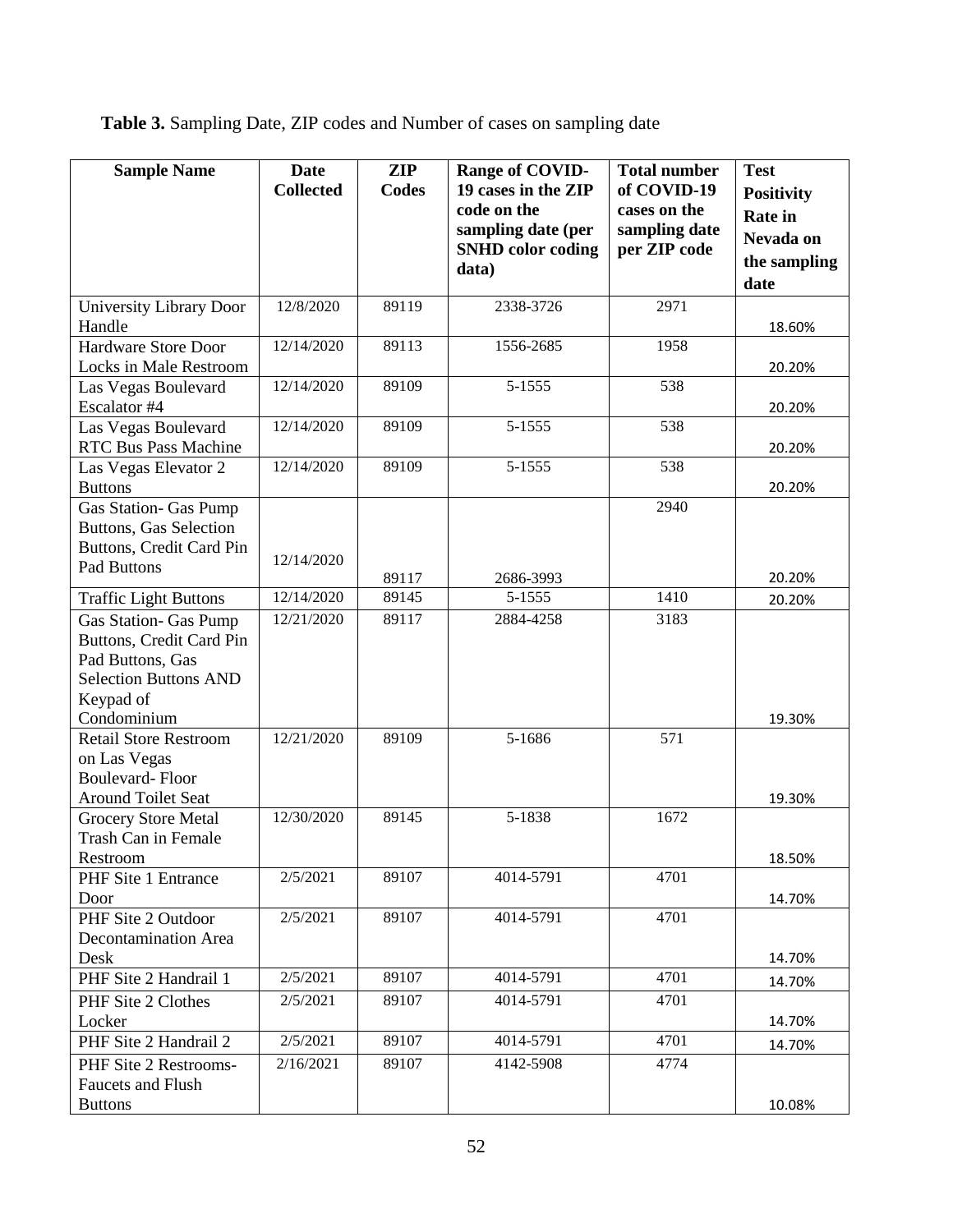**Table 3.** Sampling Date, ZIP codes and Number of cases on sampling date

| <b>Sample Name</b>                                                                                                                       | Date<br><b>Collected</b> | <b>ZIP</b><br><b>Codes</b> | Range of COVID-<br>19 cases in the ZIP<br>code on the<br>sampling date (per<br><b>SNHD</b> color coding<br>data) | <b>Total number</b><br>of COVID-19<br>cases on the<br>sampling date<br>per ZIP code | <b>Test</b><br><b>Positivity</b><br><b>Rate in</b><br>Nevada on<br>the sampling<br>date |
|------------------------------------------------------------------------------------------------------------------------------------------|--------------------------|----------------------------|------------------------------------------------------------------------------------------------------------------|-------------------------------------------------------------------------------------|-----------------------------------------------------------------------------------------|
| University Library Door<br>Handle                                                                                                        | 12/8/2020                | 89119                      | 2338-3726                                                                                                        | 2971                                                                                | 18.60%                                                                                  |
| Hardware Store Door<br>Locks in Male Restroom                                                                                            | 12/14/2020               | 89113                      | 1556-2685                                                                                                        | 1958                                                                                | 20.20%                                                                                  |
| Las Vegas Boulevard<br>Escalator #4                                                                                                      | 12/14/2020               | 89109                      | 5-1555                                                                                                           | 538                                                                                 | 20.20%                                                                                  |
| Las Vegas Boulevard<br><b>RTC Bus Pass Machine</b>                                                                                       | 12/14/2020               | 89109                      | 5-1555                                                                                                           | 538                                                                                 | 20.20%                                                                                  |
| Las Vegas Elevator 2<br><b>Buttons</b>                                                                                                   | 12/14/2020               | 89109                      | 5-1555                                                                                                           | 538                                                                                 | 20.20%                                                                                  |
| <b>Gas Station- Gas Pump</b><br>Buttons, Gas Selection<br>Buttons, Credit Card Pin<br>Pad Buttons                                        | 12/14/2020               | 89117                      | 2686-3993                                                                                                        | 2940                                                                                | 20.20%                                                                                  |
| <b>Traffic Light Buttons</b>                                                                                                             | 12/14/2020               | 89145                      | 5-1555                                                                                                           | 1410                                                                                | 20.20%                                                                                  |
| <b>Gas Station- Gas Pump</b><br>Buttons, Credit Card Pin<br>Pad Buttons, Gas<br><b>Selection Buttons AND</b><br>Keypad of<br>Condominium | 12/21/2020               | 89117                      | 2884-4258                                                                                                        | 3183                                                                                | 19.30%                                                                                  |
| <b>Retail Store Restroom</b><br>on Las Vegas<br><b>Boulevard-Floor</b><br>Around Toilet Seat                                             | 12/21/2020               | 89109                      | 5-1686                                                                                                           | 571                                                                                 | 19.30%                                                                                  |
| Grocery Store Metal<br>Trash Can in Female<br>Restroom                                                                                   | 12/30/2020               | 89145                      | 5-1838                                                                                                           | 1672                                                                                | 18.50%                                                                                  |
| PHF Site 1 Entrance<br>Door                                                                                                              | 2/5/2021                 | 89107                      | 4014-5791                                                                                                        | 4701                                                                                | 14.70%                                                                                  |
| PHF Site 2 Outdoor<br><b>Decontamination Area</b><br>Desk                                                                                | 2/5/2021                 | 89107                      | 4014-5791                                                                                                        | 4701                                                                                | 14.70%                                                                                  |
| PHF Site 2 Handrail 1                                                                                                                    | 2/5/2021                 | 89107                      | 4014-5791                                                                                                        | 4701                                                                                | 14.70%                                                                                  |
| PHF Site 2 Clothes<br>Locker                                                                                                             | 2/5/2021                 | 89107                      | 4014-5791                                                                                                        | 4701                                                                                | 14.70%                                                                                  |
| PHF Site 2 Handrail 2                                                                                                                    | 2/5/2021                 | 89107                      | 4014-5791                                                                                                        | 4701                                                                                | 14.70%                                                                                  |
| PHF Site 2 Restrooms-<br>Faucets and Flush<br><b>Buttons</b>                                                                             | 2/16/2021                | 89107                      | 4142-5908                                                                                                        | 4774                                                                                | 10.08%                                                                                  |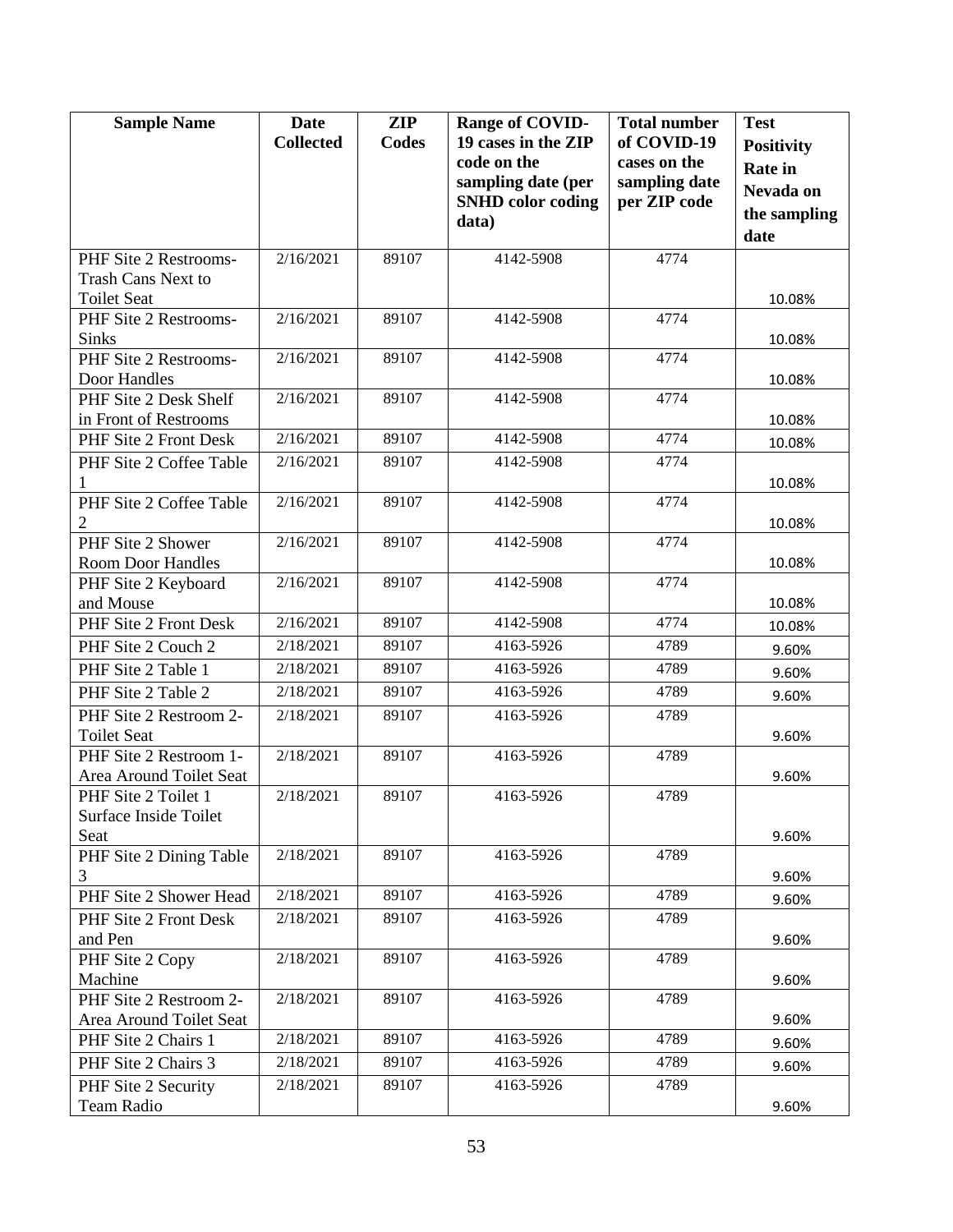| <b>Sample Name</b>                           | <b>Date</b><br><b>Collected</b> | <b>ZIP</b><br><b>Codes</b> | Range of COVID-<br>19 cases in the ZIP | <b>Total number</b><br>of COVID-19 | <b>Test</b><br><b>Positivity</b> |
|----------------------------------------------|---------------------------------|----------------------------|----------------------------------------|------------------------------------|----------------------------------|
|                                              |                                 |                            | code on the                            | cases on the                       | <b>Rate in</b>                   |
|                                              |                                 |                            | sampling date (per                     | sampling date                      | Nevada on                        |
|                                              |                                 |                            | <b>SNHD</b> color coding               | per ZIP code                       | the sampling                     |
|                                              |                                 |                            | data)                                  |                                    | date                             |
| PHF Site 2 Restrooms-                        | 2/16/2021                       | 89107                      | 4142-5908                              | 4774                               |                                  |
| <b>Trash Cans Next to</b>                    |                                 |                            |                                        |                                    |                                  |
| <b>Toilet Seat</b><br>PHF Site 2 Restrooms-  | 2/16/2021                       | 89107                      | 4142-5908                              | 4774                               | 10.08%                           |
| Sinks                                        |                                 |                            |                                        |                                    | 10.08%                           |
| PHF Site 2 Restrooms-                        | 2/16/2021                       | 89107                      | 4142-5908                              | 4774                               |                                  |
| Door Handles                                 |                                 |                            |                                        |                                    | 10.08%                           |
| PHF Site 2 Desk Shelf                        | 2/16/2021                       | 89107                      | 4142-5908                              | 4774                               |                                  |
| in Front of Restrooms                        |                                 |                            |                                        |                                    | 10.08%                           |
| PHF Site 2 Front Desk                        | 2/16/2021                       | 89107                      | 4142-5908                              | 4774                               | 10.08%                           |
| PHF Site 2 Coffee Table<br>1                 | 2/16/2021                       | 89107                      | 4142-5908                              | 4774                               | 10.08%                           |
| PHF Site 2 Coffee Table                      | 2/16/2021                       | 89107                      | 4142-5908                              | 4774                               |                                  |
| 2                                            |                                 |                            |                                        |                                    | 10.08%                           |
| PHF Site 2 Shower                            | 2/16/2021                       | 89107                      | 4142-5908                              | 4774                               |                                  |
| <b>Room Door Handles</b>                     |                                 |                            |                                        |                                    | 10.08%                           |
| PHF Site 2 Keyboard                          | 2/16/2021                       | 89107                      | 4142-5908                              | 4774                               |                                  |
| and Mouse                                    | 2/16/2021                       | 89107                      | 4142-5908                              | 4774                               | 10.08%                           |
| PHF Site 2 Front Desk                        | 2/18/2021                       | 89107                      | 4163-5926                              | 4789                               | 10.08%                           |
| PHF Site 2 Couch 2                           |                                 |                            |                                        |                                    | 9.60%                            |
| PHF Site 2 Table 1                           | 2/18/2021                       | 89107                      | 4163-5926                              | 4789                               | 9.60%                            |
| PHF Site 2 Table 2                           | 2/18/2021                       | 89107                      | 4163-5926                              | 4789                               | 9.60%                            |
| PHF Site 2 Restroom 2-<br><b>Toilet Seat</b> | 2/18/2021                       | 89107                      | 4163-5926                              | 4789                               | 9.60%                            |
| PHF Site 2 Restroom 1-                       | 2/18/2021                       | 89107                      | 4163-5926                              | 4789                               |                                  |
| Area Around Toilet Seat                      |                                 |                            |                                        |                                    | 9.60%                            |
| PHF Site 2 Toilet 1                          | 2/18/2021                       | 89107                      | 4163-5926                              | 4789                               |                                  |
| Surface Inside Toilet                        |                                 |                            |                                        |                                    |                                  |
| Seat                                         |                                 |                            |                                        |                                    | 9.60%                            |
| PHF Site 2 Dining Table                      | 2/18/2021                       | 89107                      | 4163-5926                              | 4789                               |                                  |
| 3<br>PHF Site 2 Shower Head                  | 2/18/2021                       | 89107                      | 4163-5926                              | 4789                               | 9.60%                            |
| PHF Site 2 Front Desk                        | 2/18/2021                       | 89107                      | 4163-5926                              | 4789                               | 9.60%                            |
| and Pen                                      |                                 |                            |                                        |                                    | 9.60%                            |
| PHF Site 2 Copy                              | 2/18/2021                       | 89107                      | 4163-5926                              | 4789                               |                                  |
| Machine                                      |                                 |                            |                                        |                                    | 9.60%                            |
| PHF Site 2 Restroom 2-                       | 2/18/2021                       | 89107                      | 4163-5926                              | 4789                               |                                  |
| Area Around Toilet Seat                      |                                 |                            |                                        |                                    | 9.60%                            |
| PHF Site 2 Chairs 1                          | 2/18/2021                       | 89107                      | 4163-5926                              | 4789                               | 9.60%                            |
| PHF Site 2 Chairs 3                          | 2/18/2021                       | 89107                      | 4163-5926                              | 4789                               | 9.60%                            |
| PHF Site 2 Security                          | 2/18/2021                       | 89107                      | 4163-5926                              | 4789                               |                                  |
| Team Radio                                   |                                 |                            |                                        |                                    | 9.60%                            |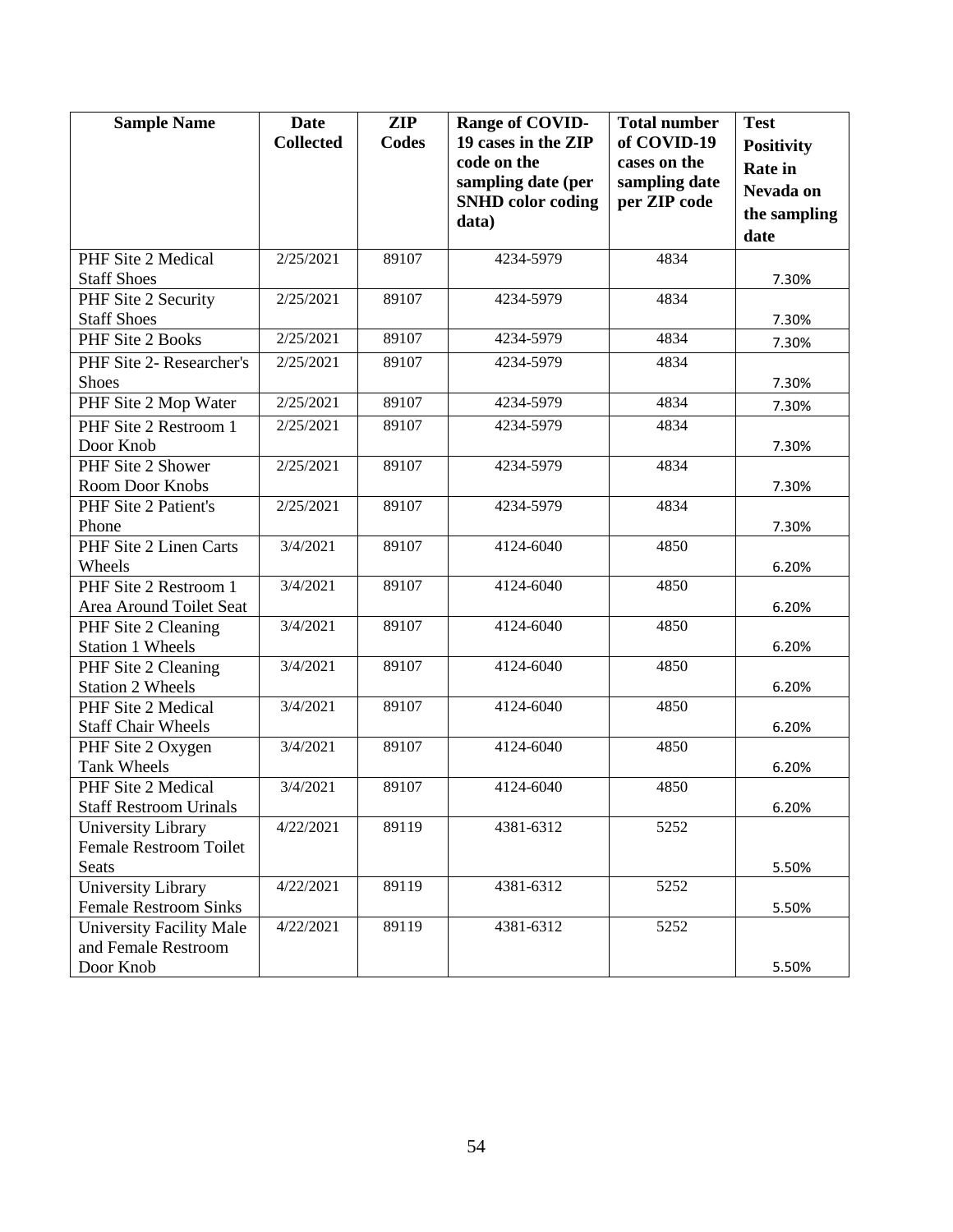| <b>Sample Name</b>                                  | <b>Date</b><br><b>Collected</b> | <b>ZIP</b><br><b>Codes</b> | Range of COVID-<br>19 cases in the ZIP | <b>Total number</b><br>of COVID-19 | <b>Test</b><br><b>Positivity</b> |
|-----------------------------------------------------|---------------------------------|----------------------------|----------------------------------------|------------------------------------|----------------------------------|
|                                                     |                                 |                            | code on the<br>sampling date (per      | cases on the<br>sampling date      | <b>Rate</b> in                   |
|                                                     |                                 |                            | <b>SNHD</b> color coding               | per ZIP code                       | Nevada on                        |
|                                                     |                                 |                            | data)                                  |                                    | the sampling<br>date             |
| PHF Site 2 Medical                                  | 2/25/2021                       | 89107                      | 4234-5979                              | 4834                               |                                  |
| <b>Staff Shoes</b>                                  |                                 |                            |                                        |                                    | 7.30%                            |
| PHF Site 2 Security<br><b>Staff Shoes</b>           | 2/25/2021                       | 89107                      | 4234-5979                              | 4834                               | 7.30%                            |
| PHF Site 2 Books                                    | 2/25/2021                       | 89107                      | 4234-5979                              | 4834                               | 7.30%                            |
| PHF Site 2- Researcher's<br><b>Shoes</b>            | 2/25/2021                       | 89107                      | 4234-5979                              | 4834                               | 7.30%                            |
| PHF Site 2 Mop Water                                | 2/25/2021                       | 89107                      | 4234-5979                              | 4834                               | 7.30%                            |
| PHF Site 2 Restroom 1                               | 2/25/2021                       | 89107                      | 4234-5979                              | 4834                               |                                  |
| Door Knob                                           |                                 |                            |                                        |                                    | 7.30%                            |
| PHF Site 2 Shower                                   | 2/25/2021                       | 89107                      | 4234-5979                              | 4834                               |                                  |
| Room Door Knobs                                     |                                 |                            |                                        |                                    | 7.30%                            |
| PHF Site 2 Patient's                                | 2/25/2021                       | 89107                      | 4234-5979                              | 4834                               |                                  |
| Phone                                               |                                 |                            |                                        |                                    | 7.30%                            |
| PHF Site 2 Linen Carts                              | 3/4/2021                        | 89107                      | 4124-6040                              | 4850                               |                                  |
| Wheels<br>PHF Site 2 Restroom 1                     | 3/4/2021                        | 89107                      | 4124-6040                              | 4850                               | 6.20%                            |
| Area Around Toilet Seat                             |                                 |                            |                                        |                                    | 6.20%                            |
| PHF Site 2 Cleaning                                 | 3/4/2021                        | 89107                      | 4124-6040                              | 4850                               |                                  |
| <b>Station 1 Wheels</b>                             |                                 |                            |                                        |                                    | 6.20%                            |
| PHF Site 2 Cleaning                                 | 3/4/2021                        | 89107                      | 4124-6040                              | 4850                               |                                  |
| <b>Station 2 Wheels</b>                             |                                 |                            |                                        |                                    | 6.20%                            |
| PHF Site 2 Medical                                  | 3/4/2021                        | 89107                      | 4124-6040                              | 4850                               |                                  |
| <b>Staff Chair Wheels</b>                           |                                 |                            |                                        |                                    | 6.20%                            |
| PHF Site 2 Oxygen                                   | 3/4/2021                        | 89107                      | 4124-6040                              | 4850                               |                                  |
| <b>Tank Wheels</b>                                  |                                 |                            |                                        |                                    | 6.20%                            |
| PHF Site 2 Medical                                  | $\overline{3}/4/2021$           | 89107                      | 4124-6040                              | 4850                               |                                  |
| <b>Staff Restroom Urinals</b>                       | 4/22/2021                       | 89119                      | 4381-6312                              | 5252                               | 6.20%                            |
| University Library<br><b>Female Restroom Toilet</b> |                                 |                            |                                        |                                    |                                  |
| Seats                                               |                                 |                            |                                        |                                    | 5.50%                            |
| University Library                                  | 4/22/2021                       | 89119                      | 4381-6312                              | 5252                               |                                  |
| <b>Female Restroom Sinks</b>                        |                                 |                            |                                        |                                    | 5.50%                            |
| University Facility Male                            | 4/22/2021                       | 89119                      | 4381-6312                              | 5252                               |                                  |
| and Female Restroom                                 |                                 |                            |                                        |                                    |                                  |
| Door Knob                                           |                                 |                            |                                        |                                    | 5.50%                            |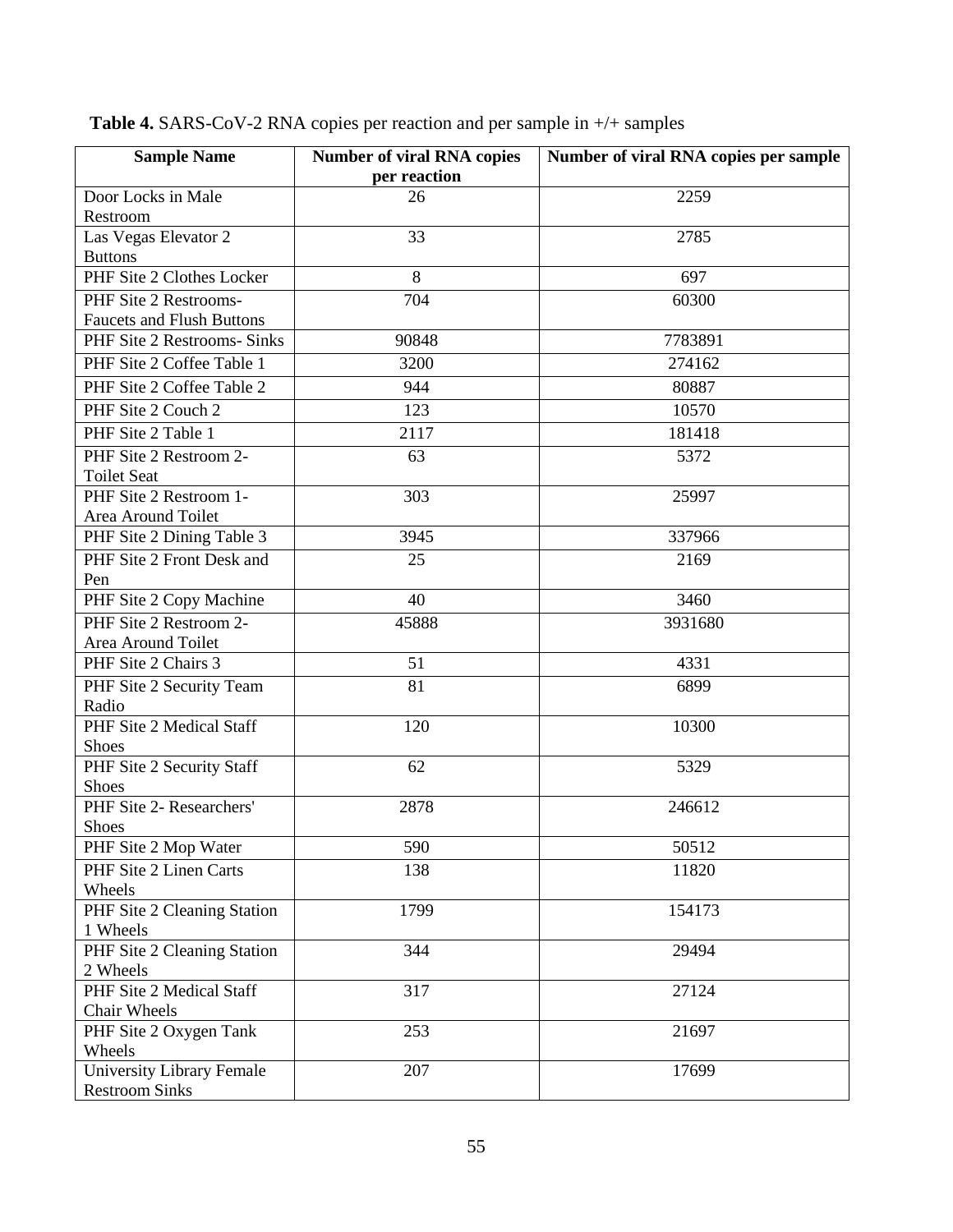| <b>Sample Name</b>               | <b>Number of viral RNA copies</b> | Number of viral RNA copies per sample |
|----------------------------------|-----------------------------------|---------------------------------------|
|                                  | per reaction                      |                                       |
| Door Locks in Male               | 26                                | 2259                                  |
| Restroom                         |                                   |                                       |
| Las Vegas Elevator 2             | 33                                | 2785                                  |
| <b>Buttons</b>                   |                                   |                                       |
| PHF Site 2 Clothes Locker        | 8                                 | 697                                   |
| PHF Site 2 Restrooms-            | 704                               | 60300                                 |
| <b>Faucets and Flush Buttons</b> |                                   |                                       |
| PHF Site 2 Restrooms- Sinks      | 90848                             | 7783891                               |
| PHF Site 2 Coffee Table 1        | 3200                              | 274162                                |
| PHF Site 2 Coffee Table 2        | 944                               | 80887                                 |
| PHF Site 2 Couch 2               | 123                               | 10570                                 |
| PHF Site 2 Table 1               | 2117                              | 181418                                |
| PHF Site 2 Restroom 2-           | 63                                | 5372                                  |
| <b>Toilet Seat</b>               |                                   |                                       |
| PHF Site 2 Restroom 1-           | 303                               | 25997                                 |
| Area Around Toilet               |                                   |                                       |
| PHF Site 2 Dining Table 3        | 3945                              | 337966                                |
| PHF Site 2 Front Desk and        | 25                                | 2169                                  |
| Pen                              |                                   |                                       |
| PHF Site 2 Copy Machine          | 40                                | 3460                                  |
| PHF Site 2 Restroom 2-           | 45888                             | 3931680                               |
| Area Around Toilet               |                                   |                                       |
| PHF Site 2 Chairs 3              | 51                                | 4331                                  |
| PHF Site 2 Security Team         | 81                                | 6899                                  |
| Radio                            |                                   |                                       |
| PHF Site 2 Medical Staff         | 120                               | 10300                                 |
| <b>Shoes</b>                     |                                   |                                       |
| PHF Site 2 Security Staff        | 62                                | 5329                                  |
| <b>Shoes</b>                     |                                   |                                       |
| PHF Site 2- Researchers'         | 2878                              | 246612                                |
| Shoes                            |                                   |                                       |
| PHF Site 2 Mop Water             | 590                               | 50512                                 |
| PHF Site 2 Linen Carts           | 138                               | 11820                                 |
| Wheels                           |                                   |                                       |
| PHF Site 2 Cleaning Station      | 1799                              | 154173                                |
| 1 Wheels                         |                                   |                                       |
| PHF Site 2 Cleaning Station      | 344                               | 29494                                 |
| 2 Wheels                         |                                   |                                       |
| PHF Site 2 Medical Staff         | 317                               | 27124                                 |
| Chair Wheels                     |                                   |                                       |
| PHF Site 2 Oxygen Tank           | 253                               | 21697                                 |
| Wheels                           |                                   |                                       |
| University Library Female        | 207                               | 17699                                 |
| <b>Restroom Sinks</b>            |                                   |                                       |

**Table 4.** SARS-CoV-2 RNA copies per reaction and per sample in +/+ samples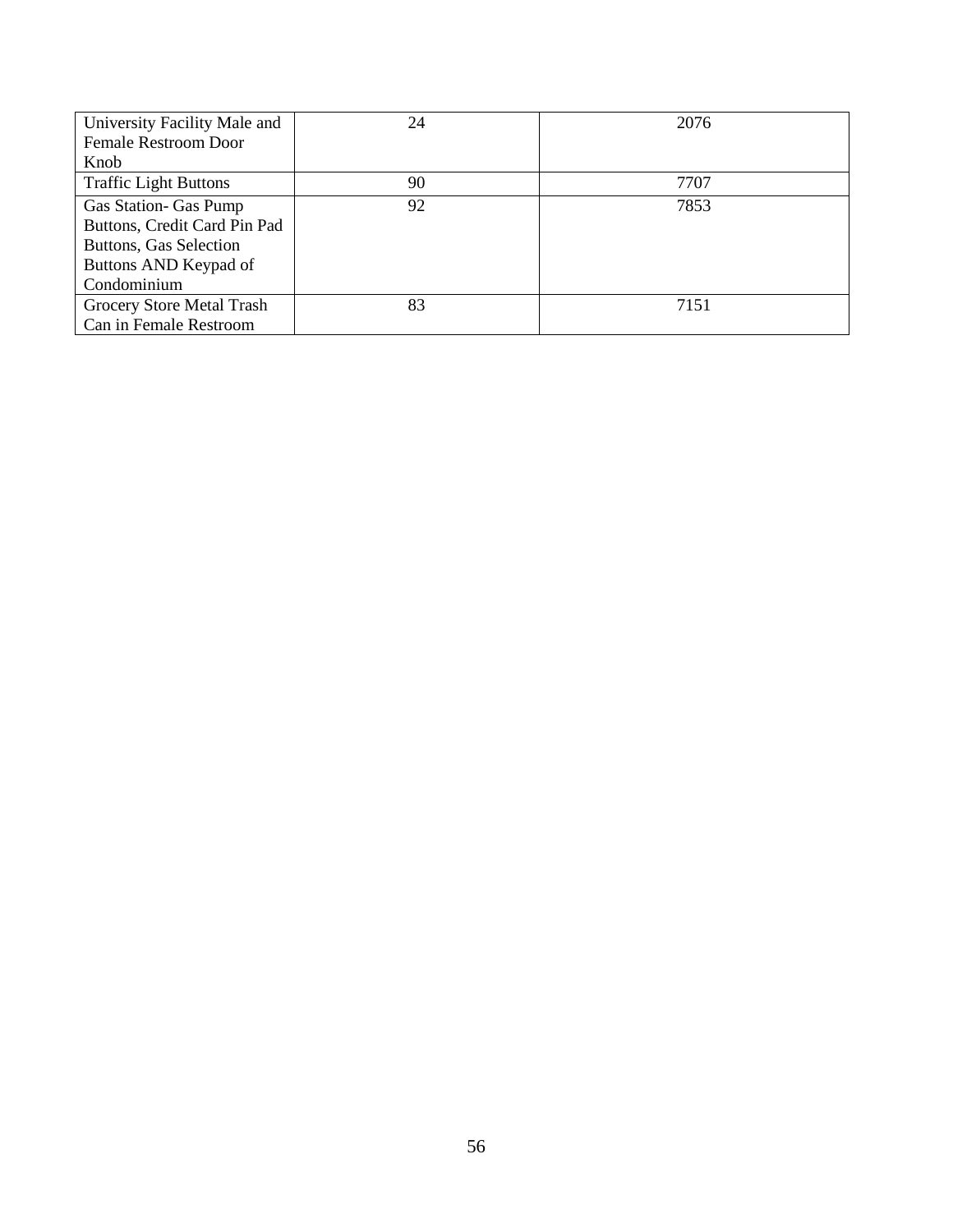| University Facility Male and | 24 | 2076 |
|------------------------------|----|------|
| <b>Female Restroom Door</b>  |    |      |
| Knob                         |    |      |
| <b>Traffic Light Buttons</b> | 90 | 7707 |
| Gas Station- Gas Pump        | 92 | 7853 |
| Buttons, Credit Card Pin Pad |    |      |
| Buttons, Gas Selection       |    |      |
| Buttons AND Keypad of        |    |      |
| Condominium                  |    |      |
| Grocery Store Metal Trash    | 83 | 7151 |
| Can in Female Restroom       |    |      |